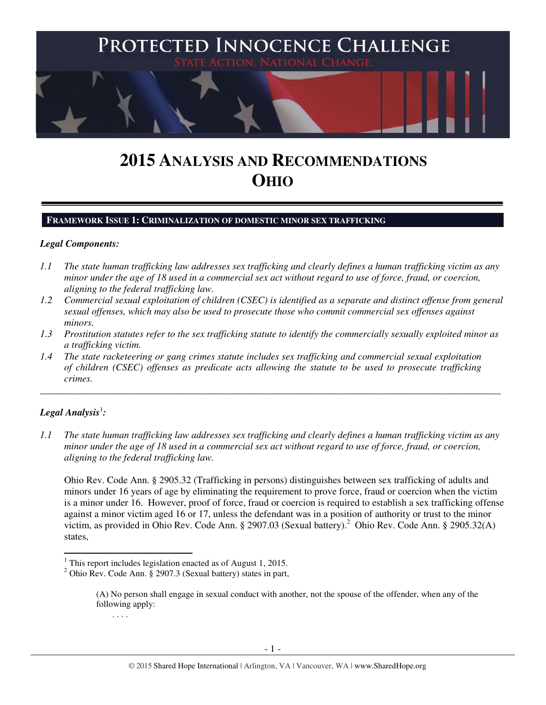

# **2015 ANALYSIS AND RECOMMENDATIONS OHIO**

**FRAMEWORK ISSUE 1: CRIMINALIZATION OF DOMESTIC MINOR SEX TRAFFICKING**

#### *Legal Components:*

- *1.1 The state human trafficking law addresses sex trafficking and clearly defines a human trafficking victim as any minor under the age of 18 used in a commercial sex act without regard to use of force, fraud, or coercion, aligning to the federal trafficking law.*
- *1.2 Commercial sexual exploitation of children (CSEC) is identified as a separate and distinct offense from general sexual offenses, which may also be used to prosecute those who commit commercial sex offenses against minors.*
- *1.3 Prostitution statutes refer to the sex trafficking statute to identify the commercially sexually exploited minor as a trafficking victim.*

\_\_\_\_\_\_\_\_\_\_\_\_\_\_\_\_\_\_\_\_\_\_\_\_\_\_\_\_\_\_\_\_\_\_\_\_\_\_\_\_\_\_\_\_\_\_\_\_\_\_\_\_\_\_\_\_\_\_\_\_\_\_\_\_\_\_\_\_\_\_\_\_\_\_\_\_\_\_\_\_\_\_\_\_\_\_\_\_\_\_\_\_\_\_

*1.4 The state racketeering or gang crimes statute includes sex trafficking and commercial sexual exploitation of children (CSEC) offenses as predicate acts allowing the statute to be used to prosecute trafficking crimes.* 

# $\bm{L}$ egal Analysis $^1$ :

 $\overline{a}$ 

*1.1 The state human trafficking law addresses sex trafficking and clearly defines a human trafficking victim as any minor under the age of 18 used in a commercial sex act without regard to use of force, fraud, or coercion, aligning to the federal trafficking law.* 

Ohio Rev. Code Ann. § 2905.32 (Trafficking in persons) distinguishes between sex trafficking of adults and minors under 16 years of age by eliminating the requirement to prove force, fraud or coercion when the victim is a minor under 16. However, proof of force, fraud or coercion is required to establish a sex trafficking offense against a minor victim aged 16 or 17, unless the defendant was in a position of authority or trust to the minor victim, as provided in Ohio Rev. Code Ann. § 2907.03 (Sexual battery).<sup>2</sup> Ohio Rev. Code Ann. § 2905.32(A) states,

. . . .

<sup>&</sup>lt;sup>1</sup> This report includes legislation enacted as of August 1, 2015.

<sup>&</sup>lt;sup>2</sup> Ohio Rev. Code Ann. § 2907.3 (Sexual battery) states in part,

<sup>(</sup>A) No person shall engage in sexual conduct with another, not the spouse of the offender, when any of the following apply: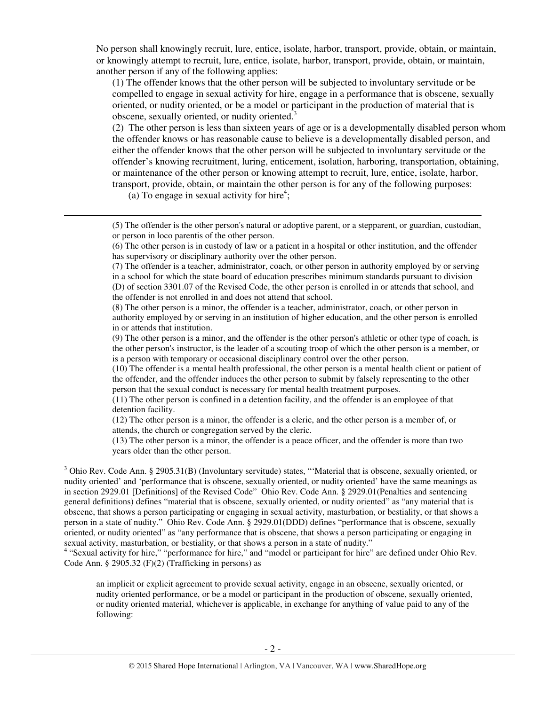No person shall knowingly recruit, lure, entice, isolate, harbor, transport, provide, obtain, or maintain, or knowingly attempt to recruit, lure, entice, isolate, harbor, transport, provide, obtain, or maintain, another person if any of the following applies:

(1) The offender knows that the other person will be subjected to involuntary servitude or be compelled to engage in sexual activity for hire, engage in a performance that is obscene, sexually oriented, or nudity oriented, or be a model or participant in the production of material that is obscene, sexually oriented, or nudity oriented. $3$ 

(2) The other person is less than sixteen years of age or is a developmentally disabled person whom the offender knows or has reasonable cause to believe is a developmentally disabled person, and either the offender knows that the other person will be subjected to involuntary servitude or the offender's knowing recruitment, luring, enticement, isolation, harboring, transportation, obtaining, or maintenance of the other person or knowing attempt to recruit, lure, entice, isolate, harbor, transport, provide, obtain, or maintain the other person is for any of the following purposes:

(a) To engage in sexual activity for hire<sup>4</sup>;

l

(5) The offender is the other person's natural or adoptive parent, or a stepparent, or guardian, custodian, or person in loco parentis of the other person.

(6) The other person is in custody of law or a patient in a hospital or other institution, and the offender has supervisory or disciplinary authority over the other person.

(7) The offender is a teacher, administrator, coach, or other person in authority employed by or serving in a school for which the state board of education prescribes minimum standards pursuant to division (D) of section 3301.07 of the Revised Code, the other person is enrolled in or attends that school, and the offender is not enrolled in and does not attend that school.

(8) The other person is a minor, the offender is a teacher, administrator, coach, or other person in authority employed by or serving in an institution of higher education, and the other person is enrolled in or attends that institution.

(9) The other person is a minor, and the offender is the other person's athletic or other type of coach, is the other person's instructor, is the leader of a scouting troop of which the other person is a member, or is a person with temporary or occasional disciplinary control over the other person.

(10) The offender is a mental health professional, the other person is a mental health client or patient of the offender, and the offender induces the other person to submit by falsely representing to the other person that the sexual conduct is necessary for mental health treatment purposes.

(11) The other person is confined in a detention facility, and the offender is an employee of that detention facility.

(12) The other person is a minor, the offender is a cleric, and the other person is a member of, or attends, the church or congregation served by the cleric.

(13) The other person is a minor, the offender is a peace officer, and the offender is more than two years older than the other person.

<sup>3</sup> Ohio Rev. Code Ann. § 2905.31(B) (Involuntary servitude) states, "'Material that is obscene, sexually oriented, or nudity oriented' and 'performance that is obscene, sexually oriented, or nudity oriented' have the same meanings as in section 2929.01 [Definitions] of the Revised Code" Ohio Rev. Code Ann. § 2929.01(Penalties and sentencing general definitions) defines "material that is obscene, sexually oriented, or nudity oriented" as "any material that is obscene, that shows a person participating or engaging in sexual activity, masturbation, or bestiality, or that shows a person in a state of nudity." Ohio Rev. Code Ann. § 2929.01(DDD) defines "performance that is obscene, sexually oriented, or nudity oriented" as "any performance that is obscene, that shows a person participating or engaging in sexual activity, masturbation, or bestiality, or that shows a person in a state of nudity."

<sup>4</sup> "Sexual activity for hire," "performance for hire," and "model or participant for hire" are defined under Ohio Rev. Code Ann. § 2905.32 (F)(2) (Trafficking in persons) as

an implicit or explicit agreement to provide sexual activity, engage in an obscene, sexually oriented, or nudity oriented performance, or be a model or participant in the production of obscene, sexually oriented, or nudity oriented material, whichever is applicable, in exchange for anything of value paid to any of the following: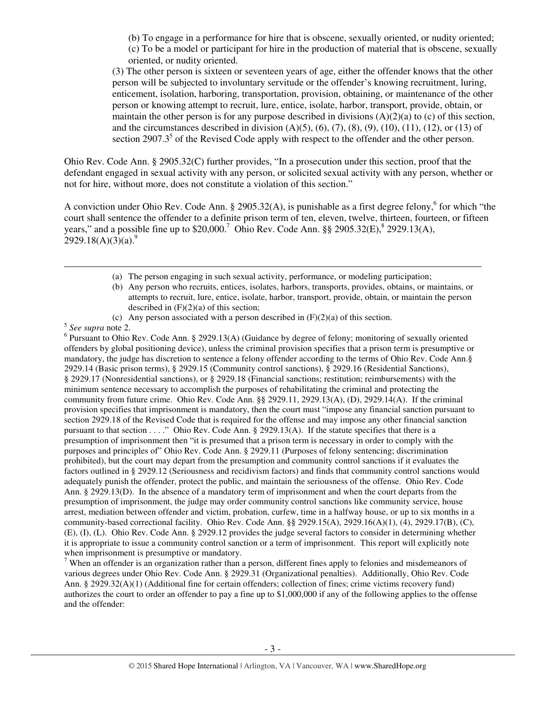(b) To engage in a performance for hire that is obscene, sexually oriented, or nudity oriented; (c) To be a model or participant for hire in the production of material that is obscene, sexually oriented, or nudity oriented.

(3) The other person is sixteen or seventeen years of age, either the offender knows that the other person will be subjected to involuntary servitude or the offender's knowing recruitment, luring, enticement, isolation, harboring, transportation, provision, obtaining, or maintenance of the other person or knowing attempt to recruit, lure, entice, isolate, harbor, transport, provide, obtain, or maintain the other person is for any purpose described in divisions  $(A)(2)(a)$  to (c) of this section, and the circumstances described in division  $(A)(5)$ ,  $(6)$ ,  $(7)$ ,  $(8)$ ,  $(9)$ ,  $(10)$ ,  $(11)$ ,  $(12)$ , or  $(13)$  of section  $2907.3<sup>5</sup>$  of the Revised Code apply with respect to the offender and the other person.

Ohio Rev. Code Ann. § 2905.32(C) further provides, "In a prosecution under this section, proof that the defendant engaged in sexual activity with any person, or solicited sexual activity with any person, whether or not for hire, without more, does not constitute a violation of this section."

A conviction under Ohio Rev. Code Ann.  $\S 2905.32(A)$ , is punishable as a first degree felony,<sup>6</sup> for which "the court shall sentence the offender to a definite prison term of ten, eleven, twelve, thirteen, fourteen, or fifteen years," and a possible fine up to  $$20,000$ .<sup>7</sup> Ohio Rev. Code Ann.  $\S$ § 2905.32(E),  $$2929.13(A)$ ,  $2929.18(A)(3)(a)^9$ 

- (a) The person engaging in such sexual activity, performance, or modeling participation;
- (b) Any person who recruits, entices, isolates, harbors, transports, provides, obtains, or maintains, or attempts to recruit, lure, entice, isolate, harbor, transport, provide, obtain, or maintain the person described in  $(F)(2)(a)$  of this section;
- (c) Any person associated with a person described in  $(F)(2)(a)$  of this section.

l

<sup>6</sup> Pursuant to Ohio Rev. Code Ann. § 2929.13(A) (Guidance by degree of felony; monitoring of sexually oriented offenders by global positioning device), unless the criminal provision specifies that a prison term is presumptive or mandatory, the judge has discretion to sentence a felony offender according to the terms of Ohio Rev. Code Ann.§ 2929.14 (Basic prison terms), § 2929.15 (Community control sanctions), § 2929.16 (Residential Sanctions), § 2929.17 (Nonresidential sanctions), or § 2929.18 (Financial sanctions; restitution; reimbursements) with the minimum sentence necessary to accomplish the purposes of rehabilitating the criminal and protecting the community from future crime. Ohio Rev. Code Ann. §§ 2929.11, 2929.13(A), (D), 2929.14(A). If the criminal provision specifies that imprisonment is mandatory, then the court must "impose any financial sanction pursuant to section 2929.18 of the Revised Code that is required for the offense and may impose any other financial sanction pursuant to that section . . . ." Ohio Rev. Code Ann. § 2929.13(A). If the statute specifies that there is a presumption of imprisonment then "it is presumed that a prison term is necessary in order to comply with the purposes and principles of" Ohio Rev. Code Ann. § 2929.11 (Purposes of felony sentencing; discrimination prohibited), but the court may depart from the presumption and community control sanctions if it evaluates the factors outlined in § 2929.12 (Seriousness and recidivism factors) and finds that community control sanctions would adequately punish the offender, protect the public, and maintain the seriousness of the offense. Ohio Rev. Code Ann. § 2929.13(D). In the absence of a mandatory term of imprisonment and when the court departs from the presumption of imprisonment, the judge may order community control sanctions like community service, house arrest, mediation between offender and victim, probation, curfew, time in a halfway house, or up to six months in a community-based correctional facility. Ohio Rev. Code Ann. §§ 2929.15(A), 2929.16(A)(1), (4), 2929.17(B), (C), (E), (I), (L). Ohio Rev. Code Ann. § 2929.12 provides the judge several factors to consider in determining whether it is appropriate to issue a community control sanction or a term of imprisonment. This report will explicitly note when imprisonment is presumptive or mandatory.

 $<sup>7</sup>$  When an offender is an organization rather than a person, different fines apply to felonies and misdemeanors of</sup> various degrees under Ohio Rev. Code Ann. § 2929.31 (Organizational penalties). Additionally, Ohio Rev. Code Ann. § 2929.32(A)(1) (Additional fine for certain offenders; collection of fines; crime victims recovery fund) authorizes the court to order an offender to pay a fine up to \$1,000,000 if any of the following applies to the offense and the offender:

<sup>5</sup> *See supra* note 2.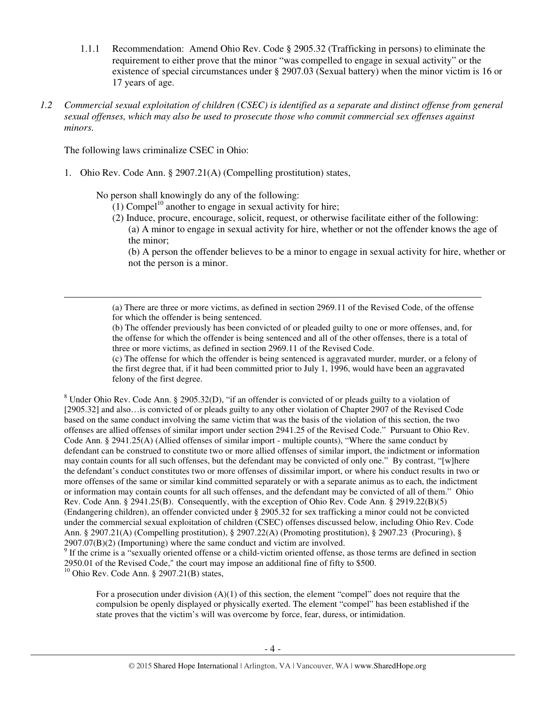- 1.1.1 Recommendation: Amend Ohio Rev. Code § 2905.32 (Trafficking in persons) to eliminate the requirement to either prove that the minor "was compelled to engage in sexual activity" or the existence of special circumstances under § 2907.03 (Sexual battery) when the minor victim is 16 or 17 years of age.
- *1.2 Commercial sexual exploitation of children (CSEC) is identified as a separate and distinct offense from general sexual offenses, which may also be used to prosecute those who commit commercial sex offenses against minors.*

The following laws criminalize CSEC in Ohio:

l

1. Ohio Rev. Code Ann. § 2907.21(A) (Compelling prostitution) states,

No person shall knowingly do any of the following:

- $(1)$  Compel<sup>10</sup> another to engage in sexual activity for hire;
- (2) Induce, procure, encourage, solicit, request, or otherwise facilitate either of the following: (a) A minor to engage in sexual activity for hire, whether or not the offender knows the age of the minor;

(b) A person the offender believes to be a minor to engage in sexual activity for hire, whether or not the person is a minor.

(a) There are three or more victims, as defined in section 2969.11 of the Revised Code, of the offense for which the offender is being sentenced.

(c) The offense for which the offender is being sentenced is aggravated murder, murder, or a felony of the first degree that, if it had been committed prior to July 1, 1996, would have been an aggravated felony of the first degree.

<sup>8</sup> Under Ohio Rev. Code Ann. § 2905.32(D), "if an offender is convicted of or pleads guilty to a violation of [2905.32] and also…is convicted of or pleads guilty to any other violation of Chapter 2907 of the Revised Code based on the same conduct involving the same victim that was the basis of the violation of this section, the two offenses are allied offenses of similar import under section 2941.25 of the Revised Code." Pursuant to Ohio Rev. Code Ann. § 2941.25(A) (Allied offenses of similar import - multiple counts), "Where the same conduct by defendant can be construed to constitute two or more allied offenses of similar import, the indictment or information may contain counts for all such offenses, but the defendant may be convicted of only one." By contrast, "[w]here the defendant's conduct constitutes two or more offenses of dissimilar import, or where his conduct results in two or more offenses of the same or similar kind committed separately or with a separate animus as to each, the indictment or information may contain counts for all such offenses, and the defendant may be convicted of all of them." Ohio Rev. Code Ann. § 2941.25(B). Consequently, with the exception of Ohio Rev. Code Ann. § 2919.22(B)(5) (Endangering children), an offender convicted under § 2905.32 for sex trafficking a minor could not be convicted under the commercial sexual exploitation of children (CSEC) offenses discussed below, including Ohio Rev. Code Ann. § 2907.21(A) (Compelling prostitution), § 2907.22(A) (Promoting prostitution), § 2907.23 (Procuring), §  $2907.07(B)(2)$  (Importuning) where the same conduct and victim are involved.

<sup>9</sup> If the crime is a "sexually oriented offense or a child-victim oriented offense, as those terms are defined in section 2950.01 of the Revised Code," the court may impose an additional fine of fifty to \$500.  $10$  Ohio Rev. Code Ann. § 2907.21(B) states,

For a prosecution under division (A)(1) of this section, the element "compel" does not require that the compulsion be openly displayed or physically exerted. The element "compel" has been established if the state proves that the victim's will was overcome by force, fear, duress, or intimidation.

<sup>(</sup>b) The offender previously has been convicted of or pleaded guilty to one or more offenses, and, for the offense for which the offender is being sentenced and all of the other offenses, there is a total of three or more victims, as defined in section 2969.11 of the Revised Code.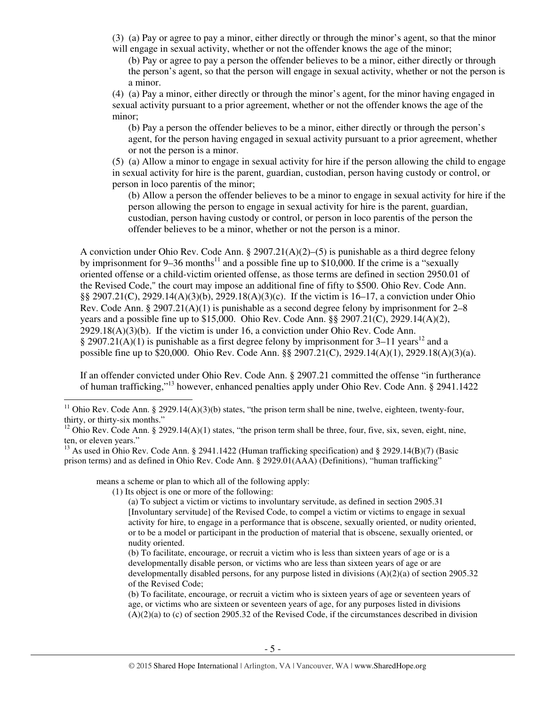(3) (a) Pay or agree to pay a minor, either directly or through the minor's agent, so that the minor will engage in sexual activity, whether or not the offender knows the age of the minor;

(b) Pay or agree to pay a person the offender believes to be a minor, either directly or through the person's agent, so that the person will engage in sexual activity, whether or not the person is a minor.

(4) (a) Pay a minor, either directly or through the minor's agent, for the minor having engaged in sexual activity pursuant to a prior agreement, whether or not the offender knows the age of the minor;

(b) Pay a person the offender believes to be a minor, either directly or through the person's agent, for the person having engaged in sexual activity pursuant to a prior agreement, whether or not the person is a minor.

(5) (a) Allow a minor to engage in sexual activity for hire if the person allowing the child to engage in sexual activity for hire is the parent, guardian, custodian, person having custody or control, or person in loco parentis of the minor;

(b) Allow a person the offender believes to be a minor to engage in sexual activity for hire if the person allowing the person to engage in sexual activity for hire is the parent, guardian, custodian, person having custody or control, or person in loco parentis of the person the offender believes to be a minor, whether or not the person is a minor.

A conviction under Ohio Rev. Code Ann.  $\S 2907.21(A)(2)$ –(5) is punishable as a third degree felony by imprisonment for 9–36 months<sup>11</sup> and a possible fine up to \$10,000. If the crime is a "sexually oriented offense or a child-victim oriented offense, as those terms are defined in section 2950.01 of the Revised Code," the court may impose an additional fine of fifty to \$500. Ohio Rev. Code Ann. §§ 2907.21(C), 2929.14(A)(3)(b), 2929.18(A)(3)(c). If the victim is 16–17, a conviction under Ohio Rev. Code Ann. § 2907.21(A)(1) is punishable as a second degree felony by imprisonment for  $2-8$ years and a possible fine up to \$15,000. Ohio Rev. Code Ann. §§ 2907.21(C), 2929.14(A)(2),  $2929.18(A)(3)(b)$ . If the victim is under 16, a conviction under Ohio Rev. Code Ann. § 2907.21(A)(1) is punishable as a first degree felony by imprisonment for 3–11 years<sup>12</sup> and a possible fine up to \$20,000. Ohio Rev. Code Ann. §§ 2907.21(C), 2929.14(A)(1), 2929.18(A)(3)(a).

If an offender convicted under Ohio Rev. Code Ann. § 2907.21 committed the offense "in furtherance of human trafficking,"<sup>13</sup> however, enhanced penalties apply under Ohio Rev. Code Ann. § 2941.1422

means a scheme or plan to which all of the following apply:

(1) Its object is one or more of the following:

 $\overline{a}$ 

(a) To subject a victim or victims to involuntary servitude, as defined in section 2905.31 [Involuntary servitude] of the Revised Code, to compel a victim or victims to engage in sexual activity for hire, to engage in a performance that is obscene, sexually oriented, or nudity oriented, or to be a model or participant in the production of material that is obscene, sexually oriented, or nudity oriented.

<sup>&</sup>lt;sup>11</sup> Ohio Rev. Code Ann. § 2929.14(A)(3)(b) states, "the prison term shall be nine, twelve, eighteen, twenty-four, thirty, or thirty-six months."

<sup>&</sup>lt;sup>12</sup> Ohio Rev. Code Ann. § 2929.14(A)(1) states, "the prison term shall be three, four, five, six, seven, eight, nine, ten, or eleven years."

<sup>&</sup>lt;sup>13</sup> As used in Ohio Rev. Code Ann. § 2941.1422 (Human trafficking specification) and § 2929.14(B)(7) (Basic prison terms) and as defined in Ohio Rev. Code Ann. § 2929.01(AAA) (Definitions), "human trafficking"

<sup>(</sup>b) To facilitate, encourage, or recruit a victim who is less than sixteen years of age or is a developmentally disable person, or victims who are less than sixteen years of age or are developmentally disabled persons, for any purpose listed in divisions (A)(2)(a) of section 2905.32 of the Revised Code;

<sup>(</sup>b) To facilitate, encourage, or recruit a victim who is sixteen years of age or seventeen years of age, or victims who are sixteen or seventeen years of age, for any purposes listed in divisions (A)(2)(a) to (c) of section 2905.32 of the Revised Code, if the circumstances described in division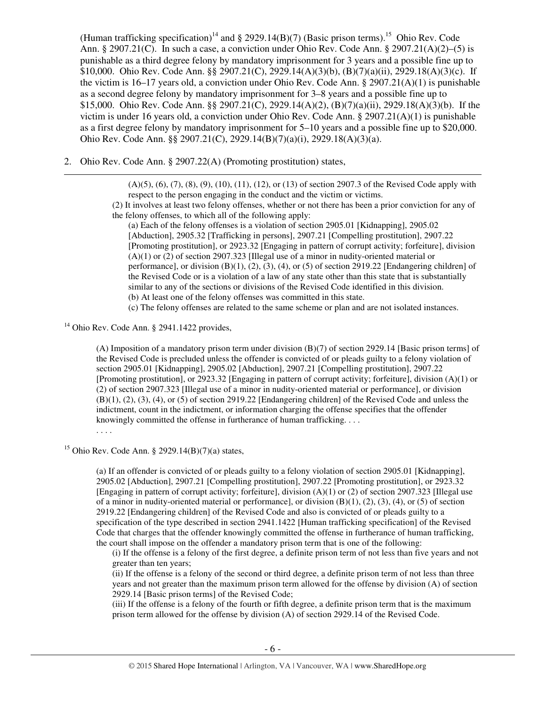(Human trafficking specification)<sup>14</sup> and § 2929.14(B)(7) (Basic prison terms).<sup>15</sup> Ohio Rev. Code Ann. § 2907.21(C). In such a case, a conviction under Ohio Rev. Code Ann. § 2907.21(A)(2)–(5) is punishable as a third degree felony by mandatory imprisonment for 3 years and a possible fine up to \$10,000. Ohio Rev. Code Ann. §§ 2907.21(C), 2929.14(A)(3)(b), (B)(7)(a)(ii), 2929.18(A)(3)(c). If the victim is 16–17 years old, a conviction under Ohio Rev. Code Ann.  $\S 2907.21(A)(1)$  is punishable as a second degree felony by mandatory imprisonment for 3–8 years and a possible fine up to \$15,000. Ohio Rev. Code Ann. §§ 2907.21(C), 2929.14(A)(2), (B)(7)(a)(ii), 2929.18(A)(3)(b). If the victim is under 16 years old, a conviction under Ohio Rev. Code Ann. § 2907.21(A)(1) is punishable as a first degree felony by mandatory imprisonment for 5–10 years and a possible fine up to \$20,000. Ohio Rev. Code Ann. §§ 2907.21(C), 2929.14(B)(7)(a)(i), 2929.18(A)(3)(a).

2. Ohio Rev. Code Ann. § 2907.22(A) (Promoting prostitution) states,  $\overline{a}$ 

> (A)(5), (6), (7), (8), (9), (10), (11), (12), or (13) of section 2907.3 of the Revised Code apply with respect to the person engaging in the conduct and the victim or victims.

(2) It involves at least two felony offenses, whether or not there has been a prior conviction for any of the felony offenses, to which all of the following apply:

(a) Each of the felony offenses is a violation of section 2905.01 [Kidnapping], 2905.02 [Abduction], 2905.32 [Trafficking in persons], 2907.21 [Compelling prostitution], 2907.22 [Promoting prostitution], or 2923.32 [Engaging in pattern of corrupt activity; forfeiture], division (A)(1) or (2) of section 2907.323 [Illegal use of a minor in nudity-oriented material or performance], or division  $(B)(1)$ ,  $(2)$ ,  $(3)$ ,  $(4)$ , or  $(5)$  of section 2919.22 [Endangering children] of the Revised Code or is a violation of a law of any state other than this state that is substantially similar to any of the sections or divisions of the Revised Code identified in this division. (b) At least one of the felony offenses was committed in this state.

(c) The felony offenses are related to the same scheme or plan and are not isolated instances.

<sup>14</sup> Ohio Rev. Code Ann. § 2941.1422 provides.

(A) Imposition of a mandatory prison term under division (B)(7) of section 2929.14 [Basic prison terms] of the Revised Code is precluded unless the offender is convicted of or pleads guilty to a felony violation of section 2905.01 [Kidnapping], 2905.02 [Abduction], 2907.21 [Compelling prostitution], 2907.22 [Promoting prostitution], or 2923.32 [Engaging in pattern of corrupt activity; forfeiture], division (A)(1) or (2) of section 2907.323 [Illegal use of a minor in nudity-oriented material or performance], or division (B)(1), (2), (3), (4), or (5) of section 2919.22 [Endangering children] of the Revised Code and unless the indictment, count in the indictment, or information charging the offense specifies that the offender knowingly committed the offense in furtherance of human trafficking. . . . . . . .

<sup>15</sup> Ohio Rev. Code Ann. § 2929.14(B)(7)(a) states,

(a) If an offender is convicted of or pleads guilty to a felony violation of section 2905.01 [Kidnapping], 2905.02 [Abduction], 2907.21 [Compelling prostitution], 2907.22 [Promoting prostitution], or 2923.32 [Engaging in pattern of corrupt activity; forfeiture], division (A)(1) or (2) of section 2907.323 [Illegal use of a minor in nudity-oriented material or performance], or division  $(B)(1)$ ,  $(2)$ ,  $(3)$ ,  $(4)$ , or  $(5)$  of section 2919.22 [Endangering children] of the Revised Code and also is convicted of or pleads guilty to a specification of the type described in section 2941.1422 [Human trafficking specification] of the Revised Code that charges that the offender knowingly committed the offense in furtherance of human trafficking, the court shall impose on the offender a mandatory prison term that is one of the following:

(i) If the offense is a felony of the first degree, a definite prison term of not less than five years and not greater than ten years;

(ii) If the offense is a felony of the second or third degree, a definite prison term of not less than three years and not greater than the maximum prison term allowed for the offense by division (A) of section 2929.14 [Basic prison terms] of the Revised Code;

(iii) If the offense is a felony of the fourth or fifth degree, a definite prison term that is the maximum prison term allowed for the offense by division (A) of section 2929.14 of the Revised Code.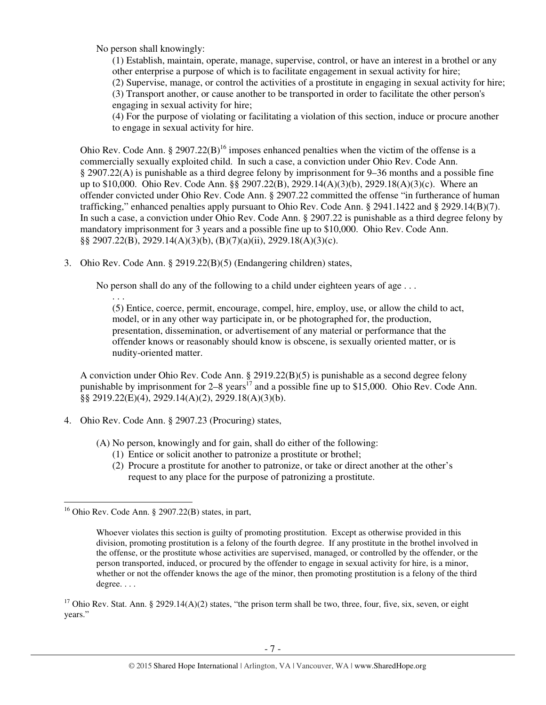No person shall knowingly:

(1) Establish, maintain, operate, manage, supervise, control, or have an interest in a brothel or any other enterprise a purpose of which is to facilitate engagement in sexual activity for hire; (2) Supervise, manage, or control the activities of a prostitute in engaging in sexual activity for hire; (3) Transport another, or cause another to be transported in order to facilitate the other person's engaging in sexual activity for hire;

(4) For the purpose of violating or facilitating a violation of this section, induce or procure another to engage in sexual activity for hire.

Ohio Rev. Code Ann. § 2907.22(B)<sup>16</sup> imposes enhanced penalties when the victim of the offense is a commercially sexually exploited child. In such a case, a conviction under Ohio Rev. Code Ann. § 2907.22(A) is punishable as a third degree felony by imprisonment for 9–36 months and a possible fine up to \$10,000. Ohio Rev. Code Ann. §§ 2907.22(B), 2929.14(A)(3)(b), 2929.18(A)(3)(c). Where an offender convicted under Ohio Rev. Code Ann. § 2907.22 committed the offense "in furtherance of human trafficking," enhanced penalties apply pursuant to Ohio Rev. Code Ann. § 2941.1422 and § 2929.14(B)(7). In such a case, a conviction under Ohio Rev. Code Ann. § 2907.22 is punishable as a third degree felony by mandatory imprisonment for 3 years and a possible fine up to \$10,000. Ohio Rev. Code Ann. §§ 2907.22(B), 2929.14(A)(3)(b), (B)(7)(a)(ii), 2929.18(A)(3)(c).

3. Ohio Rev. Code Ann. § 2919.22(B)(5) (Endangering children) states,

No person shall do any of the following to a child under eighteen years of age . . .

. . . (5) Entice, coerce, permit, encourage, compel, hire, employ, use, or allow the child to act, model, or in any other way participate in, or be photographed for, the production, presentation, dissemination, or advertisement of any material or performance that the offender knows or reasonably should know is obscene, is sexually oriented matter, or is nudity-oriented matter.

A conviction under Ohio Rev. Code Ann. § 2919.22(B)(5) is punishable as a second degree felony punishable by imprisonment for  $2-8$  years<sup>17</sup> and a possible fine up to \$15,000. Ohio Rev. Code Ann. §§ 2919.22(E)(4), 2929.14(A)(2), 2929.18(A)(3)(b).

- 4. Ohio Rev. Code Ann. § 2907.23 (Procuring) states,
	- (A) No person, knowingly and for gain, shall do either of the following:
		- (1) Entice or solicit another to patronize a prostitute or brothel;
		- (2) Procure a prostitute for another to patronize, or take or direct another at the other's request to any place for the purpose of patronizing a prostitute.

 $\overline{a}$ 

<sup>17</sup> Ohio Rev. Stat. Ann. § 2929.14(A)(2) states, "the prison term shall be two, three, four, five, six, seven, or eight years."

 $16$  Ohio Rev. Code Ann. § 2907.22(B) states, in part,

Whoever violates this section is guilty of promoting prostitution. Except as otherwise provided in this division, promoting prostitution is a felony of the fourth degree. If any prostitute in the brothel involved in the offense, or the prostitute whose activities are supervised, managed, or controlled by the offender, or the person transported, induced, or procured by the offender to engage in sexual activity for hire, is a minor, whether or not the offender knows the age of the minor, then promoting prostitution is a felony of the third degree. . . .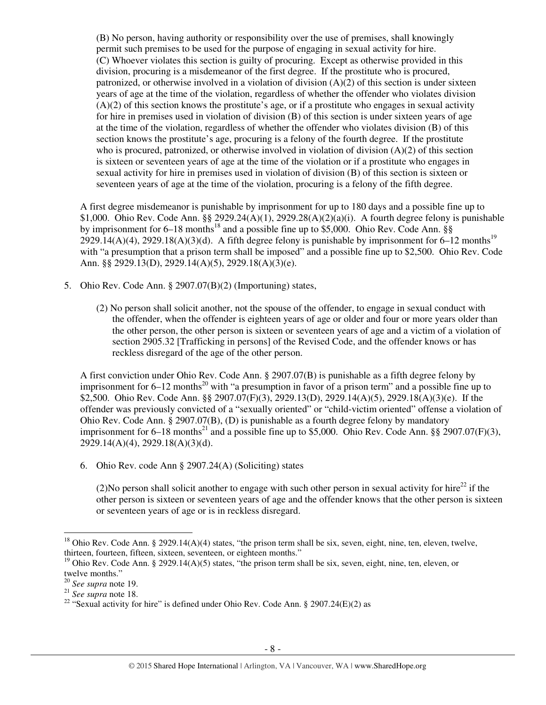(B) No person, having authority or responsibility over the use of premises, shall knowingly permit such premises to be used for the purpose of engaging in sexual activity for hire. (C) Whoever violates this section is guilty of procuring. Except as otherwise provided in this division, procuring is a misdemeanor of the first degree. If the prostitute who is procured, patronized, or otherwise involved in a violation of division  $(A)(2)$  of this section is under sixteen years of age at the time of the violation, regardless of whether the offender who violates division  $(A)(2)$  of this section knows the prostitute's age, or if a prostitute who engages in sexual activity for hire in premises used in violation of division (B) of this section is under sixteen years of age at the time of the violation, regardless of whether the offender who violates division (B) of this section knows the prostitute's age, procuring is a felony of the fourth degree. If the prostitute who is procured, patronized, or otherwise involved in violation of division (A)(2) of this section is sixteen or seventeen years of age at the time of the violation or if a prostitute who engages in sexual activity for hire in premises used in violation of division (B) of this section is sixteen or seventeen years of age at the time of the violation, procuring is a felony of the fifth degree.

A first degree misdemeanor is punishable by imprisonment for up to 180 days and a possible fine up to \$1,000. Ohio Rev. Code Ann. §§ 2929.24(A)(1), 2929.28(A)(2)(a)(i). A fourth degree felony is punishable by imprisonment for  $6-18$  months<sup>18</sup> and a possible fine up to \$5,000. Ohio Rev. Code Ann. §§ 2929.14(A)(4), 2929.18(A)(3)(d). A fifth degree felony is punishable by imprisonment for  $6-12$  months<sup>19</sup> with "a presumption that a prison term shall be imposed" and a possible fine up to \$2,500. Ohio Rev. Code Ann. §§ 2929.13(D), 2929.14(A)(5), 2929.18(A)(3)(e).

- 5. Ohio Rev. Code Ann. § 2907.07(B)(2) (Importuning) states,
	- (2) No person shall solicit another, not the spouse of the offender, to engage in sexual conduct with the offender, when the offender is eighteen years of age or older and four or more years older than the other person, the other person is sixteen or seventeen years of age and a victim of a violation of section 2905.32 [Trafficking in persons] of the Revised Code, and the offender knows or has reckless disregard of the age of the other person.

A first conviction under Ohio Rev. Code Ann. § 2907.07(B) is punishable as a fifth degree felony by imprisonment for  $6-12$  months<sup>20</sup> with "a presumption in favor of a prison term" and a possible fine up to \$2,500. Ohio Rev. Code Ann. §§ 2907.07(F)(3), 2929.13(D), 2929.14(A)(5), 2929.18(A)(3)(e). If the offender was previously convicted of a "sexually oriented" or "child-victim oriented" offense a violation of Ohio Rev. Code Ann. § 2907.07(B), (D) is punishable as a fourth degree felony by mandatory imprisonment for  $6-18$  months<sup>21</sup> and a possible fine up to \$5,000. Ohio Rev. Code Ann. §§ 2907.07(F)(3), 2929.14(A)(4), 2929.18(A)(3)(d).

6. Ohio Rev. code Ann § 2907.24(A) (Soliciting) states

(2)No person shall solicit another to engage with such other person in sexual activity for hire<sup>22</sup> if the other person is sixteen or seventeen years of age and the offender knows that the other person is sixteen or seventeen years of age or is in reckless disregard.

<sup>&</sup>lt;sup>18</sup> Ohio Rev. Code Ann. § 2929.14(A)(4) states, "the prison term shall be six, seven, eight, nine, ten, eleven, twelve, thirteen, fourteen, fifteen, sixteen, seventeen, or eighteen months."

<sup>&</sup>lt;sup>19</sup> Ohio Rev. Code Ann. § 2929.14(A)(5) states, "the prison term shall be six, seven, eight, nine, ten, eleven, or twelve months."

<sup>20</sup> *See supra* note 19.

<sup>21</sup> *See supra* note 18.

<sup>&</sup>lt;sup>22</sup> "Sexual activity for hire" is defined under Ohio Rev. Code Ann. § 2907.24(E)(2) as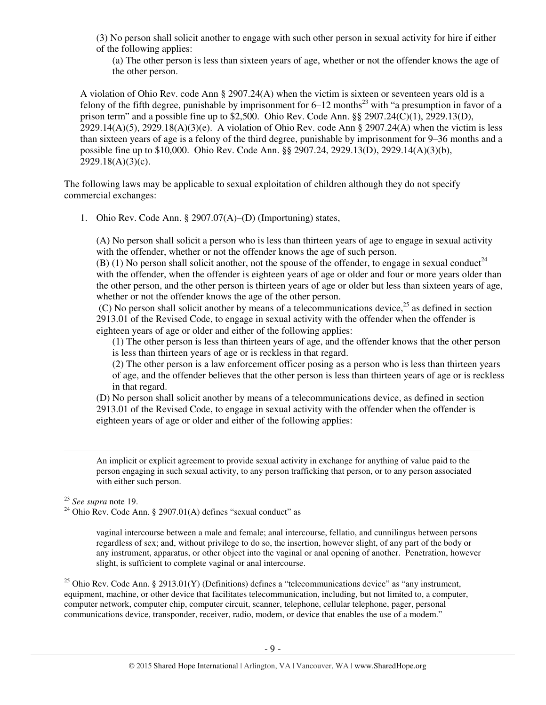(3) No person shall solicit another to engage with such other person in sexual activity for hire if either of the following applies:

(a) The other person is less than sixteen years of age, whether or not the offender knows the age of the other person.

A violation of Ohio Rev. code Ann § 2907.24(A) when the victim is sixteen or seventeen years old is a felony of the fifth degree, punishable by imprisonment for  $6-12$  months<sup>23</sup> with "a presumption in favor of a prison term" and a possible fine up to \$2,500. Ohio Rev. Code Ann. §§ 2907.24(C)(1), 2929.13(D), 2929.14(A)(5), 2929.18(A)(3)(e). A violation of Ohio Rev. code Ann § 2907.24(A) when the victim is less than sixteen years of age is a felony of the third degree, punishable by imprisonment for 9–36 months and a possible fine up to \$10,000. Ohio Rev. Code Ann. §§ 2907.24, 2929.13(D), 2929.14(A)(3)(b), 2929.18(A)(3)(c).

The following laws may be applicable to sexual exploitation of children although they do not specify commercial exchanges:

1. Ohio Rev. Code Ann. § 2907.07(A)–(D) (Importuning) states,

(A) No person shall solicit a person who is less than thirteen years of age to engage in sexual activity with the offender, whether or not the offender knows the age of such person.

(B) (1) No person shall solicit another, not the spouse of the offender, to engage in sexual conduct<sup>24</sup> with the offender, when the offender is eighteen years of age or older and four or more years older than the other person, and the other person is thirteen years of age or older but less than sixteen years of age, whether or not the offender knows the age of the other person.

(C) No person shall solicit another by means of a telecommunications device,  $^{25}$  as defined in section 2913.01 of the Revised Code, to engage in sexual activity with the offender when the offender is eighteen years of age or older and either of the following applies:

(1) The other person is less than thirteen years of age, and the offender knows that the other person is less than thirteen years of age or is reckless in that regard.

(2) The other person is a law enforcement officer posing as a person who is less than thirteen years of age, and the offender believes that the other person is less than thirteen years of age or is reckless in that regard.

(D) No person shall solicit another by means of a telecommunications device, as defined in section 2913.01 of the Revised Code, to engage in sexual activity with the offender when the offender is eighteen years of age or older and either of the following applies:

An implicit or explicit agreement to provide sexual activity in exchange for anything of value paid to the person engaging in such sexual activity, to any person trafficking that person, or to any person associated with either such person.

<sup>23</sup> *See supra* note 19.

 $\overline{a}$ 

 $24$  Ohio Rev. Code Ann. § 2907.01(A) defines "sexual conduct" as

vaginal intercourse between a male and female; anal intercourse, fellatio, and cunnilingus between persons regardless of sex; and, without privilege to do so, the insertion, however slight, of any part of the body or any instrument, apparatus, or other object into the vaginal or anal opening of another. Penetration, however slight, is sufficient to complete vaginal or anal intercourse.

<sup>25</sup> Ohio Rev. Code Ann. § 2913.01(Y) (Definitions) defines a "telecommunications device" as "any instrument, equipment, machine, or other device that facilitates telecommunication, including, but not limited to, a computer, computer network, computer chip, computer circuit, scanner, telephone, cellular telephone, pager, personal communications device, transponder, receiver, radio, modem, or device that enables the use of a modem."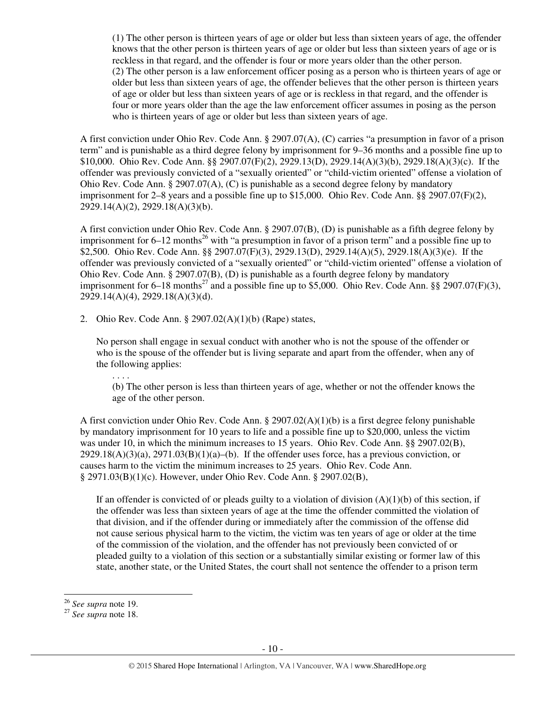(1) The other person is thirteen years of age or older but less than sixteen years of age, the offender knows that the other person is thirteen years of age or older but less than sixteen years of age or is reckless in that regard, and the offender is four or more years older than the other person. (2) The other person is a law enforcement officer posing as a person who is thirteen years of age or older but less than sixteen years of age, the offender believes that the other person is thirteen years of age or older but less than sixteen years of age or is reckless in that regard, and the offender is four or more years older than the age the law enforcement officer assumes in posing as the person who is thirteen years of age or older but less than sixteen years of age.

A first conviction under Ohio Rev. Code Ann. § 2907.07(A), (C) carries "a presumption in favor of a prison term" and is punishable as a third degree felony by imprisonment for 9–36 months and a possible fine up to \$10,000. Ohio Rev. Code Ann. §§ 2907.07(F)(2), 2929.13(D), 2929.14(A)(3)(b), 2929.18(A)(3)(c). If the offender was previously convicted of a "sexually oriented" or "child-victim oriented" offense a violation of Ohio Rev. Code Ann. § 2907.07(A), (C) is punishable as a second degree felony by mandatory imprisonment for 2–8 years and a possible fine up to \$15,000. Ohio Rev. Code Ann. §§ 2907.07(F)(2), 2929.14(A)(2), 2929.18(A)(3)(b).

A first conviction under Ohio Rev. Code Ann. § 2907.07(B), (D) is punishable as a fifth degree felony by imprisonment for  $6-12$  months<sup>26</sup> with "a presumption in favor of a prison term" and a possible fine up to \$2,500. Ohio Rev. Code Ann. §§ 2907.07(F)(3), 2929.13(D), 2929.14(A)(5), 2929.18(A)(3)(e). If the offender was previously convicted of a "sexually oriented" or "child-victim oriented" offense a violation of Ohio Rev. Code Ann. § 2907.07(B), (D) is punishable as a fourth degree felony by mandatory imprisonment for 6–18 months<sup>27</sup> and a possible fine up to \$5,000. Ohio Rev. Code Ann. §§ 2907.07(F)(3), 2929.14(A)(4), 2929.18(A)(3)(d).

2. Ohio Rev. Code Ann. § 2907.02(A)(1)(b) (Rape) states,

No person shall engage in sexual conduct with another who is not the spouse of the offender or who is the spouse of the offender but is living separate and apart from the offender, when any of the following applies:

(b) The other person is less than thirteen years of age, whether or not the offender knows the age of the other person.

A first conviction under Ohio Rev. Code Ann. § 2907.02(A)(1)(b) is a first degree felony punishable by mandatory imprisonment for 10 years to life and a possible fine up to \$20,000, unless the victim was under 10, in which the minimum increases to 15 years. Ohio Rev. Code Ann. §§ 2907.02(B),  $2929.18(A)(3)(a)$ ,  $2971.03(B)(1)(a)$ –(b). If the offender uses force, has a previous conviction, or causes harm to the victim the minimum increases to 25 years. Ohio Rev. Code Ann. § 2971.03(B)(1)(c). However, under Ohio Rev. Code Ann. § 2907.02(B),

If an offender is convicted of or pleads guilty to a violation of division  $(A)(1)(b)$  of this section, if the offender was less than sixteen years of age at the time the offender committed the violation of that division, and if the offender during or immediately after the commission of the offense did not cause serious physical harm to the victim, the victim was ten years of age or older at the time of the commission of the violation, and the offender has not previously been convicted of or pleaded guilty to a violation of this section or a substantially similar existing or former law of this state, another state, or the United States, the court shall not sentence the offender to a prison term

l

. . . .

<sup>26</sup> *See supra* note 19.

<sup>27</sup> *See supra* note 18.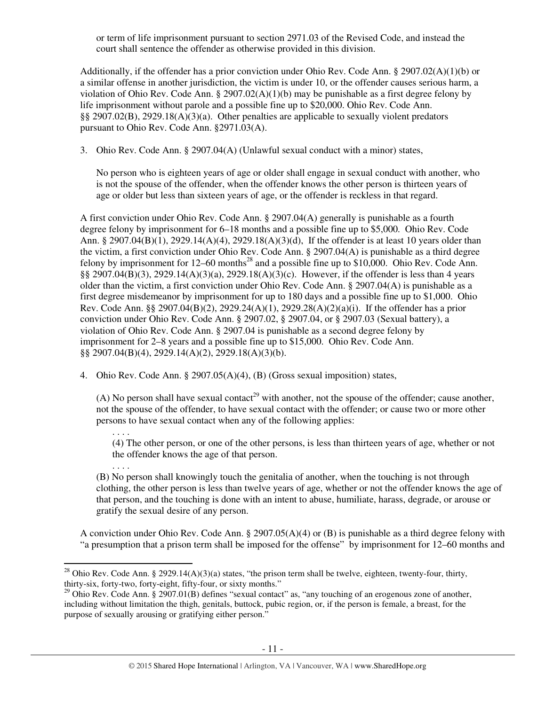or term of life imprisonment pursuant to section 2971.03 of the Revised Code, and instead the court shall sentence the offender as otherwise provided in this division.

Additionally, if the offender has a prior conviction under Ohio Rev. Code Ann. § 2907.02(A)(1)(b) or a similar offense in another jurisdiction, the victim is under 10, or the offender causes serious harm, a violation of Ohio Rev. Code Ann.  $\S$  2907.02(A)(1)(b) may be punishable as a first degree felony by life imprisonment without parole and a possible fine up to \$20,000. Ohio Rev. Code Ann. §§ 2907.02(B), 2929.18(A)(3)(a). Other penalties are applicable to sexually violent predators pursuant to Ohio Rev. Code Ann. §2971.03(A).

3. Ohio Rev. Code Ann. § 2907.04(A) (Unlawful sexual conduct with a minor) states,

No person who is eighteen years of age or older shall engage in sexual conduct with another, who is not the spouse of the offender, when the offender knows the other person is thirteen years of age or older but less than sixteen years of age, or the offender is reckless in that regard.

A first conviction under Ohio Rev. Code Ann. § 2907.04(A) generally is punishable as a fourth degree felony by imprisonment for 6–18 months and a possible fine up to \$5,000. Ohio Rev. Code Ann. § 2907.04(B)(1), 2929.14(A)(4), 2929.18(A)(3)(d), If the offender is at least 10 years older than the victim, a first conviction under Ohio Rev. Code Ann. § 2907.04(A) is punishable as a third degree felony by imprisonment for  $12-60$  months<sup>28</sup> and a possible fine up to \$10,000. Ohio Rev. Code Ann. §§ 2907.04(B)(3), 2929.14(A)(3)(a), 2929.18(A)(3)(c). However, if the offender is less than 4 years older than the victim, a first conviction under Ohio Rev. Code Ann. § 2907.04(A) is punishable as a first degree misdemeanor by imprisonment for up to 180 days and a possible fine up to \$1,000. Ohio Rev. Code Ann. §§ 2907.04(B)(2), 2929.24(A)(1), 2929.28(A)(2)(a)(i). If the offender has a prior conviction under Ohio Rev. Code Ann. § 2907.02, § 2907.04, or § 2907.03 (Sexual battery), a violation of Ohio Rev. Code Ann. § 2907.04 is punishable as a second degree felony by imprisonment for 2–8 years and a possible fine up to \$15,000. Ohio Rev. Code Ann. §§ 2907.04(B)(4), 2929.14(A)(2), 2929.18(A)(3)(b).

4. Ohio Rev. Code Ann. § 2907.05(A)(4), (B) (Gross sexual imposition) states,

. . . .

l

(A) No person shall have sexual contact<sup>29</sup> with another, not the spouse of the offender; cause another, not the spouse of the offender, to have sexual contact with the offender; or cause two or more other persons to have sexual contact when any of the following applies:

. . . . (4) The other person, or one of the other persons, is less than thirteen years of age, whether or not the offender knows the age of that person.

(B) No person shall knowingly touch the genitalia of another, when the touching is not through clothing, the other person is less than twelve years of age, whether or not the offender knows the age of that person, and the touching is done with an intent to abuse, humiliate, harass, degrade, or arouse or gratify the sexual desire of any person.

A conviction under Ohio Rev. Code Ann.  $\S$  2907.05(A)(4) or (B) is punishable as a third degree felony with "a presumption that a prison term shall be imposed for the offense" by imprisonment for 12–60 months and

<sup>&</sup>lt;sup>28</sup> Ohio Rev. Code Ann. § 2929.14(A)(3)(a) states, "the prison term shall be twelve, eighteen, twenty-four, thirty, thirty-six, forty-two, forty-eight, fifty-four, or sixty months."

<sup>&</sup>lt;sup>29</sup> Ohio Rev. Code Ann. § 2907.01(B) defines "sexual contact" as, "any touching of an erogenous zone of another, including without limitation the thigh, genitals, buttock, pubic region, or, if the person is female, a breast, for the purpose of sexually arousing or gratifying either person."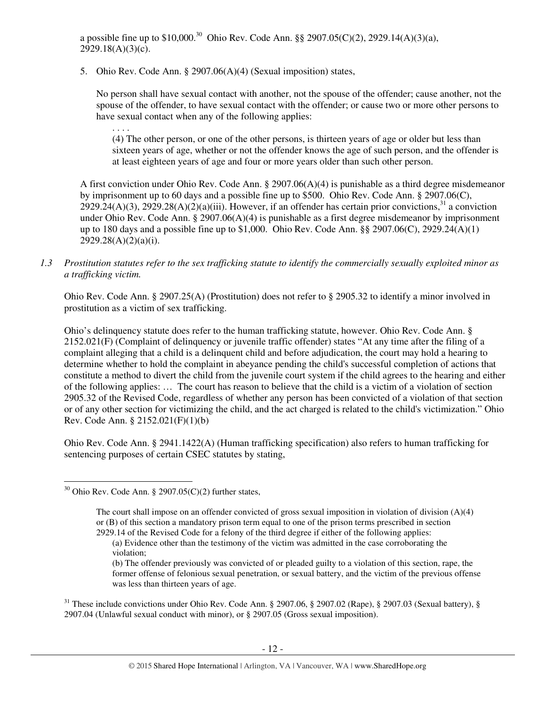a possible fine up to  $$10,000$ <sup>30</sup> Ohio Rev. Code Ann. §§ 2907.05(C)(2), 2929.14(A)(3)(a), 2929.18(A)(3)(c).

5. Ohio Rev. Code Ann. § 2907.06(A)(4) (Sexual imposition) states,

. . . .

No person shall have sexual contact with another, not the spouse of the offender; cause another, not the spouse of the offender, to have sexual contact with the offender; or cause two or more other persons to have sexual contact when any of the following applies:

(4) The other person, or one of the other persons, is thirteen years of age or older but less than sixteen years of age, whether or not the offender knows the age of such person, and the offender is at least eighteen years of age and four or more years older than such other person.

A first conviction under Ohio Rev. Code Ann. § 2907.06(A)(4) is punishable as a third degree misdemeanor by imprisonment up to 60 days and a possible fine up to \$500. Ohio Rev. Code Ann. § 2907.06(C),  $2929.24(A)(3)$ ,  $2929.28(A)(2)(a)(iii)$ . However, if an offender has certain prior convictions,<sup>31</sup> a conviction under Ohio Rev. Code Ann. § 2907.06(A)(4) is punishable as a first degree misdemeanor by imprisonment up to 180 days and a possible fine up to  $$1,000$ . Ohio Rev. Code Ann.  $\S$ § 2907.06(C), 2929.24(A)(1)  $2929.28(A)(2)(a)(i)$ .

*1.3 Prostitution statutes refer to the sex trafficking statute to identify the commercially sexually exploited minor as a trafficking victim.* 

Ohio Rev. Code Ann. § 2907.25(A) (Prostitution) does not refer to § 2905.32 to identify a minor involved in prostitution as a victim of sex trafficking.

Ohio's delinquency statute does refer to the human trafficking statute, however. Ohio Rev. Code Ann. § 2152.021(F) (Complaint of delinquency or juvenile traffic offender) states "At any time after the filing of a complaint alleging that a child is a delinquent child and before adjudication, the court may hold a hearing to determine whether to hold the complaint in abeyance pending the child's successful completion of actions that constitute a method to divert the child from the juvenile court system if the child agrees to the hearing and either of the following applies: … The court has reason to believe that the child is a victim of a violation of section 2905.32 of the Revised Code, regardless of whether any person has been convicted of a violation of that section or of any other section for victimizing the child, and the act charged is related to the child's victimization." Ohio Rev. Code Ann. § 2152.021(F)(1)(b)

Ohio Rev. Code Ann. § 2941.1422(A) (Human trafficking specification) also refers to human trafficking for sentencing purposes of certain CSEC statutes by stating,

 $30$  Ohio Rev. Code Ann. § 2907.05(C)(2) further states,

The court shall impose on an offender convicted of gross sexual imposition in violation of division (A)(4) or (B) of this section a mandatory prison term equal to one of the prison terms prescribed in section 2929.14 of the Revised Code for a felony of the third degree if either of the following applies:

<sup>(</sup>a) Evidence other than the testimony of the victim was admitted in the case corroborating the violation;

<sup>(</sup>b) The offender previously was convicted of or pleaded guilty to a violation of this section, rape, the former offense of felonious sexual penetration, or sexual battery, and the victim of the previous offense was less than thirteen years of age.

<sup>&</sup>lt;sup>31</sup> These include convictions under Ohio Rev. Code Ann. § 2907.06, § 2907.02 (Rape), § 2907.03 (Sexual battery), § 2907.04 (Unlawful sexual conduct with minor), or § 2907.05 (Gross sexual imposition).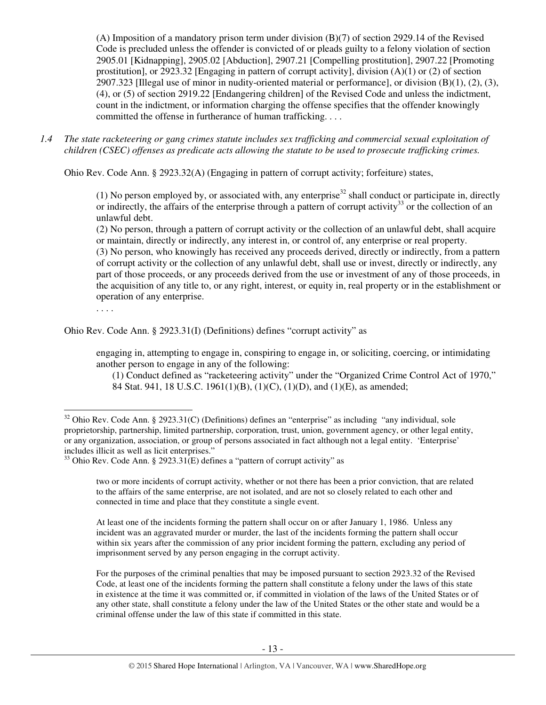(A) Imposition of a mandatory prison term under division (B)(7) of section 2929.14 of the Revised Code is precluded unless the offender is convicted of or pleads guilty to a felony violation of section 2905.01 [Kidnapping], 2905.02 [Abduction], 2907.21 [Compelling prostitution], 2907.22 [Promoting prostitution], or 2923.32 [Engaging in pattern of corrupt activity], division (A)(1) or (2) of section 2907.323 [Illegal use of minor in nudity-oriented material or performance], or division  $(B)(1)$ ,  $(2)$ ,  $(3)$ , (4), or (5) of section 2919.22 [Endangering children] of the Revised Code and unless the indictment, count in the indictment, or information charging the offense specifies that the offender knowingly committed the offense in furtherance of human trafficking. . . .

*1.4 The state racketeering or gang crimes statute includes sex trafficking and commercial sexual exploitation of children (CSEC) offenses as predicate acts allowing the statute to be used to prosecute trafficking crimes.* 

Ohio Rev. Code Ann. § 2923.32(A) (Engaging in pattern of corrupt activity; forfeiture) states,

(1) No person employed by, or associated with, any enterprise<sup>32</sup> shall conduct or participate in, directly or indirectly, the affairs of the enterprise through a pattern of corrupt activity<sup>33</sup> or the collection of an unlawful debt.

(2) No person, through a pattern of corrupt activity or the collection of an unlawful debt, shall acquire or maintain, directly or indirectly, any interest in, or control of, any enterprise or real property.

(3) No person, who knowingly has received any proceeds derived, directly or indirectly, from a pattern of corrupt activity or the collection of any unlawful debt, shall use or invest, directly or indirectly, any part of those proceeds, or any proceeds derived from the use or investment of any of those proceeds, in the acquisition of any title to, or any right, interest, or equity in, real property or in the establishment or operation of any enterprise.

. . . .

 $\overline{a}$ 

Ohio Rev. Code Ann. § 2923.31(I) (Definitions) defines "corrupt activity" as

engaging in, attempting to engage in, conspiring to engage in, or soliciting, coercing, or intimidating another person to engage in any of the following:

(1) Conduct defined as "racketeering activity" under the "Organized Crime Control Act of 1970," 84 Stat. 941, 18 U.S.C. 1961(1)(B), (1)(C), (1)(D), and (1)(E), as amended;

At least one of the incidents forming the pattern shall occur on or after January 1, 1986. Unless any incident was an aggravated murder or murder, the last of the incidents forming the pattern shall occur within six years after the commission of any prior incident forming the pattern, excluding any period of imprisonment served by any person engaging in the corrupt activity.

For the purposes of the criminal penalties that may be imposed pursuant to section 2923.32 of the Revised Code, at least one of the incidents forming the pattern shall constitute a felony under the laws of this state in existence at the time it was committed or, if committed in violation of the laws of the United States or of any other state, shall constitute a felony under the law of the United States or the other state and would be a criminal offense under the law of this state if committed in this state.

<sup>32</sup> Ohio Rev. Code Ann. § 2923.31(C) (Definitions) defines an "enterprise" as including "any individual, sole proprietorship, partnership, limited partnership, corporation, trust, union, government agency, or other legal entity, or any organization, association, or group of persons associated in fact although not a legal entity. 'Enterprise' includes illicit as well as licit enterprises."

 $33$  Ohio Rev. Code Ann. § 2923.31(E) defines a "pattern of corrupt activity" as

two or more incidents of corrupt activity, whether or not there has been a prior conviction, that are related to the affairs of the same enterprise, are not isolated, and are not so closely related to each other and connected in time and place that they constitute a single event.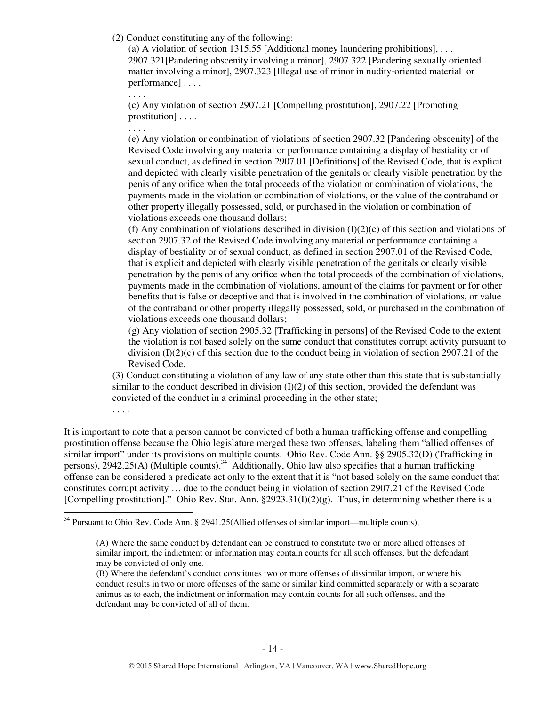(2) Conduct constituting any of the following:

. . . .

. . . .

(a) A violation of section 1315.55 [Additional money laundering prohibitions], . . . 2907.321[Pandering obscenity involving a minor], 2907.322 [Pandering sexually oriented matter involving a minor], 2907.323 [Illegal use of minor in nudity-oriented material or performance] . . . .

(c) Any violation of section 2907.21 [Compelling prostitution], 2907.22 [Promoting prostitution] . . . .

(e) Any violation or combination of violations of section 2907.32 [Pandering obscenity] of the Revised Code involving any material or performance containing a display of bestiality or of sexual conduct, as defined in section 2907.01 [Definitions] of the Revised Code, that is explicit and depicted with clearly visible penetration of the genitals or clearly visible penetration by the penis of any orifice when the total proceeds of the violation or combination of violations, the payments made in the violation or combination of violations, or the value of the contraband or other property illegally possessed, sold, or purchased in the violation or combination of violations exceeds one thousand dollars;

(f) Any combination of violations described in division  $(I)(2)(c)$  of this section and violations of section 2907.32 of the Revised Code involving any material or performance containing a display of bestiality or of sexual conduct, as defined in section 2907.01 of the Revised Code, that is explicit and depicted with clearly visible penetration of the genitals or clearly visible penetration by the penis of any orifice when the total proceeds of the combination of violations, payments made in the combination of violations, amount of the claims for payment or for other benefits that is false or deceptive and that is involved in the combination of violations, or value of the contraband or other property illegally possessed, sold, or purchased in the combination of violations exceeds one thousand dollars;

(g) Any violation of section 2905.32 [Trafficking in persons] of the Revised Code to the extent the violation is not based solely on the same conduct that constitutes corrupt activity pursuant to division  $(I)(2)(c)$  of this section due to the conduct being in violation of section 2907.21 of the Revised Code.

(3) Conduct constituting a violation of any law of any state other than this state that is substantially similar to the conduct described in division  $(I)(2)$  of this section, provided the defendant was convicted of the conduct in a criminal proceeding in the other state;

. . . .

It is important to note that a person cannot be convicted of both a human trafficking offense and compelling prostitution offense because the Ohio legislature merged these two offenses, labeling them "allied offenses of similar import" under its provisions on multiple counts. Ohio Rev. Code Ann. §§ 2905.32(D) (Trafficking in persons),  $2942.25(A)$  (Multiple counts).<sup>34</sup> Additionally, Ohio law also specifies that a human trafficking offense can be considered a predicate act only to the extent that it is "not based solely on the same conduct that constitutes corrupt activity … due to the conduct being in violation of section 2907.21 of the Revised Code [Compelling prostitution]." Ohio Rev. Stat. Ann. §2923.31(I)(2)(g). Thus, in determining whether there is a l

<sup>34</sup> Pursuant to Ohio Rev. Code Ann. § 2941.25(Allied offenses of similar import—multiple counts),

<sup>(</sup>A) Where the same conduct by defendant can be construed to constitute two or more allied offenses of similar import, the indictment or information may contain counts for all such offenses, but the defendant may be convicted of only one.

<sup>(</sup>B) Where the defendant's conduct constitutes two or more offenses of dissimilar import, or where his conduct results in two or more offenses of the same or similar kind committed separately or with a separate animus as to each, the indictment or information may contain counts for all such offenses, and the defendant may be convicted of all of them.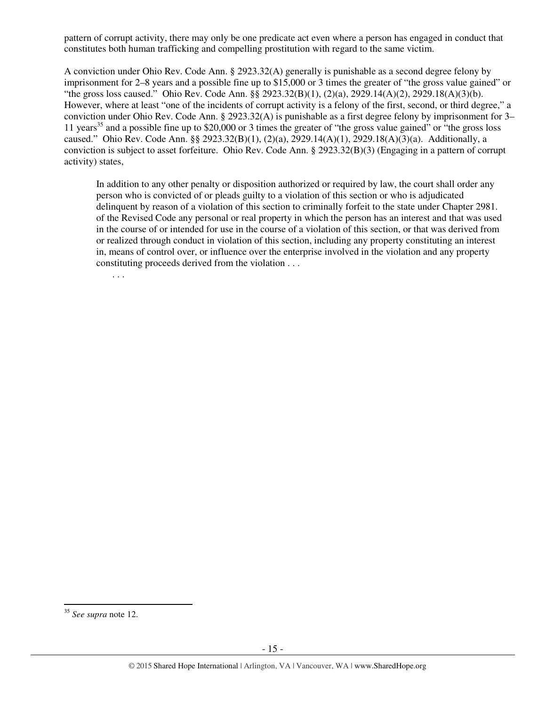pattern of corrupt activity, there may only be one predicate act even where a person has engaged in conduct that constitutes both human trafficking and compelling prostitution with regard to the same victim.

A conviction under Ohio Rev. Code Ann. § 2923.32(A) generally is punishable as a second degree felony by imprisonment for 2–8 years and a possible fine up to \$15,000 or 3 times the greater of "the gross value gained" or "the gross loss caused." Ohio Rev. Code Ann. §§ 2923.32(B)(1), (2)(a), 2929.14(A)(2), 2929.18(A)(3)(b). However, where at least "one of the incidents of corrupt activity is a felony of the first, second, or third degree," a conviction under Ohio Rev. Code Ann. § 2923.32(A) is punishable as a first degree felony by imprisonment for 3– 11 years<sup>35</sup> and a possible fine up to \$20,000 or 3 times the greater of "the gross value gained" or "the gross loss caused." Ohio Rev. Code Ann. §§ 2923.32(B)(1), (2)(a), 2929.14(A)(1), 2929.18(A)(3)(a). Additionally, a conviction is subject to asset forfeiture. Ohio Rev. Code Ann. § 2923.32(B)(3) (Engaging in a pattern of corrupt activity) states,

In addition to any other penalty or disposition authorized or required by law, the court shall order any person who is convicted of or pleads guilty to a violation of this section or who is adjudicated delinquent by reason of a violation of this section to criminally forfeit to the state under Chapter 2981. of the Revised Code any personal or real property in which the person has an interest and that was used in the course of or intended for use in the course of a violation of this section, or that was derived from or realized through conduct in violation of this section, including any property constituting an interest in, means of control over, or influence over the enterprise involved in the violation and any property constituting proceeds derived from the violation . . .

. . .

<sup>35</sup> *See supra* note 12.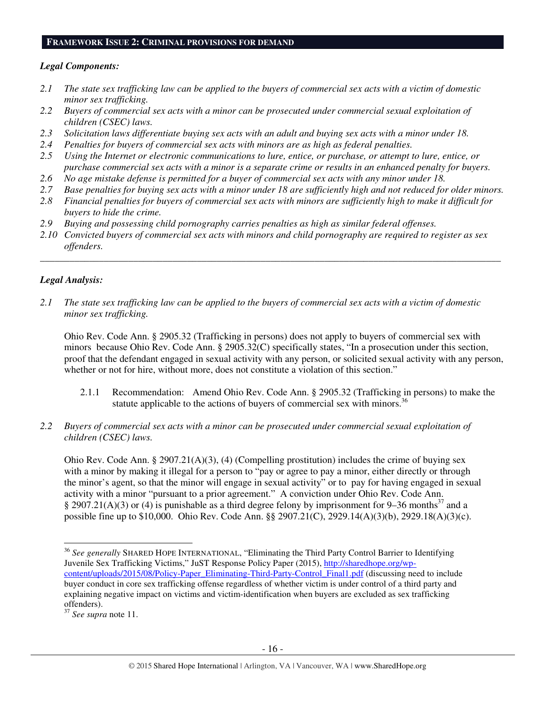#### **FRAMEWORK ISSUE 2: CRIMINAL PROVISIONS FOR DEMAND**

## *Legal Components:*

- *2.1 The state sex trafficking law can be applied to the buyers of commercial sex acts with a victim of domestic minor sex trafficking.*
- *2.2 Buyers of commercial sex acts with a minor can be prosecuted under commercial sexual exploitation of children (CSEC) laws.*
- *2.3 Solicitation laws differentiate buying sex acts with an adult and buying sex acts with a minor under 18.*
- *2.4 Penalties for buyers of commercial sex acts with minors are as high as federal penalties.*
- *2.5 Using the Internet or electronic communications to lure, entice, or purchase, or attempt to lure, entice, or purchase commercial sex acts with a minor is a separate crime or results in an enhanced penalty for buyers.*
- *2.6 No age mistake defense is permitted for a buyer of commercial sex acts with any minor under 18.*
- *2.7 Base penalties for buying sex acts with a minor under 18 are sufficiently high and not reduced for older minors.*
- *2.8 Financial penalties for buyers of commercial sex acts with minors are sufficiently high to make it difficult for buyers to hide the crime.*
- *2.9 Buying and possessing child pornography carries penalties as high as similar federal offenses.*
- *2.10 Convicted buyers of commercial sex acts with minors and child pornography are required to register as sex offenders.*

\_\_\_\_\_\_\_\_\_\_\_\_\_\_\_\_\_\_\_\_\_\_\_\_\_\_\_\_\_\_\_\_\_\_\_\_\_\_\_\_\_\_\_\_\_\_\_\_\_\_\_\_\_\_\_\_\_\_\_\_\_\_\_\_\_\_\_\_\_\_\_\_\_\_\_\_\_\_\_\_\_\_\_\_\_\_\_\_\_\_\_\_\_\_

## *Legal Analysis:*

*2.1 The state sex trafficking law can be applied to the buyers of commercial sex acts with a victim of domestic minor sex trafficking.* 

Ohio Rev. Code Ann. § 2905.32 (Trafficking in persons) does not apply to buyers of commercial sex with minors because Ohio Rev. Code Ann. § 2905.32(C) specifically states, "In a prosecution under this section, proof that the defendant engaged in sexual activity with any person, or solicited sexual activity with any person, whether or not for hire, without more, does not constitute a violation of this section."

- 2.1.1 Recommendation: Amend Ohio Rev. Code Ann. § 2905.32 (Trafficking in persons) to make the statute applicable to the actions of buyers of commercial sex with minors.<sup>36</sup>
- *2.2 Buyers of commercial sex acts with a minor can be prosecuted under commercial sexual exploitation of children (CSEC) laws.*

Ohio Rev. Code Ann. § 2907.21(A)(3), (4) (Compelling prostitution) includes the crime of buying sex with a minor by making it illegal for a person to "pay or agree to pay a minor, either directly or through the minor's agent, so that the minor will engage in sexual activity" or to pay for having engaged in sexual activity with a minor "pursuant to a prior agreement." A conviction under Ohio Rev. Code Ann. § 2907.21(A)(3) or (4) is punishable as a third degree felony by imprisonment for 9–36 months<sup>37</sup> and a possible fine up to \$10,000. Ohio Rev. Code Ann. §§ 2907.21(C), 2929.14(A)(3)(b), 2929.18(A)(3)(c).

<sup>&</sup>lt;sup>36</sup> See generally SHARED HOPE INTERNATIONAL, "Eliminating the Third Party Control Barrier to Identifying Juvenile Sex Trafficking Victims," JuST Response Policy Paper (2015), http://sharedhope.org/wpcontent/uploads/2015/08/Policy-Paper\_Eliminating-Third-Party-Control\_Final1.pdf (discussing need to include buyer conduct in core sex trafficking offense regardless of whether victim is under control of a third party and

explaining negative impact on victims and victim-identification when buyers are excluded as sex trafficking offenders).

<sup>37</sup> *See supra* note 11.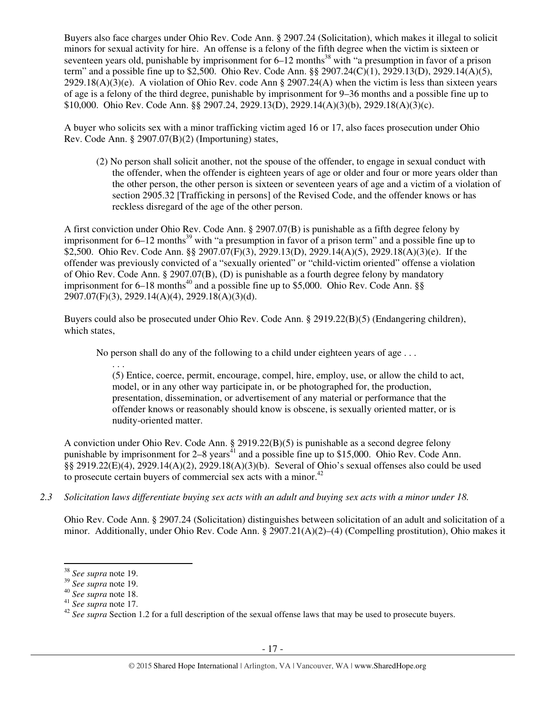Buyers also face charges under Ohio Rev. Code Ann. § 2907.24 (Solicitation), which makes it illegal to solicit minors for sexual activity for hire. An offense is a felony of the fifth degree when the victim is sixteen or seventeen years old, punishable by imprisonment for  $6-12$  months<sup>38</sup> with "a presumption in favor of a prison term" and a possible fine up to \$2,500. Ohio Rev. Code Ann. §§ 2907.24(C)(1), 2929.13(D), 2929.14(A)(5),  $2929.18(A)(3)(e)$ . A violation of Ohio Rev. code Ann § 2907.24(A) when the victim is less than sixteen years of age is a felony of the third degree, punishable by imprisonment for 9–36 months and a possible fine up to \$10,000. Ohio Rev. Code Ann. §§ 2907.24, 2929.13(D), 2929.14(A)(3)(b), 2929.18(A)(3)(c).

A buyer who solicits sex with a minor trafficking victim aged 16 or 17, also faces prosecution under Ohio Rev. Code Ann. § 2907.07(B)(2) (Importuning) states,

(2) No person shall solicit another, not the spouse of the offender, to engage in sexual conduct with the offender, when the offender is eighteen years of age or older and four or more years older than the other person, the other person is sixteen or seventeen years of age and a victim of a violation of section 2905.32 [Trafficking in persons] of the Revised Code, and the offender knows or has reckless disregard of the age of the other person.

A first conviction under Ohio Rev. Code Ann. § 2907.07(B) is punishable as a fifth degree felony by imprisonment for  $6-12$  months<sup>39</sup> with "a presumption in favor of a prison term" and a possible fine up to \$2,500. Ohio Rev. Code Ann. §§ 2907.07(F)(3), 2929.13(D), 2929.14(A)(5), 2929.18(A)(3)(e). If the offender was previously convicted of a "sexually oriented" or "child-victim oriented" offense a violation of Ohio Rev. Code Ann. § 2907.07(B), (D) is punishable as a fourth degree felony by mandatory imprisonment for  $6-18$  months<sup>40</sup> and a possible fine up to \$5,000. Ohio Rev. Code Ann. §§ 2907.07(F)(3), 2929.14(A)(4), 2929.18(A)(3)(d).

Buyers could also be prosecuted under Ohio Rev. Code Ann. § 2919.22(B)(5) (Endangering children), which states,

No person shall do any of the following to a child under eighteen years of age . . .

. . . (5) Entice, coerce, permit, encourage, compel, hire, employ, use, or allow the child to act, model, or in any other way participate in, or be photographed for, the production, presentation, dissemination, or advertisement of any material or performance that the offender knows or reasonably should know is obscene, is sexually oriented matter, or is nudity-oriented matter.

A conviction under Ohio Rev. Code Ann. § 2919.22(B)(5) is punishable as a second degree felony punishable by imprisonment for  $2-8$  years<sup>41</sup> and a possible fine up to \$15,000. Ohio Rev. Code Ann.  $\S$ § 2919.22(E)(4), 2929.14(A)(2), 2929.18(A)(3)(b). Several of Ohio's sexual offenses also could be used to prosecute certain buyers of commercial sex acts with a minor.<sup>42</sup>

*2.3 Solicitation laws differentiate buying sex acts with an adult and buying sex acts with a minor under 18.* 

Ohio Rev. Code Ann. § 2907.24 (Solicitation) distinguishes between solicitation of an adult and solicitation of a minor. Additionally, under Ohio Rev. Code Ann. § 2907.21(A)(2)–(4) (Compelling prostitution), Ohio makes it

<sup>38</sup> *See supra* note 19.

<sup>39</sup> *See supra* note 19.

<sup>40</sup> *See supra* note 18.

<sup>41</sup> *See supra* note 17.

<sup>&</sup>lt;sup>42</sup> See supra Section 1.2 for a full description of the sexual offense laws that may be used to prosecute buyers.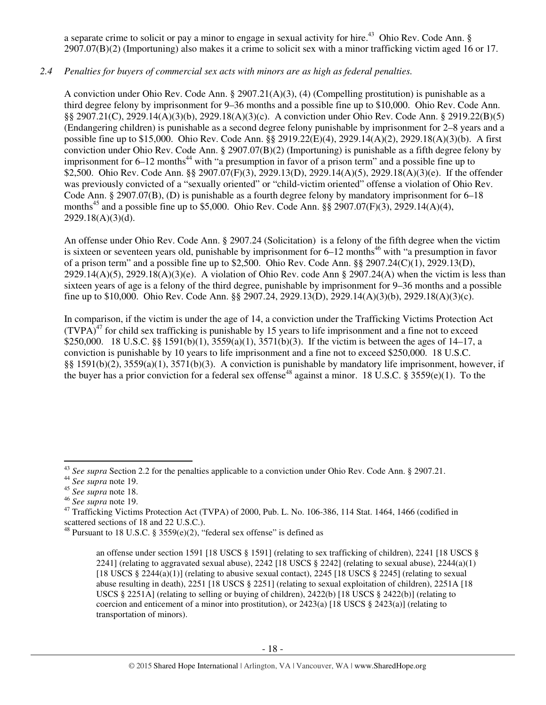a separate crime to solicit or pay a minor to engage in sexual activity for hire.<sup>43</sup> Ohio Rev. Code Ann. § 2907.07(B)(2) (Importuning) also makes it a crime to solicit sex with a minor trafficking victim aged 16 or 17.

## *2.4 Penalties for buyers of commercial sex acts with minors are as high as federal penalties.*

A conviction under Ohio Rev. Code Ann. § 2907.21(A)(3), (4) (Compelling prostitution) is punishable as a third degree felony by imprisonment for 9–36 months and a possible fine up to \$10,000. Ohio Rev. Code Ann. §§ 2907.21(C), 2929.14(A)(3)(b), 2929.18(A)(3)(c). A conviction under Ohio Rev. Code Ann. § 2919.22(B)(5) (Endangering children) is punishable as a second degree felony punishable by imprisonment for 2–8 years and a possible fine up to \$15,000. Ohio Rev. Code Ann. §§ 2919.22(E)(4), 2929.14(A)(2), 2929.18(A)(3)(b). A first conviction under Ohio Rev. Code Ann. § 2907.07(B)(2) (Importuning) is punishable as a fifth degree felony by imprisonment for  $6-12$  months<sup>44</sup> with "a presumption in favor of a prison term" and a possible fine up to \$2,500. Ohio Rev. Code Ann. §§ 2907.07(F)(3), 2929.13(D), 2929.14(A)(5), 2929.18(A)(3)(e). If the offender was previously convicted of a "sexually oriented" or "child-victim oriented" offense a violation of Ohio Rev. Code Ann. § 2907.07(B), (D) is punishable as a fourth degree felony by mandatory imprisonment for 6–18 months<sup>45</sup> and a possible fine up to \$5,000. Ohio Rev. Code Ann.  $\S$ § 2907.07(F)(3), 2929.14(A)(4), 2929.18(A)(3)(d).

An offense under Ohio Rev. Code Ann. § 2907.24 (Solicitation) is a felony of the fifth degree when the victim is sixteen or seventeen years old, punishable by imprisonment for  $6-12$  months<sup>46</sup> with "a presumption in favor of a prison term" and a possible fine up to \$2,500. Ohio Rev. Code Ann. §§ 2907.24(C)(1), 2929.13(D), 2929.14(A)(5), 2929.18(A)(3)(e). A violation of Ohio Rev. code Ann § 2907.24(A) when the victim is less than sixteen years of age is a felony of the third degree, punishable by imprisonment for 9–36 months and a possible fine up to \$10,000. Ohio Rev. Code Ann. §§ 2907.24, 2929.13(D), 2929.14(A)(3)(b), 2929.18(A)(3)(c).

In comparison, if the victim is under the age of 14, a conviction under the Trafficking Victims Protection Act  $(TVPA)<sup>47</sup>$  for child sex trafficking is punishable by 15 years to life imprisonment and a fine not to exceed \$250,000. 18 U.S.C. §§ 1591(b)(1), 3559(a)(1), 3571(b)(3). If the victim is between the ages of 14–17, a conviction is punishable by 10 years to life imprisonment and a fine not to exceed \$250,000. 18 U.S.C. §§ 1591(b)(2), 3559(a)(1), 3571(b)(3). A conviction is punishable by mandatory life imprisonment, however, if the buyer has a prior conviction for a federal sex offense<sup>48</sup> against a minor. 18 U.S.C. § 3559(e)(1). To the

<sup>43</sup> *See supra* Section 2.2 for the penalties applicable to a conviction under Ohio Rev. Code Ann. § 2907.21.

<sup>44</sup> *See supra* note 19.

<sup>45</sup> *See supra* note 18.

<sup>46</sup> *See supra* note 19.

 $47$  Trafficking Victims Protection Act (TVPA) of 2000, Pub. L. No. 106-386, 114 Stat. 1464, 1466 (codified in scattered sections of 18 and 22 U.S.C.).

<sup>&</sup>lt;sup>48</sup> Pursuant to 18 U.S.C. § 3559 $(e)(2)$ , "federal sex offense" is defined as

an offense under section 1591 [18 USCS § 1591] (relating to sex trafficking of children), 2241 [18 USCS § 2241] (relating to aggravated sexual abuse), 2242 [18 USCS  $\S$  2242] (relating to sexual abuse), 2244(a)(1) [18 USCS  $\S$  2244(a)(1)] (relating to abusive sexual contact), 2245 [18 USCS  $\S$  2245] (relating to sexual abuse resulting in death), 2251 [18 USCS § 2251] (relating to sexual exploitation of children), 2251A [18 USCS § 2251A] (relating to selling or buying of children),  $2422(b)$  [18 USCS § 2422(b)] (relating to coercion and enticement of a minor into prostitution), or  $2423(a)$  [18 USCS § 2423(a)] (relating to transportation of minors).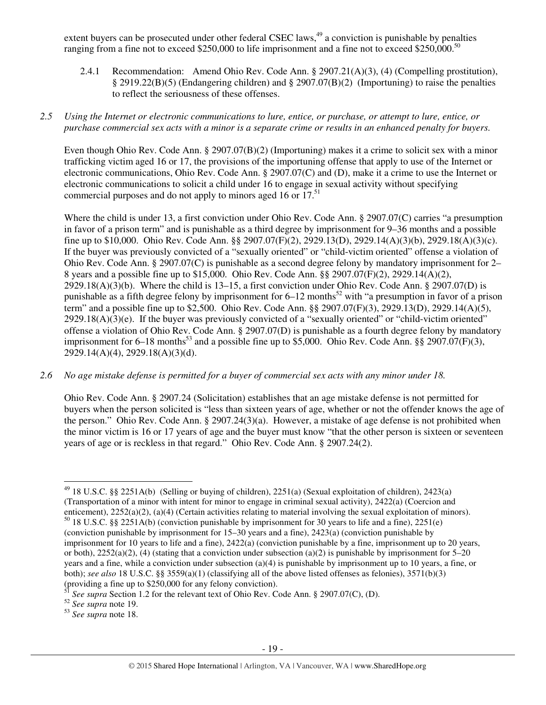extent buyers can be prosecuted under other federal CSEC laws,<sup>49</sup> a conviction is punishable by penalties ranging from a fine not to exceed \$250,000 to life imprisonment and a fine not to exceed \$250,000.<sup>50</sup>

2.4.1 Recommendation: Amend Ohio Rev. Code Ann. § 2907.21(A)(3), (4) (Compelling prostitution), § 2919.22(B)(5) (Endangering children) and § 2907.07(B)(2) (Importuning) to raise the penalties to reflect the seriousness of these offenses.

## *2.5 Using the Internet or electronic communications to lure, entice, or purchase, or attempt to lure, entice, or purchase commercial sex acts with a minor is a separate crime or results in an enhanced penalty for buyers.*

Even though Ohio Rev. Code Ann. § 2907.07(B)(2) (Importuning) makes it a crime to solicit sex with a minor trafficking victim aged 16 or 17, the provisions of the importuning offense that apply to use of the Internet or electronic communications, Ohio Rev. Code Ann. § 2907.07(C) and (D), make it a crime to use the Internet or electronic communications to solicit a child under 16 to engage in sexual activity without specifying commercial purposes and do not apply to minors aged 16 or  $17<sup>51</sup>$ 

Where the child is under 13, a first conviction under Ohio Rev. Code Ann. § 2907.07(C) carries "a presumption in favor of a prison term" and is punishable as a third degree by imprisonment for 9–36 months and a possible fine up to \$10,000. Ohio Rev. Code Ann. §§ 2907.07(F)(2), 2929.13(D), 2929.14(A)(3)(b), 2929.18(A)(3)(c). If the buyer was previously convicted of a "sexually oriented" or "child-victim oriented" offense a violation of Ohio Rev. Code Ann. § 2907.07(C) is punishable as a second degree felony by mandatory imprisonment for 2– 8 years and a possible fine up to \$15,000. Ohio Rev. Code Ann. §§ 2907.07(F)(2), 2929.14(A)(2), 2929.18(A)(3)(b). Where the child is 13–15, a first conviction under Ohio Rev. Code Ann. § 2907.07(D) is punishable as a fifth degree felony by imprisonment for  $6-12$  months<sup>52</sup> with "a presumption in favor of a prison term" and a possible fine up to \$2,500. Ohio Rev. Code Ann. §§ 2907.07(F)(3), 2929.13(D), 2929.14(A)(5),  $2929.18(A)(3)(e)$ . If the buyer was previously convicted of a "sexually oriented" or "child-victim oriented" offense a violation of Ohio Rev. Code Ann. § 2907.07(D) is punishable as a fourth degree felony by mandatory imprisonment for  $6-18$  months<sup>53</sup> and a possible fine up to \$5,000. Ohio Rev. Code Ann. §§ 2907.07(F)(3), 2929.14(A)(4), 2929.18(A)(3)(d).

### *2.6 No age mistake defense is permitted for a buyer of commercial sex acts with any minor under 18.*

Ohio Rev. Code Ann. § 2907.24 (Solicitation) establishes that an age mistake defense is not permitted for buyers when the person solicited is "less than sixteen years of age, whether or not the offender knows the age of the person." Ohio Rev. Code Ann. § 2907.24(3)(a). However, a mistake of age defense is not prohibited when the minor victim is 16 or 17 years of age and the buyer must know "that the other person is sixteen or seventeen years of age or is reckless in that regard." Ohio Rev. Code Ann. § 2907.24(2).

<sup>49</sup> 18 U.S.C. §§ 2251A(b) (Selling or buying of children), 2251(a) (Sexual exploitation of children), 2423(a) (Transportation of a minor with intent for minor to engage in criminal sexual activity), 2422(a) (Coercion and enticement), 2252(a)(2), (a)(4) (Certain activities relating to material involving the sexual exploitation of minors).

<sup>50</sup> 18 U.S.C. §§ 2251A(b) (conviction punishable by imprisonment for 30 years to life and a fine), 2251(e) (conviction punishable by imprisonment for 15–30 years and a fine), 2423(a) (conviction punishable by imprisonment for 10 years to life and a fine), 2422(a) (conviction punishable by a fine, imprisonment up to 20 years, or both), 2252(a)(2), (4) (stating that a conviction under subsection (a)(2) is punishable by imprisonment for 5–20 years and a fine, while a conviction under subsection (a)(4) is punishable by imprisonment up to 10 years, a fine, or both); *see also* 18 U.S.C. §§ 3559(a)(1) (classifying all of the above listed offenses as felonies), 3571(b)(3) (providing a fine up to \$250,000 for any felony conviction).

See supra Section 1.2 for the relevant text of Ohio Rev. Code Ann. § 2907.07(C), (D).

<sup>52</sup> *See supra* note 19.

<sup>53</sup> *See supra* note 18.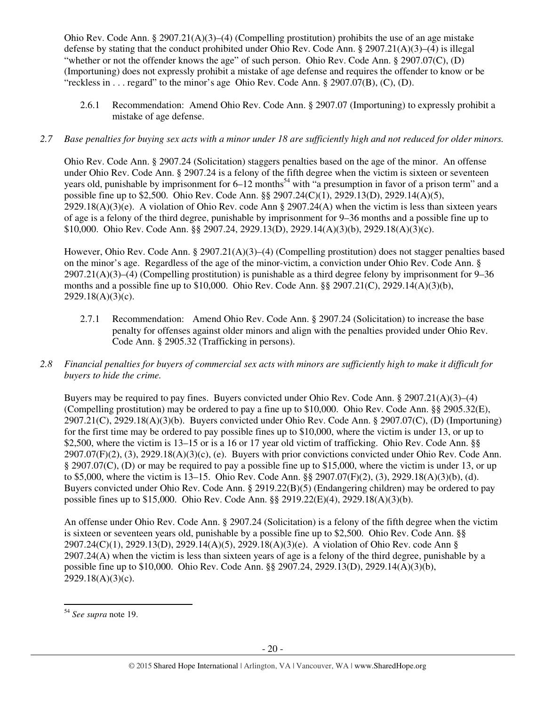Ohio Rev. Code Ann. § 2907.21(A)(3)–(4) (Compelling prostitution) prohibits the use of an age mistake defense by stating that the conduct prohibited under Ohio Rev. Code Ann. § 2907.21(A)(3)–(4) is illegal "whether or not the offender knows the age" of such person. Ohio Rev. Code Ann. § 2907.07(C), (D) (Importuning) does not expressly prohibit a mistake of age defense and requires the offender to know or be "reckless in . . . regard" to the minor's age Ohio Rev. Code Ann.  $\S 2907.07(B)$ , (C), (D).

2.6.1 Recommendation: Amend Ohio Rev. Code Ann. § 2907.07 (Importuning) to expressly prohibit a mistake of age defense.

# *2.7 Base penalties for buying sex acts with a minor under 18 are sufficiently high and not reduced for older minors.*

Ohio Rev. Code Ann. § 2907.24 (Solicitation) staggers penalties based on the age of the minor. An offense under Ohio Rev. Code Ann. § 2907.24 is a felony of the fifth degree when the victim is sixteen or seventeen years old, punishable by imprisonment for  $6-12$  months<sup>54</sup> with "a presumption in favor of a prison term" and a possible fine up to \$2,500. Ohio Rev. Code Ann. §§ 2907.24(C)(1), 2929.13(D), 2929.14(A)(5), 2929.18(A)(3)(e). A violation of Ohio Rev. code Ann § 2907.24(A) when the victim is less than sixteen years of age is a felony of the third degree, punishable by imprisonment for 9–36 months and a possible fine up to \$10,000. Ohio Rev. Code Ann. §§ 2907.24, 2929.13(D), 2929.14(A)(3)(b), 2929.18(A)(3)(c).

However, Ohio Rev. Code Ann. § 2907.21(A)(3)–(4) (Compelling prostitution) does not stagger penalties based on the minor's age. Regardless of the age of the minor-victim, a conviction under Ohio Rev. Code Ann. § 2907.21(A)(3)–(4) (Compelling prostitution) is punishable as a third degree felony by imprisonment for 9–36 months and a possible fine up to \$10,000. Ohio Rev. Code Ann. §§ 2907.21(C), 2929.14(A)(3)(b),  $2929.18(A)(3)(c)$ .

- 2.7.1 Recommendation: Amend Ohio Rev. Code Ann. § 2907.24 (Solicitation) to increase the base penalty for offenses against older minors and align with the penalties provided under Ohio Rev. Code Ann. § 2905.32 (Trafficking in persons).
- *2.8 Financial penalties for buyers of commercial sex acts with minors are sufficiently high to make it difficult for buyers to hide the crime.*

Buyers may be required to pay fines. Buyers convicted under Ohio Rev. Code Ann. § 2907.21(A)(3)–(4) (Compelling prostitution) may be ordered to pay a fine up to \$10,000. Ohio Rev. Code Ann. §§ 2905.32(E), 2907.21(C), 2929.18(A)(3)(b). Buyers convicted under Ohio Rev. Code Ann. § 2907.07(C), (D) (Importuning) for the first time may be ordered to pay possible fines up to \$10,000, where the victim is under 13, or up to \$2,500, where the victim is 13–15 or is a 16 or 17 year old victim of trafficking. Ohio Rev. Code Ann. §§  $2907.07(F)(2)$ , (3),  $2929.18(A)(3)(c)$ , (e). Buyers with prior convictions convicted under Ohio Rev. Code Ann. § 2907.07(C), (D) or may be required to pay a possible fine up to \$15,000, where the victim is under 13, or up to \$5,000, where the victim is 13–15. Ohio Rev. Code Ann. §§ 2907.07(F)(2), (3), 2929.18(A)(3)(b), (d). Buyers convicted under Ohio Rev. Code Ann. § 2919.22(B)(5) (Endangering children) may be ordered to pay possible fines up to \$15,000. Ohio Rev. Code Ann. §§ 2919.22(E)(4), 2929.18(A)(3)(b).

An offense under Ohio Rev. Code Ann. § 2907.24 (Solicitation) is a felony of the fifth degree when the victim is sixteen or seventeen years old, punishable by a possible fine up to \$2,500. Ohio Rev. Code Ann. §§ 2907.24(C)(1), 2929.13(D), 2929.14(A)(5), 2929.18(A)(3)(e). A violation of Ohio Rev. code Ann § 2907.24(A) when the victim is less than sixteen years of age is a felony of the third degree, punishable by a possible fine up to \$10,000. Ohio Rev. Code Ann. §§ 2907.24, 2929.13(D), 2929.14(A)(3)(b), 2929.18(A)(3)(c).

<sup>54</sup> *See supra* note 19.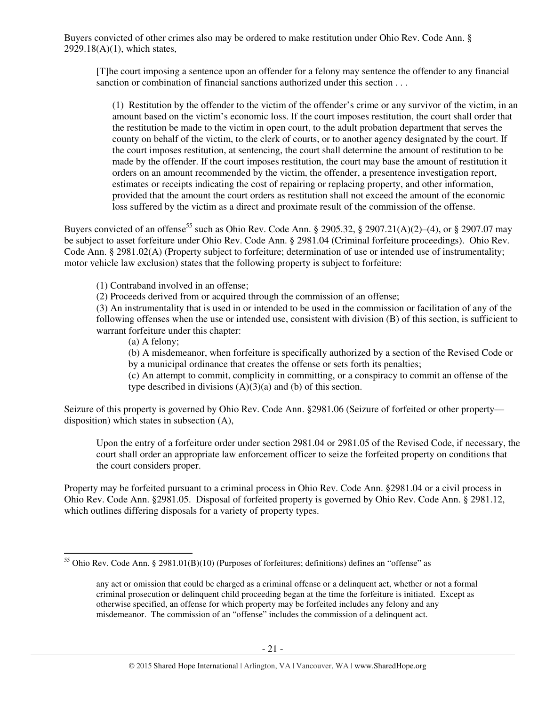Buyers convicted of other crimes also may be ordered to make restitution under Ohio Rev. Code Ann. §  $2929.18(A)(1)$ , which states,

[T]he court imposing a sentence upon an offender for a felony may sentence the offender to any financial sanction or combination of financial sanctions authorized under this section . . .

(1) Restitution by the offender to the victim of the offender's crime or any survivor of the victim, in an amount based on the victim's economic loss. If the court imposes restitution, the court shall order that the restitution be made to the victim in open court, to the adult probation department that serves the county on behalf of the victim, to the clerk of courts, or to another agency designated by the court. If the court imposes restitution, at sentencing, the court shall determine the amount of restitution to be made by the offender. If the court imposes restitution, the court may base the amount of restitution it orders on an amount recommended by the victim, the offender, a presentence investigation report, estimates or receipts indicating the cost of repairing or replacing property, and other information, provided that the amount the court orders as restitution shall not exceed the amount of the economic loss suffered by the victim as a direct and proximate result of the commission of the offense.

Buyers convicted of an offense<sup>55</sup> such as Ohio Rev. Code Ann. § 2905.32, § 2907.21(A)(2)–(4), or § 2907.07 may be subject to asset forfeiture under Ohio Rev. Code Ann. § 2981.04 (Criminal forfeiture proceedings). Ohio Rev. Code Ann. § 2981.02(A) (Property subject to forfeiture; determination of use or intended use of instrumentality; motor vehicle law exclusion) states that the following property is subject to forfeiture:

(1) Contraband involved in an offense;

(2) Proceeds derived from or acquired through the commission of an offense;

(3) An instrumentality that is used in or intended to be used in the commission or facilitation of any of the following offenses when the use or intended use, consistent with division (B) of this section, is sufficient to warrant forfeiture under this chapter:

(a) A felony;

 $\overline{a}$ 

(b) A misdemeanor, when forfeiture is specifically authorized by a section of the Revised Code or by a municipal ordinance that creates the offense or sets forth its penalties;

(c) An attempt to commit, complicity in committing, or a conspiracy to commit an offense of the type described in divisions  $(A)(3)(a)$  and  $(b)$  of this section.

Seizure of this property is governed by Ohio Rev. Code Ann. §2981.06 (Seizure of forfeited or other property disposition) which states in subsection (A),

Upon the entry of a forfeiture order under section 2981.04 or 2981.05 of the Revised Code, if necessary, the court shall order an appropriate law enforcement officer to seize the forfeited property on conditions that the court considers proper.

Property may be forfeited pursuant to a criminal process in Ohio Rev. Code Ann. §2981.04 or a civil process in Ohio Rev. Code Ann. §2981.05. Disposal of forfeited property is governed by Ohio Rev. Code Ann. § 2981.12, which outlines differing disposals for a variety of property types.

<sup>55</sup> Ohio Rev. Code Ann. § 2981.01(B)(10) (Purposes of forfeitures; definitions) defines an "offense" as

any act or omission that could be charged as a criminal offense or a delinquent act, whether or not a formal criminal prosecution or delinquent child proceeding began at the time the forfeiture is initiated. Except as otherwise specified, an offense for which property may be forfeited includes any felony and any misdemeanor. The commission of an "offense" includes the commission of a delinquent act.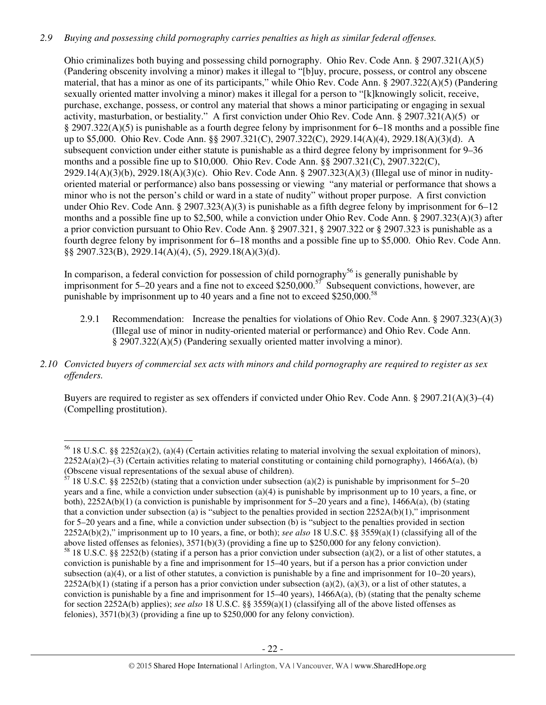# *2.9 Buying and possessing child pornography carries penalties as high as similar federal offenses.*

Ohio criminalizes both buying and possessing child pornography. Ohio Rev. Code Ann. § 2907.321(A)(5) (Pandering obscenity involving a minor) makes it illegal to "[b]uy, procure, possess, or control any obscene material, that has a minor as one of its participants," while Ohio Rev. Code Ann. § 2907.322(A)(5) (Pandering sexually oriented matter involving a minor) makes it illegal for a person to "[k]knowingly solicit, receive, purchase, exchange, possess, or control any material that shows a minor participating or engaging in sexual activity, masturbation, or bestiality." A first conviction under Ohio Rev. Code Ann. § 2907.321(A)(5) or § 2907.322(A)(5) is punishable as a fourth degree felony by imprisonment for 6–18 months and a possible fine up to \$5,000. Ohio Rev. Code Ann. §§ 2907.321(C), 2907.322(C), 2929.14(A)(4), 2929.18(A)(3)(d). A subsequent conviction under either statute is punishable as a third degree felony by imprisonment for 9–36 months and a possible fine up to \$10,000. Ohio Rev. Code Ann. §§ 2907.321(C), 2907.322(C), 2929.14(A)(3)(b), 2929.18(A)(3)(c). Ohio Rev. Code Ann. § 2907.323(A)(3) (Illegal use of minor in nudityoriented material or performance) also bans possessing or viewing "any material or performance that shows a minor who is not the person's child or ward in a state of nudity" without proper purpose. A first conviction under Ohio Rev. Code Ann. § 2907.323(A)(3) is punishable as a fifth degree felony by imprisonment for  $6-12$ months and a possible fine up to \$2,500, while a conviction under Ohio Rev. Code Ann. § 2907.323(A)(3) after a prior conviction pursuant to Ohio Rev. Code Ann. § 2907.321, § 2907.322 or § 2907.323 is punishable as a fourth degree felony by imprisonment for 6–18 months and a possible fine up to \$5,000. Ohio Rev. Code Ann. §§ 2907.323(B), 2929.14(A)(4), (5), 2929.18(A)(3)(d).

In comparison, a federal conviction for possession of child pornography<sup>56</sup> is generally punishable by imprisonment for 5–20 years and a fine not to exceed \$250,000.<sup>57</sup> Subsequent convictions, however, are punishable by imprisonment up to 40 years and a fine not to exceed \$250,000.<sup>58</sup>

- 2.9.1 Recommendation: Increase the penalties for violations of Ohio Rev. Code Ann. § 2907.323(A)(3) (Illegal use of minor in nudity-oriented material or performance) and Ohio Rev. Code Ann. § 2907.322(A)(5) (Pandering sexually oriented matter involving a minor).
- *2.10 Convicted buyers of commercial sex acts with minors and child pornography are required to register as sex offenders.*

l

Buyers are required to register as sex offenders if convicted under Ohio Rev. Code Ann. § 2907.21(A)(3)–(4) (Compelling prostitution).

<sup>56</sup> 18 U.S.C. §§ 2252(a)(2), (a)(4) (Certain activities relating to material involving the sexual exploitation of minors),  $2252A(a)(2)$ –(3) (Certain activities relating to material constituting or containing child pornography), 1466A(a), (b) (Obscene visual representations of the sexual abuse of children).

 $\frac{57}{18}$  U.S.C. §§ 2252(b) (stating that a conviction under subsection (a)(2) is punishable by imprisonment for 5–20 years and a fine, while a conviction under subsection (a)(4) is punishable by imprisonment up to 10 years, a fine, or both),  $2252A(b)(1)$  (a conviction is punishable by imprisonment for 5–20 years and a fine),  $1466A(a)$ , (b) (stating that a conviction under subsection (a) is "subject to the penalties provided in section  $2252A(b)(1)$ ," imprisonment for 5–20 years and a fine, while a conviction under subsection (b) is "subject to the penalties provided in section 2252A(b)(2)," imprisonment up to 10 years, a fine, or both); *see also* 18 U.S.C. §§ 3559(a)(1) (classifying all of the above listed offenses as felonies), 3571(b)(3) (providing a fine up to \$250,000 for any felony conviction). <sup>58</sup> 18 U.S.C. §§ 2252(b) (stating if a person has a prior conviction under subsection (a)(2), or a list of other statutes, a conviction is punishable by a fine and imprisonment for 15–40 years, but if a person has a prior conviction under subsection (a)(4), or a list of other statutes, a conviction is punishable by a fine and imprisonment for  $10-20$  years),  $2252A(b)(1)$  (stating if a person has a prior conviction under subsection (a)(2), (a)(3), or a list of other statutes, a conviction is punishable by a fine and imprisonment for  $15-40$  years),  $1466A(a)$ , (b) (stating that the penalty scheme for section 2252A(b) applies); *see also* 18 U.S.C. §§ 3559(a)(1) (classifying all of the above listed offenses as felonies), 3571(b)(3) (providing a fine up to \$250,000 for any felony conviction).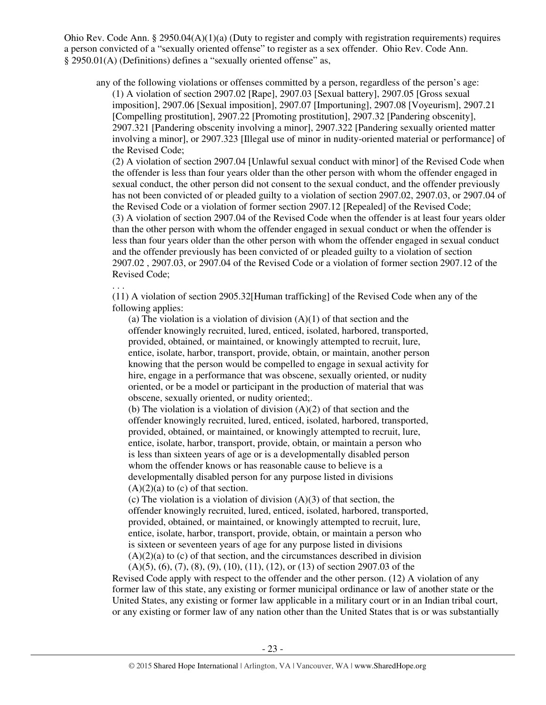Ohio Rev. Code Ann. § 2950.04(A)(1)(a) (Duty to register and comply with registration requirements) requires a person convicted of a "sexually oriented offense" to register as a sex offender. Ohio Rev. Code Ann. § 2950.01(A) (Definitions) defines a "sexually oriented offense" as,

any of the following violations or offenses committed by a person, regardless of the person's age:

(1) A violation of section 2907.02 [Rape], 2907.03 [Sexual battery], 2907.05 [Gross sexual imposition], 2907.06 [Sexual imposition], 2907.07 [Importuning], 2907.08 [Voyeurism], 2907.21 [Compelling prostitution], 2907.22 [Promoting prostitution], 2907.32 [Pandering obscenity], 2907.321 [Pandering obscenity involving a minor], 2907.322 [Pandering sexually oriented matter involving a minor], or 2907.323 [Illegal use of minor in nudity-oriented material or performance] of the Revised Code;

(2) A violation of section 2907.04 [Unlawful sexual conduct with minor] of the Revised Code when the offender is less than four years older than the other person with whom the offender engaged in sexual conduct, the other person did not consent to the sexual conduct, and the offender previously has not been convicted of or pleaded guilty to a violation of section 2907.02, 2907.03, or 2907.04 of the Revised Code or a violation of former section 2907.12 [Repealed] of the Revised Code; (3) A violation of section 2907.04 of the Revised Code when the offender is at least four years older than the other person with whom the offender engaged in sexual conduct or when the offender is less than four years older than the other person with whom the offender engaged in sexual conduct and the offender previously has been convicted of or pleaded guilty to a violation of section 2907.02 , 2907.03, or 2907.04 of the Revised Code or a violation of former section 2907.12 of the Revised Code;

(11) A violation of section 2905.32[Human trafficking] of the Revised Code when any of the following applies:

(a) The violation is a violation of division  $(A)(1)$  of that section and the offender knowingly recruited, lured, enticed, isolated, harbored, transported, provided, obtained, or maintained, or knowingly attempted to recruit, lure, entice, isolate, harbor, transport, provide, obtain, or maintain, another person knowing that the person would be compelled to engage in sexual activity for hire, engage in a performance that was obscene, sexually oriented, or nudity oriented, or be a model or participant in the production of material that was obscene, sexually oriented, or nudity oriented;.

. . .

(b) The violation is a violation of division (A)(2) of that section and the offender knowingly recruited, lured, enticed, isolated, harbored, transported, provided, obtained, or maintained, or knowingly attempted to recruit, lure, entice, isolate, harbor, transport, provide, obtain, or maintain a person who is less than sixteen years of age or is a developmentally disabled person whom the offender knows or has reasonable cause to believe is a developmentally disabled person for any purpose listed in divisions  $(A)(2)(a)$  to  $(c)$  of that section.

(c) The violation is a violation of division  $(A)(3)$  of that section, the offender knowingly recruited, lured, enticed, isolated, harbored, transported, provided, obtained, or maintained, or knowingly attempted to recruit, lure, entice, isolate, harbor, transport, provide, obtain, or maintain a person who is sixteen or seventeen years of age for any purpose listed in divisions  $(A)(2)(a)$  to  $(c)$  of that section, and the circumstances described in division

(A)(5), (6), (7), (8), (9), (10), (11), (12), or (13) of section 2907.03 of the

Revised Code apply with respect to the offender and the other person. (12) A violation of any former law of this state, any existing or former municipal ordinance or law of another state or the United States, any existing or former law applicable in a military court or in an Indian tribal court, or any existing or former law of any nation other than the United States that is or was substantially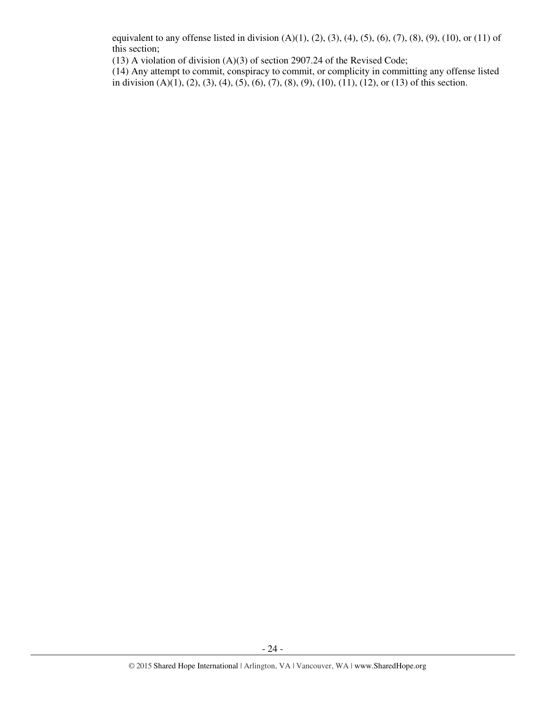equivalent to any offense listed in division  $(A)(1)$ ,  $(2)$ ,  $(3)$ ,  $(4)$ ,  $(5)$ ,  $(6)$ ,  $(7)$ ,  $(8)$ ,  $(9)$ ,  $(10)$ , or  $(11)$  of this section;

(13) A violation of division (A)(3) of section 2907.24 of the Revised Code;

(14) Any attempt to commit, conspiracy to commit, or complicity in committing any offense listed in division (A)(1), (2), (3), (4), (5), (6), (7), (8), (9), (10), (11), (12), or (13) of this section.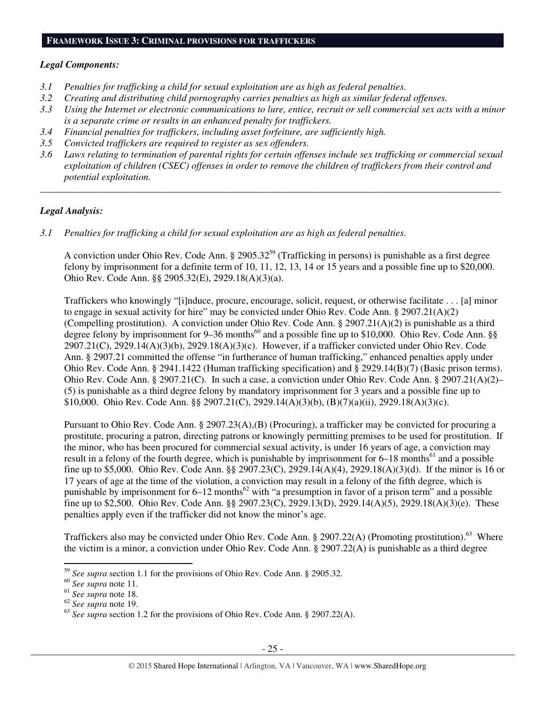#### **FRAMEWORK ISSUE 3: CRIMINAL PROVISIONS FOR TRAFFICKERS**

#### *Legal Components:*

- *3.1 Penalties for trafficking a child for sexual exploitation are as high as federal penalties.*
- *3.2 Creating and distributing child pornography carries penalties as high as similar federal offenses.*
- *3.3 Using the Internet or electronic communications to lure, entice, recruit or sell commercial sex acts with a minor is a separate crime or results in an enhanced penalty for traffickers.*
- *3.4 Financial penalties for traffickers, including asset forfeiture, are sufficiently high.*
- *3.5 Convicted traffickers are required to register as sex offenders.*
- *3.6 Laws relating to termination of parental rights for certain offenses include sex trafficking or commercial sexual exploitation of children (CSEC) offenses in order to remove the children of traffickers from their control and potential exploitation.*

*\_\_\_\_\_\_\_\_\_\_\_\_\_\_\_\_\_\_\_\_\_\_\_\_\_\_\_\_\_\_\_\_\_\_\_\_\_\_\_\_\_\_\_\_\_\_\_\_\_\_\_\_\_\_\_\_\_\_\_\_\_\_\_\_\_\_\_\_\_\_\_\_\_\_\_\_\_\_\_\_\_\_\_\_\_\_\_\_\_\_\_\_\_\_* 

### *Legal Analysis:*

*3.1 Penalties for trafficking a child for sexual exploitation are as high as federal penalties.* 

A conviction under Ohio Rev. Code Ann. § 2905.32<sup>59</sup> (Trafficking in persons) is punishable as a first degree felony by imprisonment for a definite term of 10, 11, 12, 13, 14 or 15 years and a possible fine up to \$20,000. Ohio Rev. Code Ann. §§ 2905.32(E), 2929.18(A)(3)(a).

Traffickers who knowingly "[i]nduce, procure, encourage, solicit, request, or otherwise facilitate . . . [a] minor to engage in sexual activity for hire" may be convicted under Ohio Rev. Code Ann.  $\S 2907.21(A)(2)$ (Compelling prostitution). A conviction under Ohio Rev. Code Ann. § 2907.21(A)(2) is punishable as a third degree felony by imprisonment for 9–36 months<sup>60</sup> and a possible fine up to \$10,000. Ohio Rev. Code Ann. §§ 2907.21(C), 2929.14(A)(3)(b), 2929.18(A)(3)(c). However, if a trafficker convicted under Ohio Rev. Code Ann. § 2907.21 committed the offense "in furtherance of human trafficking," enhanced penalties apply under Ohio Rev. Code Ann. § 2941.1422 (Human trafficking specification) and § 2929.14(B)(7) (Basic prison terms). Ohio Rev. Code Ann. § 2907.21(C). In such a case, a conviction under Ohio Rev. Code Ann. § 2907.21(A)(2)– (5) is punishable as a third degree felony by mandatory imprisonment for 3 years and a possible fine up to \$10,000. Ohio Rev. Code Ann. §§ 2907.21(C), 2929.14(A)(3)(b), (B)(7)(a)(ii), 2929.18(A)(3)(c).

Pursuant to Ohio Rev. Code Ann. § 2907.23(A),(B) (Procuring), a trafficker may be convicted for procuring a prostitute, procuring a patron, directing patrons or knowingly permitting premises to be used for prostitution. If the minor, who has been procured for commercial sexual activity, is under 16 years of age, a conviction may result in a felony of the fourth degree, which is punishable by imprisonment for 6–18 months<sup>61</sup> and a possible fine up to \$5,000. Ohio Rev. Code Ann. §§ 2907.23(C), 2929.14(A)(4), 2929.18(A)(3)(d). If the minor is 16 or 17 years of age at the time of the violation, a conviction may result in a felony of the fifth degree, which is punishable by imprisonment for  $6-12$  months<sup>62</sup> with "a presumption in favor of a prison term" and a possible fine up to \$2,500. Ohio Rev. Code Ann. §§ 2907.23(C), 2929.13(D), 2929.14(A)(5), 2929.18(A)(3)(e). These penalties apply even if the trafficker did not know the minor's age.

Traffickers also may be convicted under Ohio Rev. Code Ann. § 2907.22(A) (Promoting prostitution).<sup>63</sup> Where the victim is a minor, a conviction under Ohio Rev. Code Ann. § 2907.22(A) is punishable as a third degree

<sup>59</sup> *See supra* section 1.1 for the provisions of Ohio Rev. Code Ann. § 2905.32.

<sup>60</sup> *See supra* note 11.

<sup>61</sup> *See supra* note 18.

<sup>62</sup> *See supra* note 19.

<sup>&</sup>lt;sup>63</sup> See supra section 1.2 for the provisions of Ohio Rev. Code Ann. § 2907.22(A).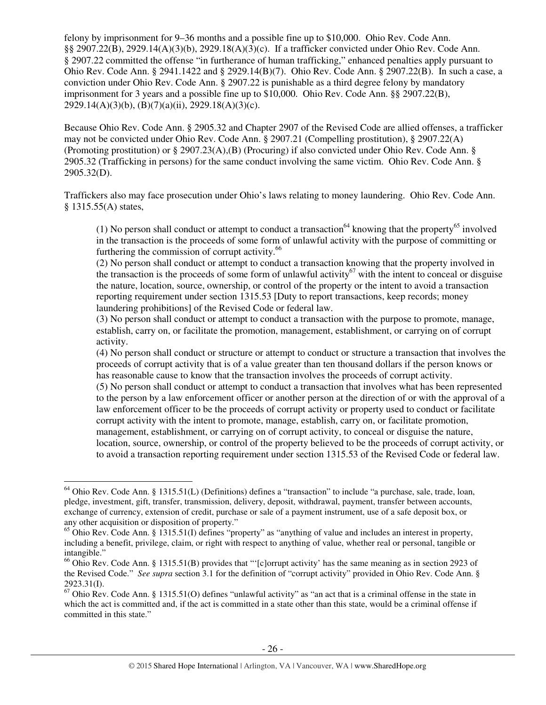felony by imprisonment for 9–36 months and a possible fine up to \$10,000. Ohio Rev. Code Ann. §§ 2907.22(B), 2929.14(A)(3)(b), 2929.18(A)(3)(c). If a trafficker convicted under Ohio Rev. Code Ann. § 2907.22 committed the offense "in furtherance of human trafficking," enhanced penalties apply pursuant to Ohio Rev. Code Ann. § 2941.1422 and § 2929.14(B)(7). Ohio Rev. Code Ann. § 2907.22(B). In such a case, a conviction under Ohio Rev. Code Ann. § 2907.22 is punishable as a third degree felony by mandatory imprisonment for 3 years and a possible fine up to \$10,000. Ohio Rev. Code Ann. §§ 2907.22(B), 2929.14(A)(3)(b), (B)(7)(a)(ii), 2929.18(A)(3)(c).

Because Ohio Rev. Code Ann. § 2905.32 and Chapter 2907 of the Revised Code are allied offenses, a trafficker may not be convicted under Ohio Rev. Code Ann. § 2907.21 (Compelling prostitution), § 2907.22(A) (Promoting prostitution) or § 2907.23(A),(B) (Procuring) if also convicted under Ohio Rev. Code Ann. § 2905.32 (Trafficking in persons) for the same conduct involving the same victim. Ohio Rev. Code Ann. § 2905.32(D).

Traffickers also may face prosecution under Ohio's laws relating to money laundering. Ohio Rev. Code Ann. § 1315.55(A) states,

(1) No person shall conduct or attempt to conduct a transaction<sup>64</sup> knowing that the property<sup>65</sup> involved in the transaction is the proceeds of some form of unlawful activity with the purpose of committing or furthering the commission of corrupt activity. $66$ 

(2) No person shall conduct or attempt to conduct a transaction knowing that the property involved in the transaction is the proceeds of some form of unlawful activity<sup>67</sup> with the intent to conceal or disguise the nature, location, source, ownership, or control of the property or the intent to avoid a transaction reporting requirement under section 1315.53 [Duty to report transactions, keep records; money laundering prohibitions] of the Revised Code or federal law.

(3) No person shall conduct or attempt to conduct a transaction with the purpose to promote, manage, establish, carry on, or facilitate the promotion, management, establishment, or carrying on of corrupt activity.

(4) No person shall conduct or structure or attempt to conduct or structure a transaction that involves the proceeds of corrupt activity that is of a value greater than ten thousand dollars if the person knows or has reasonable cause to know that the transaction involves the proceeds of corrupt activity.

(5) No person shall conduct or attempt to conduct a transaction that involves what has been represented to the person by a law enforcement officer or another person at the direction of or with the approval of a law enforcement officer to be the proceeds of corrupt activity or property used to conduct or facilitate corrupt activity with the intent to promote, manage, establish, carry on, or facilitate promotion, management, establishment, or carrying on of corrupt activity, to conceal or disguise the nature, location, source, ownership, or control of the property believed to be the proceeds of corrupt activity, or to avoid a transaction reporting requirement under section 1315.53 of the Revised Code or federal law.

 $64$  Ohio Rev. Code Ann. § 1315.51(L) (Definitions) defines a "transaction" to include "a purchase, sale, trade, loan, pledge, investment, gift, transfer, transmission, delivery, deposit, withdrawal, payment, transfer between accounts, exchange of currency, extension of credit, purchase or sale of a payment instrument, use of a safe deposit box, or any other acquisition or disposition of property."

 $65$  Ohio Rev. Code Ann. § 1315.51(I) defines "property" as "anything of value and includes an interest in property, including a benefit, privilege, claim, or right with respect to anything of value, whether real or personal, tangible or intangible."

<sup>&</sup>lt;sup>66</sup> Ohio Rev. Code Ann. § 1315.51(B) provides that "'[c]orrupt activity' has the same meaning as in section 2923 of the Revised Code." *See supra* section 3.1 for the definition of "corrupt activity" provided in Ohio Rev. Code Ann. § 2923.31(I).

 $67$  Ohio Rev. Code Ann. § 1315.51(O) defines "unlawful activity" as "an act that is a criminal offense in the state in which the act is committed and, if the act is committed in a state other than this state, would be a criminal offense if committed in this state."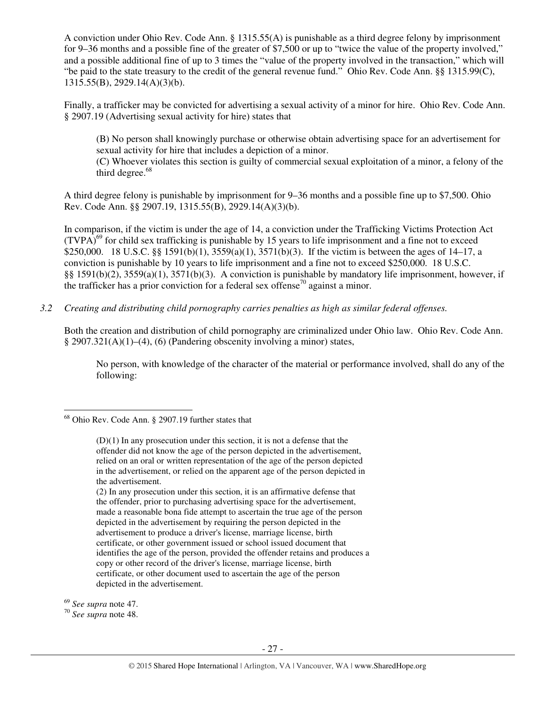A conviction under Ohio Rev. Code Ann. § 1315.55(A) is punishable as a third degree felony by imprisonment for 9–36 months and a possible fine of the greater of \$7,500 or up to "twice the value of the property involved," and a possible additional fine of up to 3 times the "value of the property involved in the transaction," which will "be paid to the state treasury to the credit of the general revenue fund." Ohio Rev. Code Ann. §§ 1315.99(C), 1315.55(B), 2929.14(A)(3)(b).

Finally, a trafficker may be convicted for advertising a sexual activity of a minor for hire. Ohio Rev. Code Ann. § 2907.19 (Advertising sexual activity for hire) states that

(B) No person shall knowingly purchase or otherwise obtain advertising space for an advertisement for sexual activity for hire that includes a depiction of a minor.

(C) Whoever violates this section is guilty of commercial sexual exploitation of a minor, a felony of the third degree.<sup>68</sup>

A third degree felony is punishable by imprisonment for 9–36 months and a possible fine up to \$7,500. Ohio Rev. Code Ann. §§ 2907.19, 1315.55(B), 2929.14(A)(3)(b).

In comparison, if the victim is under the age of 14, a conviction under the Trafficking Victims Protection Act  $(TVPA)<sup>69</sup>$  for child sex trafficking is punishable by 15 years to life imprisonment and a fine not to exceed \$250,000. 18 U.S.C. §§ 1591(b)(1), 3559(a)(1), 3571(b)(3). If the victim is between the ages of 14–17, a conviction is punishable by 10 years to life imprisonment and a fine not to exceed \$250,000. 18 U.S.C. §§ 1591(b)(2), 3559(a)(1), 3571(b)(3). A conviction is punishable by mandatory life imprisonment, however, if the trafficker has a prior conviction for a federal sex offense<sup>70</sup> against a minor.

*3.2 Creating and distributing child pornography carries penalties as high as similar federal offenses.* 

Both the creation and distribution of child pornography are criminalized under Ohio law. Ohio Rev. Code Ann.  $§$  2907.321(A)(1)–(4), (6) (Pandering obscenity involving a minor) states,

No person, with knowledge of the character of the material or performance involved, shall do any of the following:

<sup>68</sup> Ohio Rev. Code Ann. § 2907.19 further states that

<sup>(</sup>D)(1) In any prosecution under this section, it is not a defense that the offender did not know the age of the person depicted in the advertisement, relied on an oral or written representation of the age of the person depicted in the advertisement, or relied on the apparent age of the person depicted in the advertisement.

<sup>(2)</sup> In any prosecution under this section, it is an affirmative defense that the offender, prior to purchasing advertising space for the advertisement, made a reasonable bona fide attempt to ascertain the true age of the person depicted in the advertisement by requiring the person depicted in the advertisement to produce a driver's license, marriage license, birth certificate, or other government issued or school issued document that identifies the age of the person, provided the offender retains and produces a copy or other record of the driver's license, marriage license, birth certificate, or other document used to ascertain the age of the person depicted in the advertisement.

<sup>69</sup> *See supra* note 47.

<sup>70</sup> *See supra* note 48.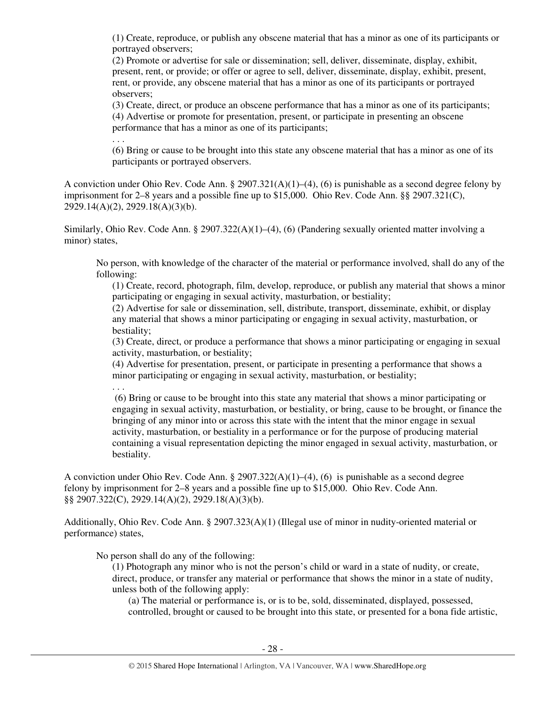(1) Create, reproduce, or publish any obscene material that has a minor as one of its participants or portrayed observers;

(2) Promote or advertise for sale or dissemination; sell, deliver, disseminate, display, exhibit, present, rent, or provide; or offer or agree to sell, deliver, disseminate, display, exhibit, present, rent, or provide, any obscene material that has a minor as one of its participants or portrayed observers;

(3) Create, direct, or produce an obscene performance that has a minor as one of its participants; (4) Advertise or promote for presentation, present, or participate in presenting an obscene performance that has a minor as one of its participants;

. . .

(6) Bring or cause to be brought into this state any obscene material that has a minor as one of its participants or portrayed observers.

A conviction under Ohio Rev. Code Ann. § 2907.321(A)(1)–(4), (6) is punishable as a second degree felony by imprisonment for 2–8 years and a possible fine up to \$15,000. Ohio Rev. Code Ann. §§ 2907.321(C), 2929.14(A)(2), 2929.18(A)(3)(b).

Similarly, Ohio Rev. Code Ann. § 2907.322(A)(1)–(4), (6) (Pandering sexually oriented matter involving a minor) states,

No person, with knowledge of the character of the material or performance involved, shall do any of the following:

(1) Create, record, photograph, film, develop, reproduce, or publish any material that shows a minor participating or engaging in sexual activity, masturbation, or bestiality;

(2) Advertise for sale or dissemination, sell, distribute, transport, disseminate, exhibit, or display any material that shows a minor participating or engaging in sexual activity, masturbation, or bestiality;

(3) Create, direct, or produce a performance that shows a minor participating or engaging in sexual activity, masturbation, or bestiality;

(4) Advertise for presentation, present, or participate in presenting a performance that shows a minor participating or engaging in sexual activity, masturbation, or bestiality;

. . .

 (6) Bring or cause to be brought into this state any material that shows a minor participating or engaging in sexual activity, masturbation, or bestiality, or bring, cause to be brought, or finance the bringing of any minor into or across this state with the intent that the minor engage in sexual activity, masturbation, or bestiality in a performance or for the purpose of producing material containing a visual representation depicting the minor engaged in sexual activity, masturbation, or bestiality.

A conviction under Ohio Rev. Code Ann. § 2907.322(A)(1)–(4), (6) is punishable as a second degree felony by imprisonment for 2–8 years and a possible fine up to \$15,000. Ohio Rev. Code Ann. §§ 2907.322(C), 2929.14(A)(2), 2929.18(A)(3)(b).

Additionally, Ohio Rev. Code Ann. § 2907.323(A)(1) (Illegal use of minor in nudity-oriented material or performance) states,

No person shall do any of the following:

(1) Photograph any minor who is not the person's child or ward in a state of nudity, or create, direct, produce, or transfer any material or performance that shows the minor in a state of nudity, unless both of the following apply:

(a) The material or performance is, or is to be, sold, disseminated, displayed, possessed, controlled, brought or caused to be brought into this state, or presented for a bona fide artistic,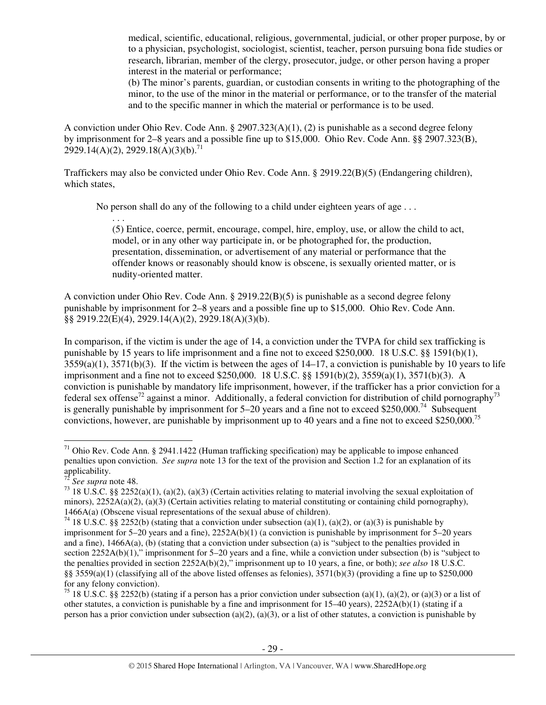medical, scientific, educational, religious, governmental, judicial, or other proper purpose, by or to a physician, psychologist, sociologist, scientist, teacher, person pursuing bona fide studies or research, librarian, member of the clergy, prosecutor, judge, or other person having a proper interest in the material or performance;

(b) The minor's parents, guardian, or custodian consents in writing to the photographing of the minor, to the use of the minor in the material or performance, or to the transfer of the material and to the specific manner in which the material or performance is to be used.

A conviction under Ohio Rev. Code Ann. § 2907.323(A)(1), (2) is punishable as a second degree felony by imprisonment for 2–8 years and a possible fine up to \$15,000. Ohio Rev. Code Ann. §§ 2907.323(B),  $2929.14(A)(2), 2929.18(A)(3)(b)^{71}$ 

Traffickers may also be convicted under Ohio Rev. Code Ann. § 2919.22(B)(5) (Endangering children), which states,

No person shall do any of the following to a child under eighteen years of age . . .

. . . (5) Entice, coerce, permit, encourage, compel, hire, employ, use, or allow the child to act, model, or in any other way participate in, or be photographed for, the production, presentation, dissemination, or advertisement of any material or performance that the offender knows or reasonably should know is obscene, is sexually oriented matter, or is nudity-oriented matter.

A conviction under Ohio Rev. Code Ann. § 2919.22(B)(5) is punishable as a second degree felony punishable by imprisonment for 2–8 years and a possible fine up to \$15,000. Ohio Rev. Code Ann. §§ 2919.22(E)(4), 2929.14(A)(2), 2929.18(A)(3)(b).

In comparison, if the victim is under the age of 14, a conviction under the TVPA for child sex trafficking is punishable by 15 years to life imprisonment and a fine not to exceed \$250,000. 18 U.S.C. §§ 1591(b)(1),  $3559(a)(1)$ ,  $3571(b)(3)$ . If the victim is between the ages of  $14-17$ , a conviction is punishable by 10 years to life imprisonment and a fine not to exceed \$250,000. 18 U.S.C. §§ 1591(b)(2), 3559(a)(1), 3571(b)(3). A conviction is punishable by mandatory life imprisonment, however, if the trafficker has a prior conviction for a federal sex offense<sup>72</sup> against a minor. Additionally, a federal conviction for distribution of child pornography<sup>73</sup> is generally punishable by imprisonment for  $5-20$  years and a fine not to exceed \$250,000.<sup>74</sup> Subsequent convictions, however, are punishable by imprisonment up to 40 years and a fine not to exceed \$250,000.<sup>75</sup>

 $71$  Ohio Rev. Code Ann. § 2941.1422 (Human trafficking specification) may be applicable to impose enhanced penalties upon conviction. *See supra* note 13 for the text of the provision and Section 1.2 for an explanation of its applicability.

<sup>72</sup> *See supra* note 48.

<sup>&</sup>lt;sup>73</sup> 18 U.S.C. §§ 2252(a)(1), (a)(2), (a)(3) (Certain activities relating to material involving the sexual exploitation of minors),  $2252A(a)(2)$ ,  $(a)(3)$  (Certain activities relating to material constituting or containing child pornography), 1466A(a) (Obscene visual representations of the sexual abuse of children).

<sup>&</sup>lt;sup>74</sup> 18 U.S.C. §§ 2252(b) (stating that a conviction under subsection (a)(1), (a)(2), or (a)(3) is punishable by imprisonment for 5–20 years and a fine), 2252A(b)(1) (a conviction is punishable by imprisonment for 5–20 years and a fine), 1466A(a), (b) (stating that a conviction under subsection (a) is "subject to the penalties provided in section 2252A(b)(1)," imprisonment for 5–20 years and a fine, while a conviction under subsection (b) is "subject to the penalties provided in section 2252A(b)(2)," imprisonment up to 10 years, a fine, or both); *see also* 18 U.S.C. §§ 3559(a)(1) (classifying all of the above listed offenses as felonies),  $3571(b)(3)$  (providing a fine up to \$250,000 for any felony conviction).

<sup>&</sup>lt;sup>75</sup> 18 U.S.C. §§ 2252(b) (stating if a person has a prior conviction under subsection (a)(1), (a)(2), or (a)(3) or a list of other statutes, a conviction is punishable by a fine and imprisonment for  $15-40$  years),  $2252A(b)(1)$  (stating if a person has a prior conviction under subsection (a)(2), (a)(3), or a list of other statutes, a conviction is punishable by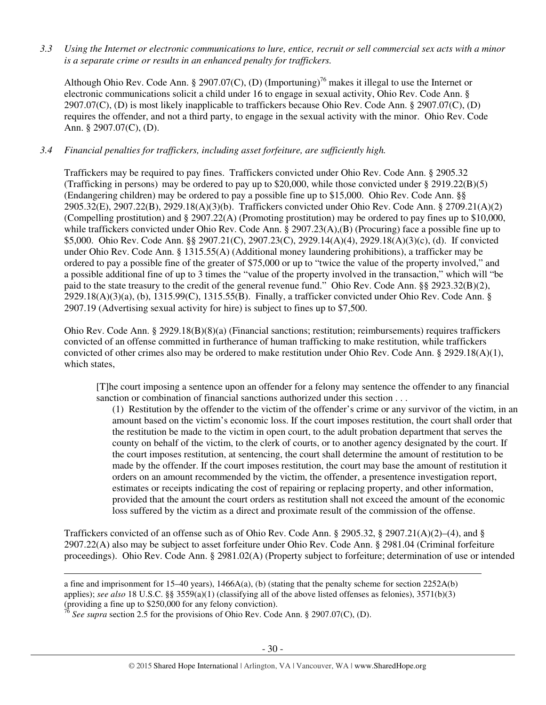*3.3 Using the Internet or electronic communications to lure, entice, recruit or sell commercial sex acts with a minor is a separate crime or results in an enhanced penalty for traffickers.* 

Although Ohio Rev. Code Ann. § 2907.07(C), (D) (Importuning)<sup>76</sup> makes it illegal to use the Internet or electronic communications solicit a child under 16 to engage in sexual activity, Ohio Rev. Code Ann. § 2907.07(C), (D) is most likely inapplicable to traffickers because Ohio Rev. Code Ann. § 2907.07(C), (D) requires the offender, and not a third party, to engage in the sexual activity with the minor. Ohio Rev. Code Ann. § 2907.07(C), (D).

## *3.4 Financial penalties for traffickers, including asset forfeiture, are sufficiently high.*

Traffickers may be required to pay fines. Traffickers convicted under Ohio Rev. Code Ann. § 2905.32 (Trafficking in persons) may be ordered to pay up to \$20,000, while those convicted under  $\S 2919.22(B)(5)$ (Endangering children) may be ordered to pay a possible fine up to \$15,000. Ohio Rev. Code Ann. §§ 2905.32(E), 2907.22(B), 2929.18(A)(3)(b). Traffickers convicted under Ohio Rev. Code Ann. § 2709.21(A)(2) (Compelling prostitution) and § 2907.22(A) (Promoting prostitution) may be ordered to pay fines up to \$10,000, while traffickers convicted under Ohio Rev. Code Ann. § 2907.23(A),(B) (Procuring) face a possible fine up to \$5,000. Ohio Rev. Code Ann. §§ 2907.21(C), 2907.23(C), 2929.14(A)(4), 2929.18(A)(3)(c), (d). If convicted under Ohio Rev. Code Ann. § 1315.55(A) (Additional money laundering prohibitions), a trafficker may be ordered to pay a possible fine of the greater of \$75,000 or up to "twice the value of the property involved," and a possible additional fine of up to 3 times the "value of the property involved in the transaction," which will "be paid to the state treasury to the credit of the general revenue fund." Ohio Rev. Code Ann. §§ 2923.32(B)(2), 2929.18(A)(3)(a), (b), 1315.99(C), 1315.55(B). Finally, a trafficker convicted under Ohio Rev. Code Ann. § 2907.19 (Advertising sexual activity for hire) is subject to fines up to \$7,500.

Ohio Rev. Code Ann. § 2929.18(B)(8)(a) (Financial sanctions; restitution; reimbursements) requires traffickers convicted of an offense committed in furtherance of human trafficking to make restitution, while traffickers convicted of other crimes also may be ordered to make restitution under Ohio Rev. Code Ann. § 2929.18(A)(1), which states,

[T]he court imposing a sentence upon an offender for a felony may sentence the offender to any financial sanction or combination of financial sanctions authorized under this section . . .

(1) Restitution by the offender to the victim of the offender's crime or any survivor of the victim, in an amount based on the victim's economic loss. If the court imposes restitution, the court shall order that the restitution be made to the victim in open court, to the adult probation department that serves the county on behalf of the victim, to the clerk of courts, or to another agency designated by the court. If the court imposes restitution, at sentencing, the court shall determine the amount of restitution to be made by the offender. If the court imposes restitution, the court may base the amount of restitution it orders on an amount recommended by the victim, the offender, a presentence investigation report, estimates or receipts indicating the cost of repairing or replacing property, and other information, provided that the amount the court orders as restitution shall not exceed the amount of the economic loss suffered by the victim as a direct and proximate result of the commission of the offense.

Traffickers convicted of an offense such as of Ohio Rev. Code Ann. § 2905.32, § 2907.21(A)(2)–(4), and § 2907.22(A) also may be subject to asset forfeiture under Ohio Rev. Code Ann. § 2981.04 (Criminal forfeiture proceedings). Ohio Rev. Code Ann. § 2981.02(A) (Property subject to forfeiture; determination of use or intended

a fine and imprisonment for  $15-40$  years),  $1466A(a)$ , (b) (stating that the penalty scheme for section  $2252A(b)$ applies); *see also* 18 U.S.C. §§ 3559(a)(1) (classifying all of the above listed offenses as felonies), 3571(b)(3) (providing a fine up to \$250,000 for any felony conviction).

<sup>76</sup> *See supra* section 2.5 for the provisions of Ohio Rev. Code Ann. § 2907.07(C), (D).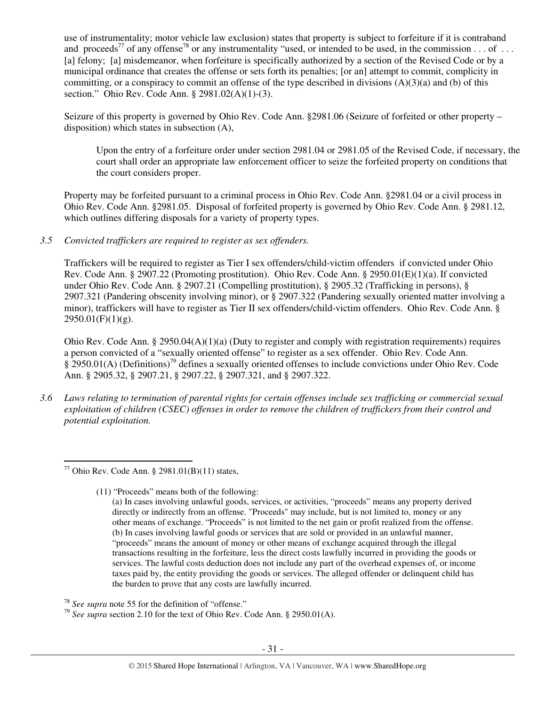use of instrumentality; motor vehicle law exclusion) states that property is subject to forfeiture if it is contraband and proceeds<sup>77</sup> of any offense<sup>78</sup> or any instrumentality "used, or intended to be used, in the commission . . . of . . . [a] felony; [a] misdemeanor, when forfeiture is specifically authorized by a section of the Revised Code or by a municipal ordinance that creates the offense or sets forth its penalties; [or an] attempt to commit, complicity in committing, or a conspiracy to commit an offense of the type described in divisions (A)(3)(a) and (b) of this section." Ohio Rev. Code Ann. § 2981.02(A)(1)-(3).

Seizure of this property is governed by Ohio Rev. Code Ann. §2981.06 (Seizure of forfeited or other property – disposition) which states in subsection (A),

Upon the entry of a forfeiture order under section 2981.04 or 2981.05 of the Revised Code, if necessary, the court shall order an appropriate law enforcement officer to seize the forfeited property on conditions that the court considers proper.

Property may be forfeited pursuant to a criminal process in Ohio Rev. Code Ann. §2981.04 or a civil process in Ohio Rev. Code Ann. §2981.05. Disposal of forfeited property is governed by Ohio Rev. Code Ann. § 2981.12, which outlines differing disposals for a variety of property types.

*3.5 Convicted traffickers are required to register as sex offenders.* 

Traffickers will be required to register as Tier I sex offenders/child-victim offenders if convicted under Ohio Rev. Code Ann. § 2907.22 (Promoting prostitution). Ohio Rev. Code Ann. § 2950.01(E)(1)(a).If convicted under Ohio Rev. Code Ann. § 2907.21 (Compelling prostitution), § 2905.32 (Trafficking in persons), § 2907.321 (Pandering obscenity involving minor), or § 2907.322 (Pandering sexually oriented matter involving a minor), traffickers will have to register as Tier II sex offenders/child-victim offenders. Ohio Rev. Code Ann. §  $2950.01(F)(1)(g)$ .

Ohio Rev. Code Ann. § 2950.04(A)(1)(a) (Duty to register and comply with registration requirements) requires a person convicted of a "sexually oriented offense" to register as a sex offender. Ohio Rev. Code Ann. § 2950.01(A) (Definitions)<sup>79</sup> defines a sexually oriented offenses to include convictions under Ohio Rev. Code Ann. § 2905.32, § 2907.21, § 2907.22, § 2907.321, and § 2907.322.

*3.6 Laws relating to termination of parental rights for certain offenses include sex trafficking or commercial sexual exploitation of children (CSEC) offenses in order to remove the children of traffickers from their control and potential exploitation.* 

 $77$  Ohio Rev. Code Ann. § 2981.01(B)(11) states,

l

- (11) "Proceeds" means both of the following:
	- (a) In cases involving unlawful goods, services, or activities, "proceeds" means any property derived directly or indirectly from an offense. "Proceeds" may include, but is not limited to, money or any other means of exchange. "Proceeds" is not limited to the net gain or profit realized from the offense. (b) In cases involving lawful goods or services that are sold or provided in an unlawful manner, "proceeds" means the amount of money or other means of exchange acquired through the illegal transactions resulting in the forfeiture, less the direct costs lawfully incurred in providing the goods or services. The lawful costs deduction does not include any part of the overhead expenses of, or income taxes paid by, the entity providing the goods or services. The alleged offender or delinquent child has the burden to prove that any costs are lawfully incurred.

<sup>79</sup> *See supra* section 2.10 for the text of Ohio Rev. Code Ann. § 2950.01(A).

<sup>78</sup> *See supra* note 55 for the definition of "offense."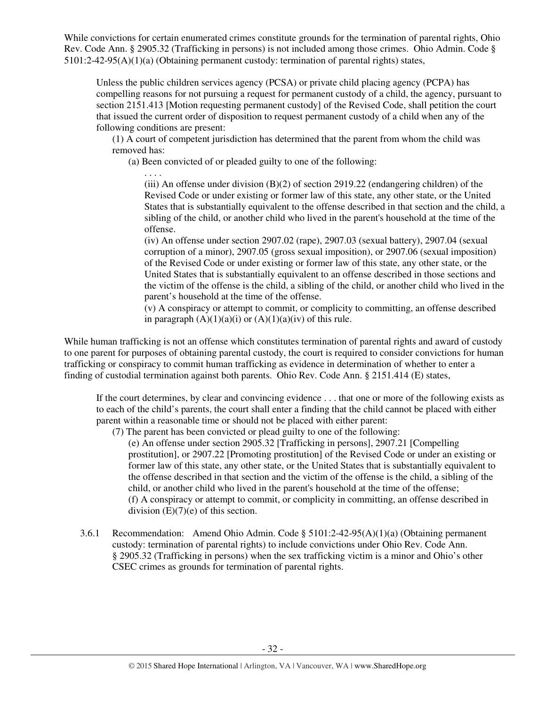While convictions for certain enumerated crimes constitute grounds for the termination of parental rights, Ohio Rev. Code Ann. § 2905.32 (Trafficking in persons) is not included among those crimes. Ohio Admin. Code § 5101:2-42-95(A)(1)(a) (Obtaining permanent custody: termination of parental rights) states,

Unless the public children services agency (PCSA) or private child placing agency (PCPA) has compelling reasons for not pursuing a request for permanent custody of a child, the agency, pursuant to section 2151.413 [Motion requesting permanent custody] of the Revised Code, shall petition the court that issued the current order of disposition to request permanent custody of a child when any of the following conditions are present:

(1) A court of competent jurisdiction has determined that the parent from whom the child was removed has:

(a) Been convicted of or pleaded guilty to one of the following:

. . . .

(iii) An offense under division  $(B)(2)$  of section 2919.22 (endangering children) of the Revised Code or under existing or former law of this state, any other state, or the United States that is substantially equivalent to the offense described in that section and the child, a sibling of the child, or another child who lived in the parent's household at the time of the offense.

(iv) An offense under section 2907.02 (rape), 2907.03 (sexual battery), 2907.04 (sexual corruption of a minor), 2907.05 (gross sexual imposition), or 2907.06 (sexual imposition) of the Revised Code or under existing or former law of this state, any other state, or the United States that is substantially equivalent to an offense described in those sections and the victim of the offense is the child, a sibling of the child, or another child who lived in the parent's household at the time of the offense.

(v) A conspiracy or attempt to commit, or complicity to committing, an offense described in paragraph  $(A)(1)(a)(i)$  or  $(A)(1)(a)(iv)$  of this rule.

While human trafficking is not an offense which constitutes termination of parental rights and award of custody to one parent for purposes of obtaining parental custody, the court is required to consider convictions for human trafficking or conspiracy to commit human trafficking as evidence in determination of whether to enter a finding of custodial termination against both parents. Ohio Rev. Code Ann. § 2151.414 (E) states,

If the court determines, by clear and convincing evidence . . . that one or more of the following exists as to each of the child's parents, the court shall enter a finding that the child cannot be placed with either parent within a reasonable time or should not be placed with either parent:

- (7) The parent has been convicted or plead guilty to one of the following:
	- (e) An offense under section 2905.32 [Trafficking in persons], 2907.21 [Compelling prostitution], or 2907.22 [Promoting prostitution] of the Revised Code or under an existing or former law of this state, any other state, or the United States that is substantially equivalent to the offense described in that section and the victim of the offense is the child, a sibling of the child, or another child who lived in the parent's household at the time of the offense; (f) A conspiracy or attempt to commit, or complicity in committing, an offense described in division  $(E)(7)(e)$  of this section.
- 3.6.1 Recommendation: Amend Ohio Admin. Code § 5101:2-42-95(A)(1)(a) (Obtaining permanent custody: termination of parental rights) to include convictions under Ohio Rev. Code Ann. § 2905.32 (Trafficking in persons) when the sex trafficking victim is a minor and Ohio's other CSEC crimes as grounds for termination of parental rights.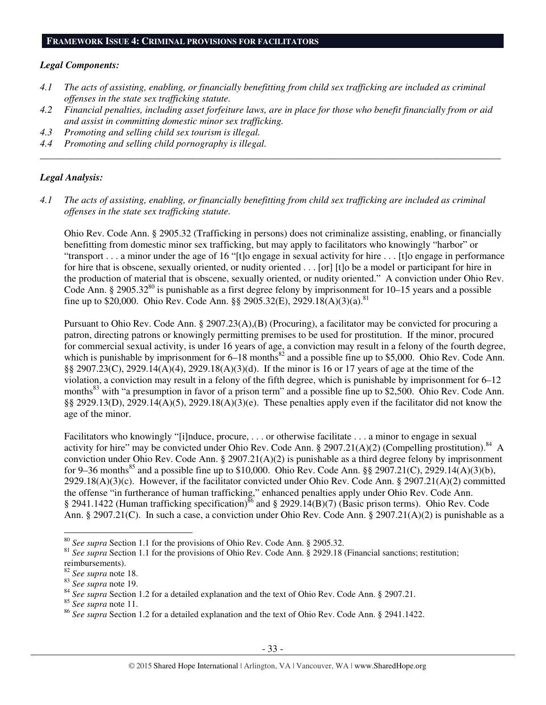#### **FRAMEWORK ISSUE 4: CRIMINAL PROVISIONS FOR FACILITATORS**

#### *Legal Components:*

- *4.1 The acts of assisting, enabling, or financially benefitting from child sex trafficking are included as criminal offenses in the state sex trafficking statute.*
- *4.2 Financial penalties, including asset forfeiture laws, are in place for those who benefit financially from or aid and assist in committing domestic minor sex trafficking.*

*\_\_\_\_\_\_\_\_\_\_\_\_\_\_\_\_\_\_\_\_\_\_\_\_\_\_\_\_\_\_\_\_\_\_\_\_\_\_\_\_\_\_\_\_\_\_\_\_\_\_\_\_\_\_\_\_\_\_\_\_\_\_\_\_\_\_\_\_\_\_\_\_\_\_\_\_\_\_\_\_\_\_\_\_\_\_\_\_\_\_\_\_\_\_* 

- *4.3 Promoting and selling child sex tourism is illegal.*
- *4.4 Promoting and selling child pornography is illegal.*

### *Legal Analysis:*

*4.1 The acts of assisting, enabling, or financially benefitting from child sex trafficking are included as criminal offenses in the state sex trafficking statute.* 

Ohio Rev. Code Ann. § 2905.32 (Trafficking in persons) does not criminalize assisting, enabling, or financially benefitting from domestic minor sex trafficking, but may apply to facilitators who knowingly "harbor" or "transport . . . a minor under the age of 16 "[t]o engage in sexual activity for hire . . . [t]o engage in performance for hire that is obscene, sexually oriented, or nudity oriented . . . [or] [t]o be a model or participant for hire in the production of material that is obscene, sexually oriented, or nudity oriented." A conviction under Ohio Rev. Code Ann. § 2905.32 $^{80}$  is punishable as a first degree felony by imprisonment for 10–15 years and a possible fine up to \$20,000. Ohio Rev. Code Ann. §§ 2905.32(E), 2929.18(A)(3)(a).<sup>81</sup>

Pursuant to Ohio Rev. Code Ann. § 2907.23(A),(B) (Procuring), a facilitator may be convicted for procuring a patron, directing patrons or knowingly permitting premises to be used for prostitution. If the minor, procured for commercial sexual activity, is under 16 years of age, a conviction may result in a felony of the fourth degree, which is punishable by imprisonment for  $6-18$  months<sup>82</sup> and a possible fine up to \$5,000. Ohio Rev. Code Ann. §§ 2907.23(C), 2929.14(A)(4), 2929.18(A)(3)(d). If the minor is 16 or 17 years of age at the time of the violation, a conviction may result in a felony of the fifth degree, which is punishable by imprisonment for 6–12 months<sup>83</sup> with "a presumption in favor of a prison term" and a possible fine up to \$2,500. Ohio Rev. Code Ann. §§ 2929.13(D), 2929.14(A)(5), 2929.18(A)(3)(e). These penalties apply even if the facilitator did not know the age of the minor.

Facilitators who knowingly "[i]nduce, procure, . . . or otherwise facilitate . . . a minor to engage in sexual activity for hire" may be convicted under Ohio Rev. Code Ann. § 2907.21(A)(2) (Compelling prostitution).<sup>84</sup> A conviction under Ohio Rev. Code Ann. § 2907.21(A)(2) is punishable as a third degree felony by imprisonment for 9–36 months<sup>85</sup> and a possible fine up to \$10,000. Ohio Rev. Code Ann. §§ 2907.21(C), 2929.14(A)(3)(b), 2929.18(A)(3)(c). However, if the facilitator convicted under Ohio Rev. Code Ann. § 2907.21(A)(2) committed the offense "in furtherance of human trafficking," enhanced penalties apply under Ohio Rev. Code Ann. § 2941.1422 (Human trafficking specification)<sup>86</sup> and § 2929.14(B)(7) (Basic prison terms). Ohio Rev. Code Ann. § 2907.21(C). In such a case, a conviction under Ohio Rev. Code Ann. § 2907.21(A)(2) is punishable as a

<sup>80</sup> *See supra* Section 1.1 for the provisions of Ohio Rev. Code Ann. § 2905.32.

<sup>&</sup>lt;sup>81</sup> See supra Section 1.1 for the provisions of Ohio Rev. Code Ann. § 2929.18 (Financial sanctions; restitution;

reimbursements).

<sup>82</sup> *See supra* note 18.

<sup>83</sup> *See supra* note 19.

<sup>84</sup> *See supra* Section 1.2 for a detailed explanation and the text of Ohio Rev. Code Ann. § 2907.21.

<sup>85</sup> *See supra* note 11.

<sup>86</sup> *See supra* Section 1.2 for a detailed explanation and the text of Ohio Rev. Code Ann. § 2941.1422.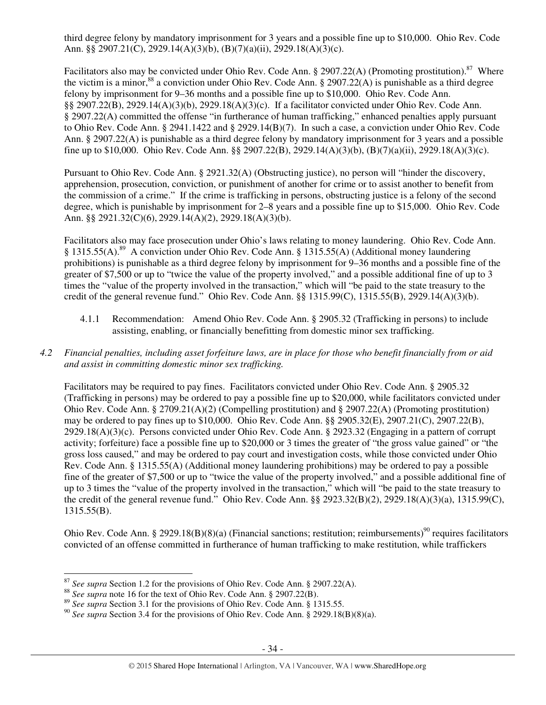third degree felony by mandatory imprisonment for 3 years and a possible fine up to \$10,000. Ohio Rev. Code Ann. §§ 2907.21(C), 2929.14(A)(3)(b), (B)(7)(a)(ii), 2929.18(A)(3)(c).

Facilitators also may be convicted under Ohio Rev. Code Ann. § 2907.22(A) (Promoting prostitution).<sup>87</sup> Where the victim is a minor,<sup>88</sup> a conviction under Ohio Rev. Code Ann. § 2907.22(A) is punishable as a third degree felony by imprisonment for 9–36 months and a possible fine up to \$10,000. Ohio Rev. Code Ann. §§ 2907.22(B), 2929.14(A)(3)(b), 2929.18(A)(3)(c). If a facilitator convicted under Ohio Rev. Code Ann. § 2907.22(A) committed the offense "in furtherance of human trafficking," enhanced penalties apply pursuant to Ohio Rev. Code Ann. § 2941.1422 and § 2929.14(B)(7). In such a case, a conviction under Ohio Rev. Code Ann. § 2907.22(A) is punishable as a third degree felony by mandatory imprisonment for 3 years and a possible fine up to \$10,000. Ohio Rev. Code Ann. §§ 2907.22(B), 2929.14(A)(3)(b), (B)(7)(a)(ii), 2929.18(A)(3)(c).

Pursuant to Ohio Rev. Code Ann. § 2921.32(A) (Obstructing justice), no person will "hinder the discovery, apprehension, prosecution, conviction, or punishment of another for crime or to assist another to benefit from the commission of a crime." If the crime is trafficking in persons, obstructing justice is a felony of the second degree, which is punishable by imprisonment for 2–8 years and a possible fine up to \$15,000. Ohio Rev. Code Ann. §§ 2921.32(C)(6), 2929.14(A)(2), 2929.18(A)(3)(b).

Facilitators also may face prosecution under Ohio's laws relating to money laundering. Ohio Rev. Code Ann. § 1315.55(A).<sup>89</sup> A conviction under Ohio Rev. Code Ann. § 1315.55(A) (Additional money laundering prohibitions) is punishable as a third degree felony by imprisonment for 9–36 months and a possible fine of the greater of \$7,500 or up to "twice the value of the property involved," and a possible additional fine of up to 3 times the "value of the property involved in the transaction," which will "be paid to the state treasury to the credit of the general revenue fund." Ohio Rev. Code Ann. §§ 1315.99(C), 1315.55(B), 2929.14(A)(3)(b).

- 4.1.1 Recommendation: Amend Ohio Rev. Code Ann. § 2905.32 (Trafficking in persons) to include assisting, enabling, or financially benefitting from domestic minor sex trafficking.
- *4.2 Financial penalties, including asset forfeiture laws, are in place for those who benefit financially from or aid and assist in committing domestic minor sex trafficking.*

Facilitators may be required to pay fines. Facilitators convicted under Ohio Rev. Code Ann. § 2905.32 (Trafficking in persons) may be ordered to pay a possible fine up to \$20,000, while facilitators convicted under Ohio Rev. Code Ann. § 2709.21(A)(2) (Compelling prostitution) and § 2907.22(A) (Promoting prostitution) may be ordered to pay fines up to \$10,000. Ohio Rev. Code Ann. §§ 2905.32(E), 2907.21(C), 2907.22(B), 2929.18(A)(3)(c). Persons convicted under Ohio Rev. Code Ann. § 2923.32 (Engaging in a pattern of corrupt activity; forfeiture) face a possible fine up to \$20,000 or 3 times the greater of "the gross value gained" or "the gross loss caused," and may be ordered to pay court and investigation costs, while those convicted under Ohio Rev. Code Ann. § 1315.55(A) (Additional money laundering prohibitions) may be ordered to pay a possible fine of the greater of \$7,500 or up to "twice the value of the property involved," and a possible additional fine of up to 3 times the "value of the property involved in the transaction," which will "be paid to the state treasury to the credit of the general revenue fund." Ohio Rev. Code Ann. §§ 2923.32(B)(2), 2929.18(A)(3)(a), 1315.99(C), 1315.55(B).

Ohio Rev. Code Ann. § 2929.18(B)(8)(a) (Financial sanctions; restitution; reimbursements)<sup>90</sup> requires facilitators convicted of an offense committed in furtherance of human trafficking to make restitution, while traffickers

<sup>87</sup> *See supra* Section 1.2 for the provisions of Ohio Rev. Code Ann. § 2907.22(A).

<sup>88</sup> *See supra* note 16 for the text of Ohio Rev. Code Ann. § 2907.22(B).

<sup>&</sup>lt;sup>89</sup> See supra Section 3.1 for the provisions of Ohio Rev. Code Ann. § 1315.55.

<sup>90</sup> *See supra* Section 3.4 for the provisions of Ohio Rev. Code Ann. § 2929.18(B)(8)(a).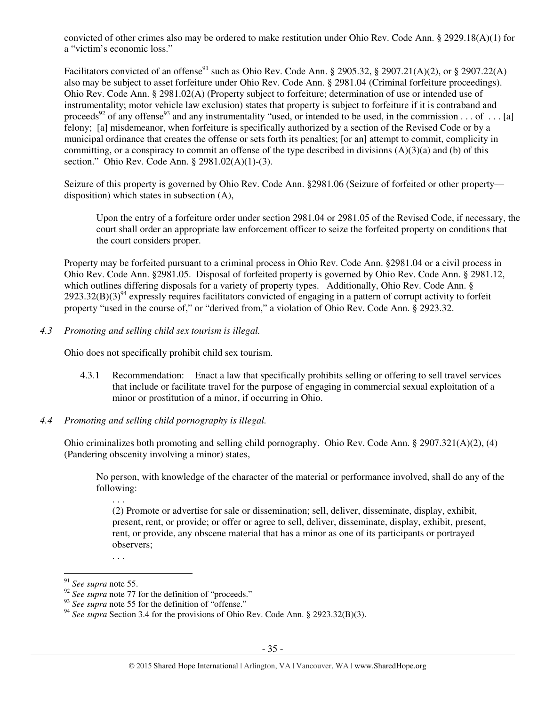convicted of other crimes also may be ordered to make restitution under Ohio Rev. Code Ann. § 2929.18(A)(1) for a "victim's economic loss."

Facilitators convicted of an offense<sup>91</sup> such as Ohio Rev. Code Ann. § 2905.32, § 2907.21(A)(2), or § 2907.22(A) also may be subject to asset forfeiture under Ohio Rev. Code Ann. § 2981.04 (Criminal forfeiture proceedings). Ohio Rev. Code Ann. § 2981.02(A) (Property subject to forfeiture; determination of use or intended use of instrumentality; motor vehicle law exclusion) states that property is subject to forfeiture if it is contraband and proceeds<sup>92</sup> of any offense<sup>93</sup> and any instrumentality "used, or intended to be used, in the commission . . . of . . . [a] felony; [a] misdemeanor, when forfeiture is specifically authorized by a section of the Revised Code or by a municipal ordinance that creates the offense or sets forth its penalties; [or an] attempt to commit, complicity in committing, or a conspiracy to commit an offense of the type described in divisions  $(A)(3)(a)$  and (b) of this section." Ohio Rev. Code Ann. § 2981.02(A)(1)-(3).

Seizure of this property is governed by Ohio Rev. Code Ann. §2981.06 (Seizure of forfeited or other property disposition) which states in subsection (A),

Upon the entry of a forfeiture order under section 2981.04 or 2981.05 of the Revised Code, if necessary, the court shall order an appropriate law enforcement officer to seize the forfeited property on conditions that the court considers proper.

Property may be forfeited pursuant to a criminal process in Ohio Rev. Code Ann. §2981.04 or a civil process in Ohio Rev. Code Ann. §2981.05. Disposal of forfeited property is governed by Ohio Rev. Code Ann. § 2981.12, which outlines differing disposals for a variety of property types. Additionally, Ohio Rev. Code Ann. §  $2923.32(B)(3)^{94}$  expressly requires facilitators convicted of engaging in a pattern of corrupt activity to forfeit property "used in the course of," or "derived from," a violation of Ohio Rev. Code Ann. § 2923.32.

*4.3 Promoting and selling child sex tourism is illegal.* 

Ohio does not specifically prohibit child sex tourism.

- 4.3.1 Recommendation: Enact a law that specifically prohibits selling or offering to sell travel services that include or facilitate travel for the purpose of engaging in commercial sexual exploitation of a minor or prostitution of a minor, if occurring in Ohio.
- *4.4 Promoting and selling child pornography is illegal.*

Ohio criminalizes both promoting and selling child pornography. Ohio Rev. Code Ann. § 2907.321(A)(2), (4) (Pandering obscenity involving a minor) states,

No person, with knowledge of the character of the material or performance involved, shall do any of the following:

. . .

. . .

(2) Promote or advertise for sale or dissemination; sell, deliver, disseminate, display, exhibit, present, rent, or provide; or offer or agree to sell, deliver, disseminate, display, exhibit, present, rent, or provide, any obscene material that has a minor as one of its participants or portrayed observers;

<sup>91</sup> *See supra* note 55.

<sup>&</sup>lt;sup>92</sup> *See supra* note 77 for the definition of "proceeds."

<sup>&</sup>lt;sup>93</sup> See supra note 55 for the definition of "offense."

<sup>94</sup> *See supra* Section 3.4 for the provisions of Ohio Rev. Code Ann. § 2923.32(B)(3).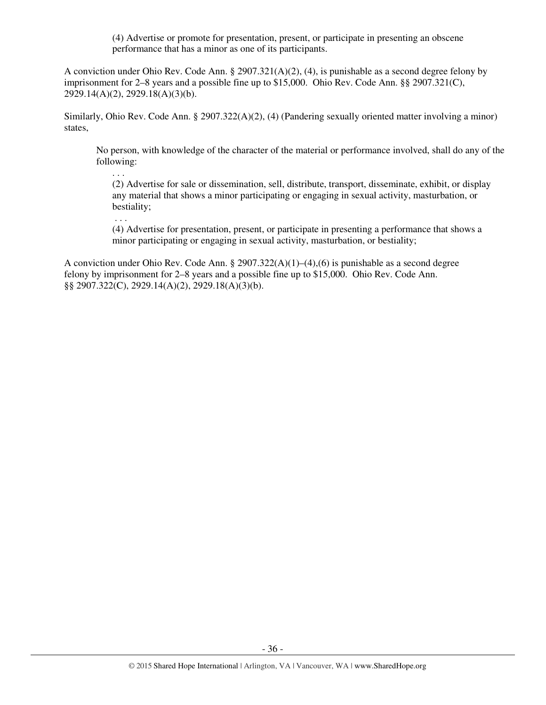(4) Advertise or promote for presentation, present, or participate in presenting an obscene performance that has a minor as one of its participants.

A conviction under Ohio Rev. Code Ann. § 2907.321(A)(2), (4), is punishable as a second degree felony by imprisonment for 2–8 years and a possible fine up to \$15,000. Ohio Rev. Code Ann. §§ 2907.321(C), 2929.14(A)(2), 2929.18(A)(3)(b).

Similarly, Ohio Rev. Code Ann. § 2907.322(A)(2), (4) (Pandering sexually oriented matter involving a minor) states,

No person, with knowledge of the character of the material or performance involved, shall do any of the following:

(2) Advertise for sale or dissemination, sell, distribute, transport, disseminate, exhibit, or display any material that shows a minor participating or engaging in sexual activity, masturbation, or bestiality;

. . .

. . .

(4) Advertise for presentation, present, or participate in presenting a performance that shows a minor participating or engaging in sexual activity, masturbation, or bestiality;

A conviction under Ohio Rev. Code Ann. § 2907.322(A)(1)–(4),(6) is punishable as a second degree felony by imprisonment for 2–8 years and a possible fine up to \$15,000. Ohio Rev. Code Ann. §§ 2907.322(C), 2929.14(A)(2), 2929.18(A)(3)(b).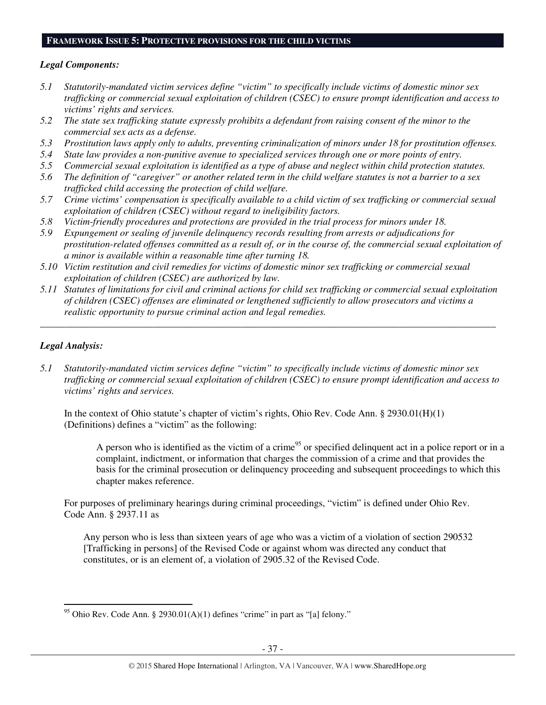#### **FRAMEWORK ISSUE 5: PROTECTIVE PROVISIONS FOR THE CHILD VICTIMS**

#### *Legal Components:*

- *5.1 Statutorily-mandated victim services define "victim" to specifically include victims of domestic minor sex trafficking or commercial sexual exploitation of children (CSEC) to ensure prompt identification and access to victims' rights and services.*
- *5.2 The state sex trafficking statute expressly prohibits a defendant from raising consent of the minor to the commercial sex acts as a defense.*
- *5.3 Prostitution laws apply only to adults, preventing criminalization of minors under 18 for prostitution offenses.*
- *5.4 State law provides a non-punitive avenue to specialized services through one or more points of entry.*
- *5.5 Commercial sexual exploitation is identified as a type of abuse and neglect within child protection statutes.*
- *5.6 The definition of "caregiver" or another related term in the child welfare statutes is not a barrier to a sex trafficked child accessing the protection of child welfare.*
- *5.7 Crime victims' compensation is specifically available to a child victim of sex trafficking or commercial sexual exploitation of children (CSEC) without regard to ineligibility factors.*
- *5.8 Victim-friendly procedures and protections are provided in the trial process for minors under 18.*
- *5.9 Expungement or sealing of juvenile delinquency records resulting from arrests or adjudications for prostitution-related offenses committed as a result of, or in the course of, the commercial sexual exploitation of a minor is available within a reasonable time after turning 18.*
- *5.10 Victim restitution and civil remedies for victims of domestic minor sex trafficking or commercial sexual exploitation of children (CSEC) are authorized by law.*
- *5.11 Statutes of limitations for civil and criminal actions for child sex trafficking or commercial sexual exploitation of children (CSEC) offenses are eliminated or lengthened sufficiently to allow prosecutors and victims a realistic opportunity to pursue criminal action and legal remedies.*

*\_\_\_\_\_\_\_\_\_\_\_\_\_\_\_\_\_\_\_\_\_\_\_\_\_\_\_\_\_\_\_\_\_\_\_\_\_\_\_\_\_\_\_\_\_\_\_\_\_\_\_\_\_\_\_\_\_\_\_\_\_\_\_\_\_\_\_\_\_\_\_\_\_\_\_\_\_\_\_\_\_\_\_\_\_\_\_\_\_\_\_\_\_* 

## *Legal Analysis:*

 $\overline{a}$ 

*5.1 Statutorily-mandated victim services define "victim" to specifically include victims of domestic minor sex trafficking or commercial sexual exploitation of children (CSEC) to ensure prompt identification and access to victims' rights and services.* 

In the context of Ohio statute's chapter of victim's rights, Ohio Rev. Code Ann. § 2930.01(H)(1) (Definitions) defines a "victim" as the following:

A person who is identified as the victim of a crime<sup>95</sup> or specified delinquent act in a police report or in a complaint, indictment, or information that charges the commission of a crime and that provides the basis for the criminal prosecution or delinquency proceeding and subsequent proceedings to which this chapter makes reference.

For purposes of preliminary hearings during criminal proceedings, "victim" is defined under Ohio Rev. Code Ann. § 2937.11 as

Any person who is less than sixteen years of age who was a victim of a violation of section 290532 [Trafficking in persons] of the Revised Code or against whom was directed any conduct that constitutes, or is an element of, a violation of 2905.32 of the Revised Code.

<sup>&</sup>lt;sup>95</sup> Ohio Rev. Code Ann. § 2930.01(A)(1) defines "crime" in part as "[a] felony."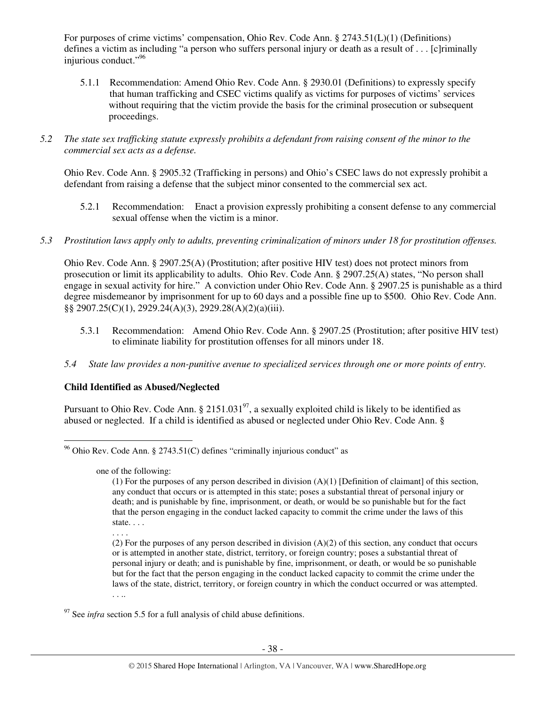For purposes of crime victims' compensation, Ohio Rev. Code Ann. § 2743.51(L)(1) (Definitions) defines a victim as including "a person who suffers personal injury or death as a result of . . . [c]riminally injurious conduct."<sup>96</sup>

- 5.1.1 Recommendation: Amend Ohio Rev. Code Ann. § 2930.01 (Definitions) to expressly specify that human trafficking and CSEC victims qualify as victims for purposes of victims' services without requiring that the victim provide the basis for the criminal prosecution or subsequent proceedings.
- *5.2 The state sex trafficking statute expressly prohibits a defendant from raising consent of the minor to the commercial sex acts as a defense.*

Ohio Rev. Code Ann. § 2905.32 (Trafficking in persons) and Ohio's CSEC laws do not expressly prohibit a defendant from raising a defense that the subject minor consented to the commercial sex act.

- 5.2.1 Recommendation: Enact a provision expressly prohibiting a consent defense to any commercial sexual offense when the victim is a minor.
- *5.3 Prostitution laws apply only to adults, preventing criminalization of minors under 18 for prostitution offenses.*

Ohio Rev. Code Ann. § 2907.25(A) (Prostitution; after positive HIV test) does not protect minors from prosecution or limit its applicability to adults. Ohio Rev. Code Ann. § 2907.25(A) states, "No person shall engage in sexual activity for hire." A conviction under Ohio Rev. Code Ann. § 2907.25 is punishable as a third degree misdemeanor by imprisonment for up to 60 days and a possible fine up to \$500. Ohio Rev. Code Ann. §§ 2907.25(C)(1), 2929.24(A)(3), 2929.28(A)(2)(a)(iii).

- 5.3.1 Recommendation: Amend Ohio Rev. Code Ann. § 2907.25 (Prostitution; after positive HIV test) to eliminate liability for prostitution offenses for all minors under 18.
- *5.4 State law provides a non-punitive avenue to specialized services through one or more points of entry.*

# **Child Identified as Abused/Neglected**

Pursuant to Ohio Rev. Code Ann.  $\S 2151.031<sup>97</sup>$ , a sexually exploited child is likely to be identified as abused or neglected. If a child is identified as abused or neglected under Ohio Rev. Code Ann. §

l

(2) For the purposes of any person described in division (A)(2) of this section, any conduct that occurs or is attempted in another state, district, territory, or foreign country; poses a substantial threat of personal injury or death; and is punishable by fine, imprisonment, or death, or would be so punishable but for the fact that the person engaging in the conduct lacked capacity to commit the crime under the laws of the state, district, territory, or foreign country in which the conduct occurred or was attempted. . . ..

<sup>97</sup> See *infra* section 5.5 for a full analysis of child abuse definitions.

<sup>&</sup>lt;sup>96</sup> Ohio Rev. Code Ann. § 2743.51(C) defines "criminally injurious conduct" as

one of the following:

<sup>(1)</sup> For the purposes of any person described in division (A)(1) [Definition of claimant] of this section, any conduct that occurs or is attempted in this state; poses a substantial threat of personal injury or death; and is punishable by fine, imprisonment, or death, or would be so punishable but for the fact that the person engaging in the conduct lacked capacity to commit the crime under the laws of this state. . . .

<sup>. . . .</sup>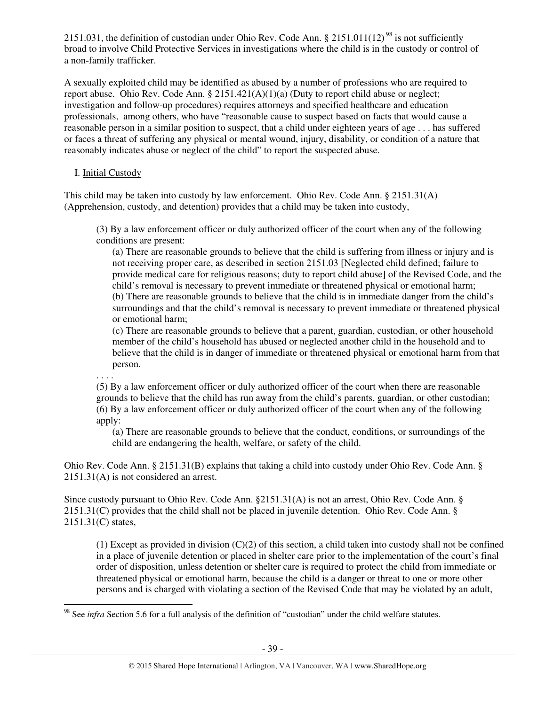2151.031, the definition of custodian under Ohio Rev. Code Ann. § 2151.011(12)<sup>98</sup> is not sufficiently broad to involve Child Protective Services in investigations where the child is in the custody or control of a non-family trafficker.

A sexually exploited child may be identified as abused by a number of professions who are required to report abuse. Ohio Rev. Code Ann. § 2151.421(A)(1)(a) (Duty to report child abuse or neglect; investigation and follow-up procedures) requires attorneys and specified healthcare and education professionals, among others, who have "reasonable cause to suspect based on facts that would cause a reasonable person in a similar position to suspect, that a child under eighteen years of age . . . has suffered or faces a threat of suffering any physical or mental wound, injury, disability, or condition of a nature that reasonably indicates abuse or neglect of the child" to report the suspected abuse.

## I. Initial Custody

This child may be taken into custody by law enforcement. Ohio Rev. Code Ann. § 2151.31(A) (Apprehension, custody, and detention) provides that a child may be taken into custody,

(3) By a law enforcement officer or duly authorized officer of the court when any of the following conditions are present:

(a) There are reasonable grounds to believe that the child is suffering from illness or injury and is not receiving proper care, as described in section 2151.03 [Neglected child defined; failure to provide medical care for religious reasons; duty to report child abuse] of the Revised Code, and the child's removal is necessary to prevent immediate or threatened physical or emotional harm; (b) There are reasonable grounds to believe that the child is in immediate danger from the child's surroundings and that the child's removal is necessary to prevent immediate or threatened physical or emotional harm;

(c) There are reasonable grounds to believe that a parent, guardian, custodian, or other household member of the child's household has abused or neglected another child in the household and to believe that the child is in danger of immediate or threatened physical or emotional harm from that person.

. . . .

l

(5) By a law enforcement officer or duly authorized officer of the court when there are reasonable grounds to believe that the child has run away from the child's parents, guardian, or other custodian; (6) By a law enforcement officer or duly authorized officer of the court when any of the following apply:

(a) There are reasonable grounds to believe that the conduct, conditions, or surroundings of the child are endangering the health, welfare, or safety of the child.

Ohio Rev. Code Ann. § 2151.31(B) explains that taking a child into custody under Ohio Rev. Code Ann. § 2151.31(A) is not considered an arrest.

Since custody pursuant to Ohio Rev. Code Ann. §2151.31(A) is not an arrest, Ohio Rev. Code Ann. § 2151.31(C) provides that the child shall not be placed in juvenile detention. Ohio Rev. Code Ann. § 2151.31(C) states,

 $(1)$  Except as provided in division  $(C)(2)$  of this section, a child taken into custody shall not be confined in a place of juvenile detention or placed in shelter care prior to the implementation of the court's final order of disposition, unless detention or shelter care is required to protect the child from immediate or threatened physical or emotional harm, because the child is a danger or threat to one or more other persons and is charged with violating a section of the Revised Code that may be violated by an adult,

<sup>&</sup>lt;sup>98</sup> See *infra* Section 5.6 for a full analysis of the definition of "custodian" under the child welfare statutes.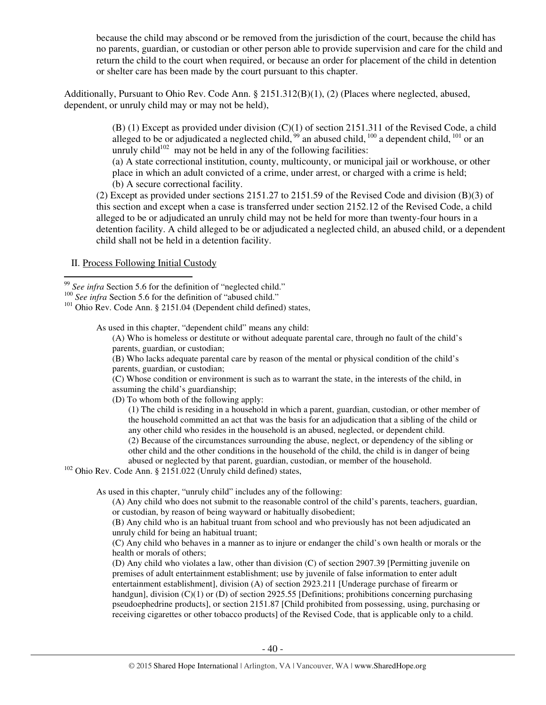because the child may abscond or be removed from the jurisdiction of the court, because the child has no parents, guardian, or custodian or other person able to provide supervision and care for the child and return the child to the court when required, or because an order for placement of the child in detention or shelter care has been made by the court pursuant to this chapter.

Additionally, Pursuant to Ohio Rev. Code Ann. § 2151.312(B)(1), (2) (Places where neglected, abused, dependent, or unruly child may or may not be held),

> (B) (1) Except as provided under division (C)(1) of section 2151.311 of the Revised Code, a child alleged to be or adjudicated a neglected child,  $99^\circ$  an abused child,  $100^\circ$  a dependent child,  $101^\circ$  or an unruly child $102$  may not be held in any of the following facilities:

(a) A state correctional institution, county, multicounty, or municipal jail or workhouse, or other place in which an adult convicted of a crime, under arrest, or charged with a crime is held; (b) A secure correctional facility.

(2) Except as provided under sections 2151.27 to 2151.59 of the Revised Code and division (B)(3) of this section and except when a case is transferred under section 2152.12 of the Revised Code, a child alleged to be or adjudicated an unruly child may not be held for more than twenty-four hours in a detention facility. A child alleged to be or adjudicated a neglected child, an abused child, or a dependent child shall not be held in a detention facility.

II. Process Following Initial Custody

 $\overline{a}$ 

As used in this chapter, "dependent child" means any child:

(A) Who is homeless or destitute or without adequate parental care, through no fault of the child's parents, guardian, or custodian;

(B) Who lacks adequate parental care by reason of the mental or physical condition of the child's parents, guardian, or custodian;

(C) Whose condition or environment is such as to warrant the state, in the interests of the child, in assuming the child's guardianship;

(D) To whom both of the following apply:

(1) The child is residing in a household in which a parent, guardian, custodian, or other member of the household committed an act that was the basis for an adjudication that a sibling of the child or any other child who resides in the household is an abused, neglected, or dependent child. (2) Because of the circumstances surrounding the abuse, neglect, or dependency of the sibling or other child and the other conditions in the household of the child, the child is in danger of being abused or neglected by that parent, guardian, custodian, or member of the household.

<sup>102</sup> Ohio Rev. Code Ann. § 2151.022 (Unruly child defined) states,

As used in this chapter, "unruly child" includes any of the following:

(A) Any child who does not submit to the reasonable control of the child's parents, teachers, guardian, or custodian, by reason of being wayward or habitually disobedient;

(B) Any child who is an habitual truant from school and who previously has not been adjudicated an unruly child for being an habitual truant;

(C) Any child who behaves in a manner as to injure or endanger the child's own health or morals or the health or morals of others;

(D) Any child who violates a law, other than division (C) of section 2907.39 [Permitting juvenile on premises of adult entertainment establishment; use by juvenile of false information to enter adult entertainment establishment], division (A) of section 2923.211 [Underage purchase of firearm or handgun], division  $(C)(1)$  or  $(D)$  of section 2925.55 [Definitions; prohibitions concerning purchasing pseudoephedrine products], or section 2151.87 [Child prohibited from possessing, using, purchasing or receiving cigarettes or other tobacco products] of the Revised Code, that is applicable only to a child.

<sup>99</sup> *See infra* Section 5.6 for the definition of "neglected child."

<sup>&</sup>lt;sup>100</sup> See infra Section 5.6 for the definition of "abused child."

 $101$  Ohio Rev. Code Ann. § 2151.04 (Dependent child defined) states,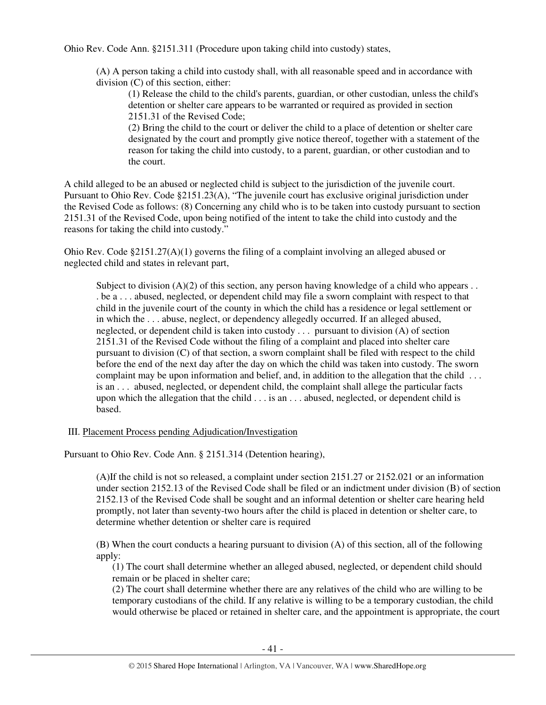Ohio Rev. Code Ann. §2151.311 (Procedure upon taking child into custody) states,

(A) A person taking a child into custody shall, with all reasonable speed and in accordance with division (C) of this section, either:

(1) Release the child to the child's parents, guardian, or other custodian, unless the child's detention or shelter care appears to be warranted or required as provided in section 2151.31 of the Revised Code;

(2) Bring the child to the court or deliver the child to a place of detention or shelter care designated by the court and promptly give notice thereof, together with a statement of the reason for taking the child into custody, to a parent, guardian, or other custodian and to the court.

A child alleged to be an abused or neglected child is subject to the jurisdiction of the juvenile court. Pursuant to Ohio Rev. Code §2151.23(A), "The juvenile court has exclusive original jurisdiction under the Revised Code as follows: (8) Concerning any child who is to be taken into custody pursuant to section 2151.31 of the Revised Code, upon being notified of the intent to take the child into custody and the reasons for taking the child into custody."

Ohio Rev. Code  $\S2151.27(A)(1)$  governs the filing of a complaint involving an alleged abused or neglected child and states in relevant part,

Subject to division  $(A)(2)$  of this section, any person having knowledge of a child who appears ... . be a . . . abused, neglected, or dependent child may file a sworn complaint with respect to that child in the juvenile court of the county in which the child has a residence or legal settlement or in which the . . . abuse, neglect, or dependency allegedly occurred. If an alleged abused, neglected, or dependent child is taken into custody . . . pursuant to division (A) of section 2151.31 of the Revised Code without the filing of a complaint and placed into shelter care pursuant to division (C) of that section, a sworn complaint shall be filed with respect to the child before the end of the next day after the day on which the child was taken into custody. The sworn complaint may be upon information and belief, and, in addition to the allegation that the child ... is an . . . abused, neglected, or dependent child, the complaint shall allege the particular facts upon which the allegation that the child . . . is an . . . abused, neglected, or dependent child is based.

### III. Placement Process pending Adjudication/Investigation

Pursuant to Ohio Rev. Code Ann. § 2151.314 (Detention hearing),

(A)If the child is not so released, a complaint under section 2151.27 or 2152.021 or an information under section 2152.13 of the Revised Code shall be filed or an indictment under division (B) of section 2152.13 of the Revised Code shall be sought and an informal detention or shelter care hearing held promptly, not later than seventy-two hours after the child is placed in detention or shelter care, to determine whether detention or shelter care is required

(B) When the court conducts a hearing pursuant to division (A) of this section, all of the following apply:

(1) The court shall determine whether an alleged abused, neglected, or dependent child should remain or be placed in shelter care;

(2) The court shall determine whether there are any relatives of the child who are willing to be temporary custodians of the child. If any relative is willing to be a temporary custodian, the child would otherwise be placed or retained in shelter care, and the appointment is appropriate, the court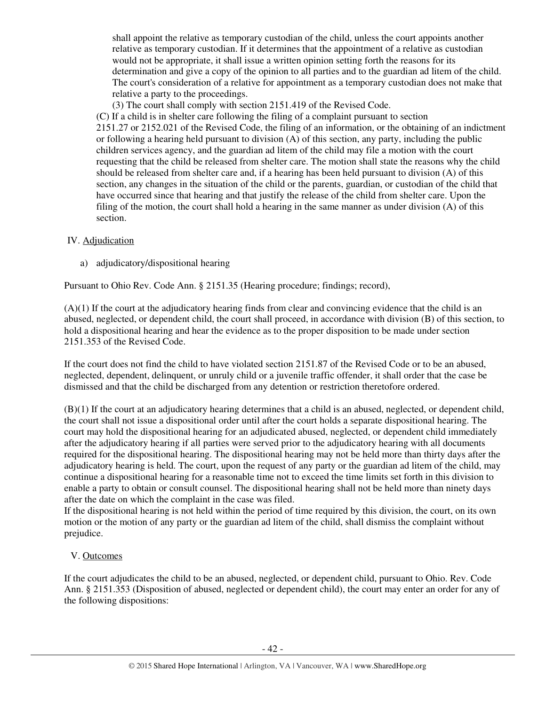shall appoint the relative as temporary custodian of the child, unless the court appoints another relative as temporary custodian. If it determines that the appointment of a relative as custodian would not be appropriate, it shall issue a written opinion setting forth the reasons for its determination and give a copy of the opinion to all parties and to the guardian ad litem of the child. The court's consideration of a relative for appointment as a temporary custodian does not make that relative a party to the proceedings.

(3) The court shall comply with section 2151.419 of the Revised Code.

(C) If a child is in shelter care following the filing of a complaint pursuant to section 2151.27 or 2152.021 of the Revised Code, the filing of an information, or the obtaining of an indictment or following a hearing held pursuant to division (A) of this section, any party, including the public children services agency, and the guardian ad litem of the child may file a motion with the court requesting that the child be released from shelter care. The motion shall state the reasons why the child should be released from shelter care and, if a hearing has been held pursuant to division (A) of this section, any changes in the situation of the child or the parents, guardian, or custodian of the child that have occurred since that hearing and that justify the release of the child from shelter care. Upon the filing of the motion, the court shall hold a hearing in the same manner as under division (A) of this section.

# IV. Adjudication

a) adjudicatory/dispositional hearing

Pursuant to Ohio Rev. Code Ann. § 2151.35 (Hearing procedure; findings; record),

(A)(1) If the court at the adjudicatory hearing finds from clear and convincing evidence that the child is an abused, neglected, or dependent child, the court shall proceed, in accordance with division (B) of this section, to hold a dispositional hearing and hear the evidence as to the proper disposition to be made under section 2151.353 of the Revised Code.

If the court does not find the child to have violated section 2151.87 of the Revised Code or to be an abused, neglected, dependent, delinquent, or unruly child or a juvenile traffic offender, it shall order that the case be dismissed and that the child be discharged from any detention or restriction theretofore ordered.

(B)(1) If the court at an adjudicatory hearing determines that a child is an abused, neglected, or dependent child, the court shall not issue a dispositional order until after the court holds a separate dispositional hearing. The court may hold the dispositional hearing for an adjudicated abused, neglected, or dependent child immediately after the adjudicatory hearing if all parties were served prior to the adjudicatory hearing with all documents required for the dispositional hearing. The dispositional hearing may not be held more than thirty days after the adjudicatory hearing is held. The court, upon the request of any party or the guardian ad litem of the child, may continue a dispositional hearing for a reasonable time not to exceed the time limits set forth in this division to enable a party to obtain or consult counsel. The dispositional hearing shall not be held more than ninety days after the date on which the complaint in the case was filed.

If the dispositional hearing is not held within the period of time required by this division, the court, on its own motion or the motion of any party or the guardian ad litem of the child, shall dismiss the complaint without prejudice.

# V. Outcomes

If the court adjudicates the child to be an abused, neglected, or dependent child, pursuant to Ohio. Rev. Code Ann. § 2151.353 (Disposition of abused, neglected or dependent child), the court may enter an order for any of the following dispositions: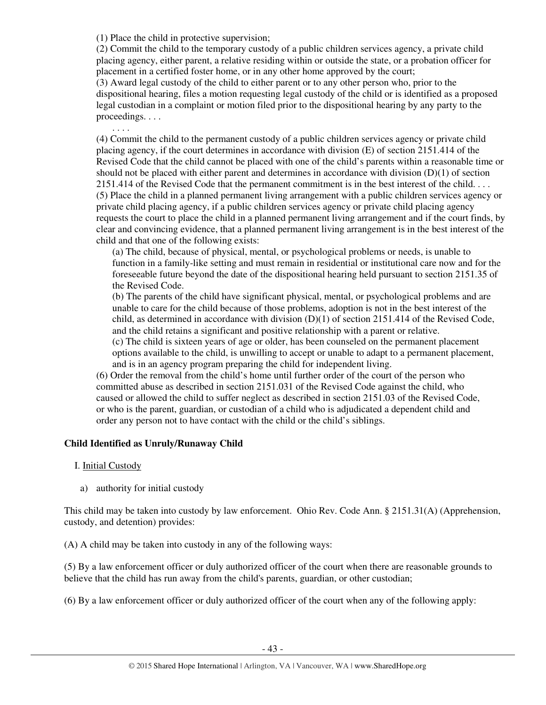(1) Place the child in protective supervision;

(2) Commit the child to the temporary custody of a public children services agency, a private child placing agency, either parent, a relative residing within or outside the state, or a probation officer for placement in a certified foster home, or in any other home approved by the court; (3) Award legal custody of the child to either parent or to any other person who, prior to the

dispositional hearing, files a motion requesting legal custody of the child or is identified as a proposed legal custodian in a complaint or motion filed prior to the dispositional hearing by any party to the proceedings. . . . . . . .

(4) Commit the child to the permanent custody of a public children services agency or private child placing agency, if the court determines in accordance with division (E) of section 2151.414 of the Revised Code that the child cannot be placed with one of the child's parents within a reasonable time or should not be placed with either parent and determines in accordance with division  $(D)(1)$  of section 2151.414 of the Revised Code that the permanent commitment is in the best interest of the child. . . . (5) Place the child in a planned permanent living arrangement with a public children services agency or private child placing agency, if a public children services agency or private child placing agency requests the court to place the child in a planned permanent living arrangement and if the court finds, by clear and convincing evidence, that a planned permanent living arrangement is in the best interest of the child and that one of the following exists:

(a) The child, because of physical, mental, or psychological problems or needs, is unable to function in a family-like setting and must remain in residential or institutional care now and for the foreseeable future beyond the date of the dispositional hearing held pursuant to section 2151.35 of the Revised Code.

(b) The parents of the child have significant physical, mental, or psychological problems and are unable to care for the child because of those problems, adoption is not in the best interest of the child, as determined in accordance with division (D)(1) of section 2151.414 of the Revised Code, and the child retains a significant and positive relationship with a parent or relative.

(c) The child is sixteen years of age or older, has been counseled on the permanent placement options available to the child, is unwilling to accept or unable to adapt to a permanent placement, and is in an agency program preparing the child for independent living.

(6) Order the removal from the child's home until further order of the court of the person who committed abuse as described in section 2151.031 of the Revised Code against the child, who caused or allowed the child to suffer neglect as described in section 2151.03 of the Revised Code, or who is the parent, guardian, or custodian of a child who is adjudicated a dependent child and order any person not to have contact with the child or the child's siblings.

# **Child Identified as Unruly/Runaway Child**

### I. Initial Custody

a) authority for initial custody

This child may be taken into custody by law enforcement. Ohio Rev. Code Ann. § 2151.31(A) (Apprehension, custody, and detention) provides:

(A) A child may be taken into custody in any of the following ways:

(5) By a law enforcement officer or duly authorized officer of the court when there are reasonable grounds to believe that the child has run away from the child's parents, guardian, or other custodian;

(6) By a law enforcement officer or duly authorized officer of the court when any of the following apply: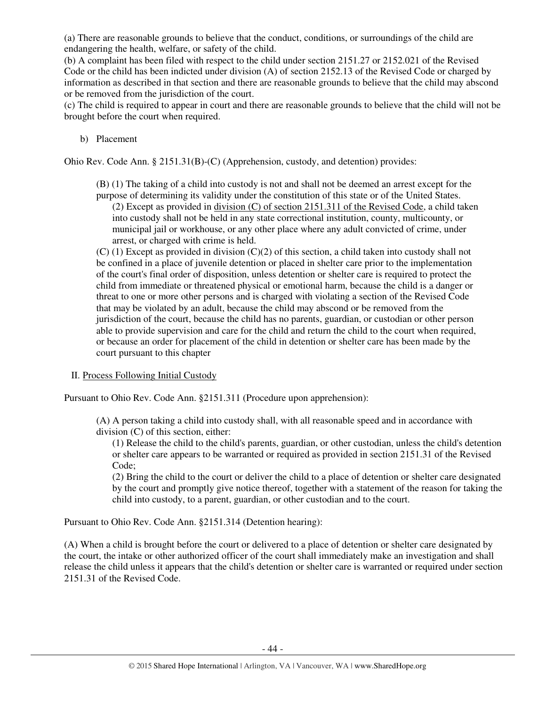(a) There are reasonable grounds to believe that the conduct, conditions, or surroundings of the child are endangering the health, welfare, or safety of the child.

(b) A complaint has been filed with respect to the child under section 2151.27 or 2152.021 of the Revised Code or the child has been indicted under division (A) of section 2152.13 of the Revised Code or charged by information as described in that section and there are reasonable grounds to believe that the child may abscond or be removed from the jurisdiction of the court.

(c) The child is required to appear in court and there are reasonable grounds to believe that the child will not be brought before the court when required.

b) Placement

Ohio Rev. Code Ann. § 2151.31(B)-(C) (Apprehension, custody, and detention) provides:

(B) (1) The taking of a child into custody is not and shall not be deemed an arrest except for the purpose of determining its validity under the constitution of this state or of the United States. (2) Except as provided in division (C) of section 2151.311 of the Revised Code, a child taken into custody shall not be held in any state correctional institution, county, multicounty, or municipal jail or workhouse, or any other place where any adult convicted of crime, under arrest, or charged with crime is held.

(C) (1) Except as provided in division (C)(2) of this section, a child taken into custody shall not be confined in a place of juvenile detention or placed in shelter care prior to the implementation of the court's final order of disposition, unless detention or shelter care is required to protect the child from immediate or threatened physical or emotional harm, because the child is a danger or threat to one or more other persons and is charged with violating a section of the Revised Code that may be violated by an adult, because the child may abscond or be removed from the jurisdiction of the court, because the child has no parents, guardian, or custodian or other person able to provide supervision and care for the child and return the child to the court when required, or because an order for placement of the child in detention or shelter care has been made by the court pursuant to this chapter

### II. Process Following Initial Custody

Pursuant to Ohio Rev. Code Ann. §2151.311 (Procedure upon apprehension):

(A) A person taking a child into custody shall, with all reasonable speed and in accordance with division (C) of this section, either:

(1) Release the child to the child's parents, guardian, or other custodian, unless the child's detention or shelter care appears to be warranted or required as provided in section 2151.31 of the Revised Code;

(2) Bring the child to the court or deliver the child to a place of detention or shelter care designated by the court and promptly give notice thereof, together with a statement of the reason for taking the child into custody, to a parent, guardian, or other custodian and to the court.

Pursuant to Ohio Rev. Code Ann. §2151.314 (Detention hearing):

(A) When a child is brought before the court or delivered to a place of detention or shelter care designated by the court, the intake or other authorized officer of the court shall immediately make an investigation and shall release the child unless it appears that the child's detention or shelter care is warranted or required under section 2151.31 of the Revised Code.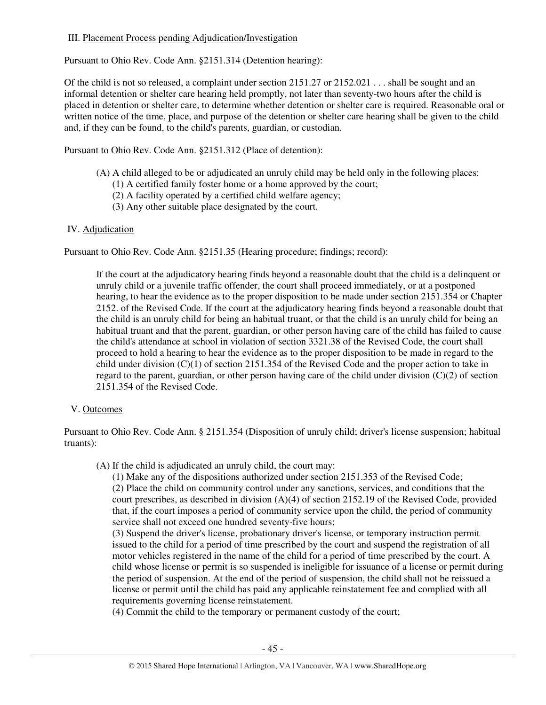## III. Placement Process pending Adjudication/Investigation

Pursuant to Ohio Rev. Code Ann. §2151.314 (Detention hearing):

Of the child is not so released, a complaint under section 2151.27 or 2152.021 . . . shall be sought and an informal detention or shelter care hearing held promptly, not later than seventy-two hours after the child is placed in detention or shelter care, to determine whether detention or shelter care is required. Reasonable oral or written notice of the time, place, and purpose of the detention or shelter care hearing shall be given to the child and, if they can be found, to the child's parents, guardian, or custodian.

Pursuant to Ohio Rev. Code Ann. §2151.312 (Place of detention):

- (A) A child alleged to be or adjudicated an unruly child may be held only in the following places:
	- (1) A certified family foster home or a home approved by the court;
	- (2) A facility operated by a certified child welfare agency;
	- (3) Any other suitable place designated by the court.

## IV. Adjudication

Pursuant to Ohio Rev. Code Ann. §2151.35 (Hearing procedure; findings; record):

If the court at the adjudicatory hearing finds beyond a reasonable doubt that the child is a delinquent or unruly child or a juvenile traffic offender, the court shall proceed immediately, or at a postponed hearing, to hear the evidence as to the proper disposition to be made under section 2151.354 or Chapter 2152. of the Revised Code. If the court at the adjudicatory hearing finds beyond a reasonable doubt that the child is an unruly child for being an habitual truant, or that the child is an unruly child for being an habitual truant and that the parent, guardian, or other person having care of the child has failed to cause the child's attendance at school in violation of section 3321.38 of the Revised Code, the court shall proceed to hold a hearing to hear the evidence as to the proper disposition to be made in regard to the child under division  $(C)(1)$  of section 2151.354 of the Revised Code and the proper action to take in regard to the parent, guardian, or other person having care of the child under division  $(C)(2)$  of section 2151.354 of the Revised Code.

### V. Outcomes

Pursuant to Ohio Rev. Code Ann. § 2151.354 (Disposition of unruly child; driver's license suspension; habitual truants):

(A) If the child is adjudicated an unruly child, the court may:

(1) Make any of the dispositions authorized under section 2151.353 of the Revised Code; (2) Place the child on community control under any sanctions, services, and conditions that the court prescribes, as described in division (A)(4) of section 2152.19 of the Revised Code, provided that, if the court imposes a period of community service upon the child, the period of community service shall not exceed one hundred seventy-five hours;

(3) Suspend the driver's license, probationary driver's license, or temporary instruction permit issued to the child for a period of time prescribed by the court and suspend the registration of all motor vehicles registered in the name of the child for a period of time prescribed by the court. A child whose license or permit is so suspended is ineligible for issuance of a license or permit during the period of suspension. At the end of the period of suspension, the child shall not be reissued a license or permit until the child has paid any applicable reinstatement fee and complied with all requirements governing license reinstatement.

(4) Commit the child to the temporary or permanent custody of the court;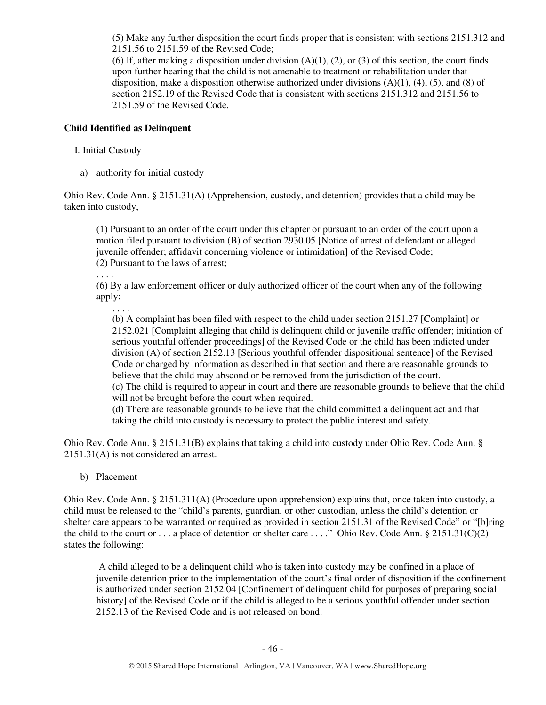(5) Make any further disposition the court finds proper that is consistent with sections 2151.312 and 2151.56 to 2151.59 of the Revised Code;

(6) If, after making a disposition under division  $(A)(1)$ ,  $(2)$ , or  $(3)$  of this section, the court finds upon further hearing that the child is not amenable to treatment or rehabilitation under that disposition, make a disposition otherwise authorized under divisions  $(A)(1)$ ,  $(4)$ ,  $(5)$ , and  $(8)$  of section 2152.19 of the Revised Code that is consistent with sections 2151.312 and 2151.56 to 2151.59 of the Revised Code.

# **Child Identified as Delinquent**

# I. Initial Custody

a) authority for initial custody

Ohio Rev. Code Ann. § 2151.31(A) (Apprehension, custody, and detention) provides that a child may be taken into custody,

(1) Pursuant to an order of the court under this chapter or pursuant to an order of the court upon a motion filed pursuant to division (B) of section 2930.05 [Notice of arrest of defendant or alleged juvenile offender; affidavit concerning violence or intimidation] of the Revised Code; (2) Pursuant to the laws of arrest;

. . . .

(6) By a law enforcement officer or duly authorized officer of the court when any of the following apply:

. . . .

(b) A complaint has been filed with respect to the child under section 2151.27 [Complaint] or 2152.021 [Complaint alleging that child is delinquent child or juvenile traffic offender; initiation of serious youthful offender proceedings] of the Revised Code or the child has been indicted under division (A) of section 2152.13 [Serious youthful offender dispositional sentence] of the Revised Code or charged by information as described in that section and there are reasonable grounds to believe that the child may abscond or be removed from the jurisdiction of the court.

(c) The child is required to appear in court and there are reasonable grounds to believe that the child will not be brought before the court when required.

(d) There are reasonable grounds to believe that the child committed a delinquent act and that taking the child into custody is necessary to protect the public interest and safety.

Ohio Rev. Code Ann. § 2151.31(B) explains that taking a child into custody under Ohio Rev. Code Ann. § 2151.31(A) is not considered an arrest.

b) Placement

Ohio Rev. Code Ann. § 2151.311(A) (Procedure upon apprehension) explains that, once taken into custody, a child must be released to the "child's parents, guardian, or other custodian, unless the child's detention or shelter care appears to be warranted or required as provided in section 2151.31 of the Revised Code" or "[b]ring the child to the court or . . . a place of detention or shelter care . . . ." Ohio Rev. Code Ann. § 2151.31(C)(2) states the following:

 A child alleged to be a delinquent child who is taken into custody may be confined in a place of juvenile detention prior to the implementation of the court's final order of disposition if the confinement is authorized under section 2152.04 [Confinement of delinquent child for purposes of preparing social history] of the Revised Code or if the child is alleged to be a serious youthful offender under section 2152.13 of the Revised Code and is not released on bond.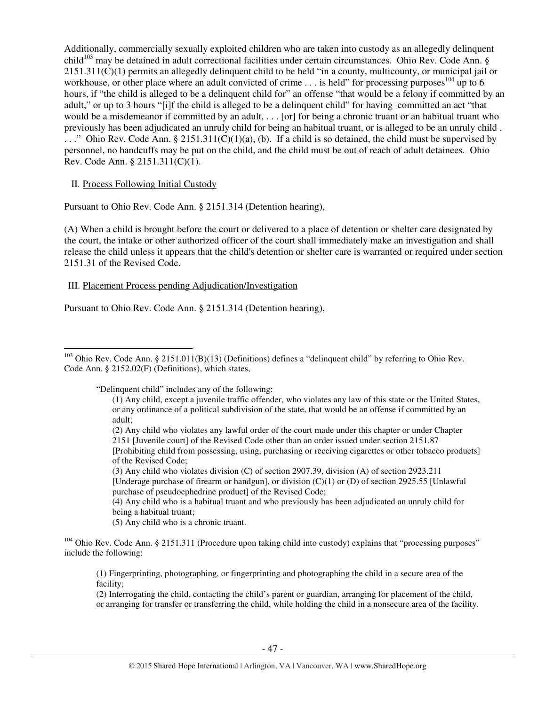Additionally, commercially sexually exploited children who are taken into custody as an allegedly delinquent  $child<sup>103</sup>$  may be detained in adult correctional facilities under certain circumstances. Ohio Rev. Code Ann. § 2151.311(C)(1) permits an allegedly delinquent child to be held "in a county, multicounty, or municipal jail or workhouse, or other place where an adult convicted of crime  $\ldots$  is held" for processing purposes<sup>104</sup> up to 6 hours, if "the child is alleged to be a delinquent child for" an offense "that would be a felony if committed by an adult," or up to 3 hours "[i]f the child is alleged to be a delinquent child" for having committed an act "that would be a misdemeanor if committed by an adult, . . . [or] for being a chronic truant or an habitual truant who previously has been adjudicated an unruly child for being an habitual truant, or is alleged to be an unruly child . ..." Ohio Rev. Code Ann. § 2151.311(C)(1)(a), (b). If a child is so detained, the child must be supervised by personnel, no handcuffs may be put on the child, and the child must be out of reach of adult detainees. Ohio Rev. Code Ann. § 2151.311(C)(1).

## II. Process Following Initial Custody

 $\overline{a}$ 

Pursuant to Ohio Rev. Code Ann. § 2151.314 (Detention hearing),

(A) When a child is brought before the court or delivered to a place of detention or shelter care designated by the court, the intake or other authorized officer of the court shall immediately make an investigation and shall release the child unless it appears that the child's detention or shelter care is warranted or required under section 2151.31 of the Revised Code.

III. Placement Process pending Adjudication/Investigation

Pursuant to Ohio Rev. Code Ann. § 2151.314 (Detention hearing),

"Delinquent child" includes any of the following:

(1) Fingerprinting, photographing, or fingerprinting and photographing the child in a secure area of the facility;

(2) Interrogating the child, contacting the child's parent or guardian, arranging for placement of the child, or arranging for transfer or transferring the child, while holding the child in a nonsecure area of the facility.

<sup>&</sup>lt;sup>103</sup> Ohio Rev. Code Ann. § 2151.011(B)(13) (Definitions) defines a "delinquent child" by referring to Ohio Rev. Code Ann. § 2152.02(F) (Definitions), which states,

<sup>(1)</sup> Any child, except a juvenile traffic offender, who violates any law of this state or the United States, or any ordinance of a political subdivision of the state, that would be an offense if committed by an adult;

<sup>(2)</sup> Any child who violates any lawful order of the court made under this chapter or under Chapter 2151 [Juvenile court] of the Revised Code other than an order issued under section 2151.87 [Prohibiting child from possessing, using, purchasing or receiving cigarettes or other tobacco products] of the Revised Code;

<sup>(3)</sup> Any child who violates division (C) of section 2907.39, division (A) of section 2923.211 [Underage purchase of firearm or handgun], or division (C)(1) or (D) of section 2925.55 [Unlawful purchase of pseudoephedrine product] of the Revised Code;

<sup>(4)</sup> Any child who is a habitual truant and who previously has been adjudicated an unruly child for being a habitual truant;

<sup>(5)</sup> Any child who is a chronic truant.

<sup>&</sup>lt;sup>104</sup> Ohio Rev. Code Ann. § 2151.311 (Procedure upon taking child into custody) explains that "processing purposes" include the following: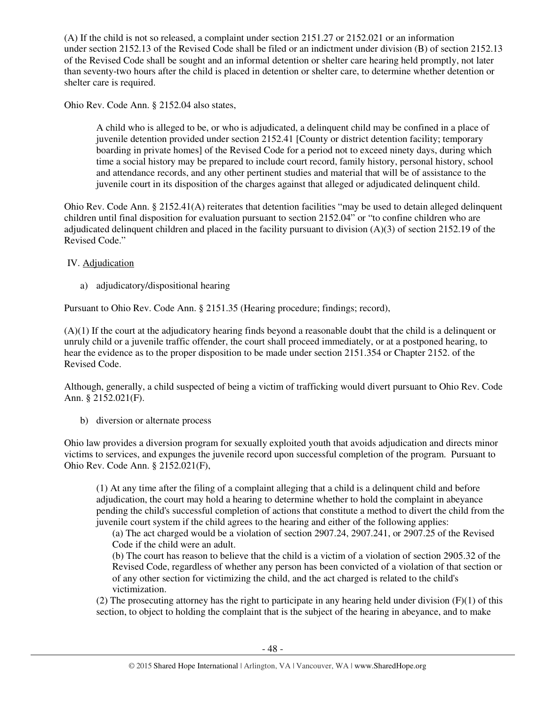(A) If the child is not so released, a complaint under section 2151.27 or 2152.021 or an information under section 2152.13 of the Revised Code shall be filed or an indictment under division (B) of section 2152.13 of the Revised Code shall be sought and an informal detention or shelter care hearing held promptly, not later than seventy-two hours after the child is placed in detention or shelter care, to determine whether detention or shelter care is required.

Ohio Rev. Code Ann. § 2152.04 also states,

A child who is alleged to be, or who is adjudicated, a delinquent child may be confined in a place of juvenile detention provided under section 2152.41 [County or district detention facility; temporary boarding in private homes] of the Revised Code for a period not to exceed ninety days, during which time a social history may be prepared to include court record, family history, personal history, school and attendance records, and any other pertinent studies and material that will be of assistance to the juvenile court in its disposition of the charges against that alleged or adjudicated delinquent child.

Ohio Rev. Code Ann. § 2152.41(A) reiterates that detention facilities "may be used to detain alleged delinquent children until final disposition for evaluation pursuant to section 2152.04" or "to confine children who are adjudicated delinquent children and placed in the facility pursuant to division (A)(3) of section 2152.19 of the Revised Code."

# IV. Adjudication

a) adjudicatory/dispositional hearing

Pursuant to Ohio Rev. Code Ann. § 2151.35 (Hearing procedure; findings; record),

(A)(1) If the court at the adjudicatory hearing finds beyond a reasonable doubt that the child is a delinquent or unruly child or a juvenile traffic offender, the court shall proceed immediately, or at a postponed hearing, to hear the evidence as to the proper disposition to be made under section 2151.354 or Chapter 2152. of the Revised Code.

Although, generally, a child suspected of being a victim of trafficking would divert pursuant to Ohio Rev. Code Ann. § 2152.021(F).

b) diversion or alternate process

Ohio law provides a diversion program for sexually exploited youth that avoids adjudication and directs minor victims to services, and expunges the juvenile record upon successful completion of the program. Pursuant to Ohio Rev. Code Ann. § 2152.021(F),

(1) At any time after the filing of a complaint alleging that a child is a delinquent child and before adjudication, the court may hold a hearing to determine whether to hold the complaint in abeyance pending the child's successful completion of actions that constitute a method to divert the child from the juvenile court system if the child agrees to the hearing and either of the following applies:

(a) The act charged would be a violation of section 2907.24, 2907.241, or 2907.25 of the Revised Code if the child were an adult.

(b) The court has reason to believe that the child is a victim of a violation of section 2905.32 of the Revised Code, regardless of whether any person has been convicted of a violation of that section or of any other section for victimizing the child, and the act charged is related to the child's victimization.

(2) The prosecuting attorney has the right to participate in any hearing held under division (F)(1) of this section, to object to holding the complaint that is the subject of the hearing in abeyance, and to make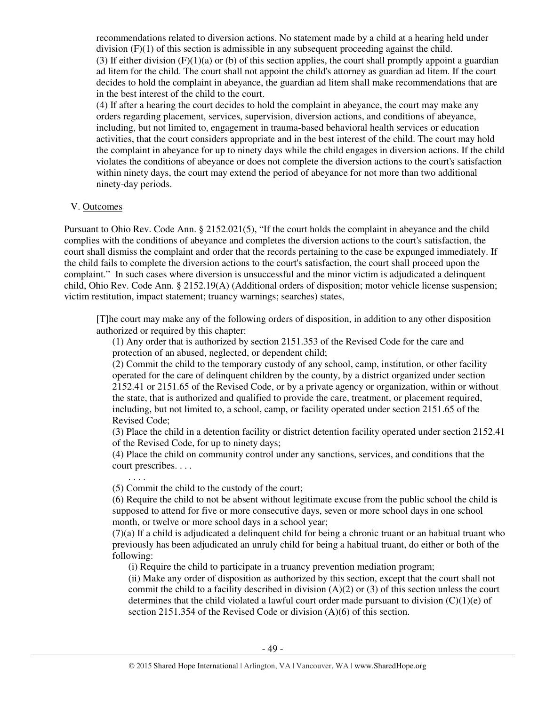recommendations related to diversion actions. No statement made by a child at a hearing held under division  $(F)(1)$  of this section is admissible in any subsequent proceeding against the child. (3) If either division  $(F)(1)(a)$  or (b) of this section applies, the court shall promptly appoint a guardian ad litem for the child. The court shall not appoint the child's attorney as guardian ad litem. If the court decides to hold the complaint in abeyance, the guardian ad litem shall make recommendations that are in the best interest of the child to the court.

(4) If after a hearing the court decides to hold the complaint in abeyance, the court may make any orders regarding placement, services, supervision, diversion actions, and conditions of abeyance, including, but not limited to, engagement in trauma-based behavioral health services or education activities, that the court considers appropriate and in the best interest of the child. The court may hold the complaint in abeyance for up to ninety days while the child engages in diversion actions. If the child violates the conditions of abeyance or does not complete the diversion actions to the court's satisfaction within ninety days, the court may extend the period of abeyance for not more than two additional ninety-day periods.

## V. Outcomes

Pursuant to Ohio Rev. Code Ann. § 2152.021(5), "If the court holds the complaint in abeyance and the child complies with the conditions of abeyance and completes the diversion actions to the court's satisfaction, the court shall dismiss the complaint and order that the records pertaining to the case be expunged immediately. If the child fails to complete the diversion actions to the court's satisfaction, the court shall proceed upon the complaint." In such cases where diversion is unsuccessful and the minor victim is adjudicated a delinquent child, Ohio Rev. Code Ann. § 2152.19(A) (Additional orders of disposition; motor vehicle license suspension; victim restitution, impact statement; truancy warnings; searches) states,

[T]he court may make any of the following orders of disposition, in addition to any other disposition authorized or required by this chapter:

(1) Any order that is authorized by section 2151.353 of the Revised Code for the care and protection of an abused, neglected, or dependent child;

(2) Commit the child to the temporary custody of any school, camp, institution, or other facility operated for the care of delinquent children by the county, by a district organized under section 2152.41 or 2151.65 of the Revised Code, or by a private agency or organization, within or without the state, that is authorized and qualified to provide the care, treatment, or placement required, including, but not limited to, a school, camp, or facility operated under section 2151.65 of the Revised Code;

(3) Place the child in a detention facility or district detention facility operated under section 2152.41 of the Revised Code, for up to ninety days;

(4) Place the child on community control under any sanctions, services, and conditions that the court prescribes. . . .

(5) Commit the child to the custody of the court;

. . . .

(6) Require the child to not be absent without legitimate excuse from the public school the child is supposed to attend for five or more consecutive days, seven or more school days in one school month, or twelve or more school days in a school year;

(7)(a) If a child is adjudicated a delinquent child for being a chronic truant or an habitual truant who previously has been adjudicated an unruly child for being a habitual truant, do either or both of the following:

(i) Require the child to participate in a truancy prevention mediation program;

(ii) Make any order of disposition as authorized by this section, except that the court shall not commit the child to a facility described in division  $(A)(2)$  or  $(B)$  of this section unless the court determines that the child violated a lawful court order made pursuant to division  $(C)(1)(e)$  of section 2151.354 of the Revised Code or division (A)(6) of this section.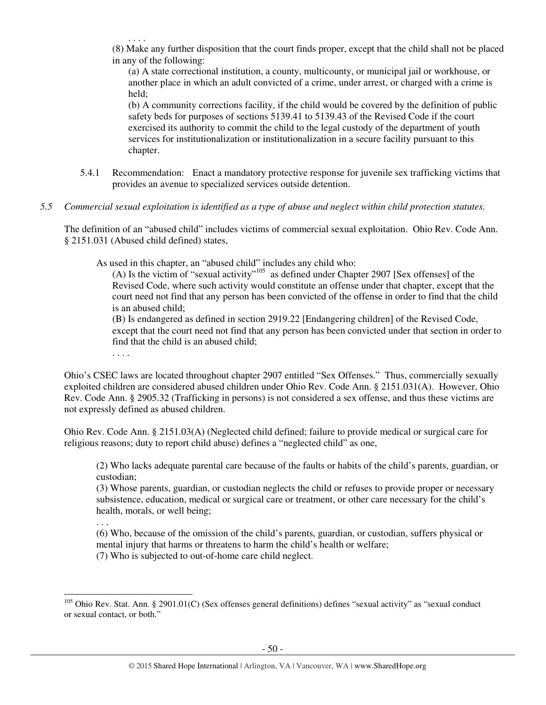. . . .

(8) Make any further disposition that the court finds proper, except that the child shall not be placed in any of the following:

(a) A state correctional institution, a county, multicounty, or municipal jail or workhouse, or another place in which an adult convicted of a crime, under arrest, or charged with a crime is held;

(b) A community corrections facility, if the child would be covered by the definition of public safety beds for purposes of sections 5139.41 to 5139.43 of the Revised Code if the court exercised its authority to commit the child to the legal custody of the department of youth services for institutionalization or institutionalization in a secure facility pursuant to this chapter.

- 5.4.1 Recommendation: Enact a mandatory protective response for juvenile sex trafficking victims that provides an avenue to specialized services outside detention.
- *5.5 Commercial sexual exploitation is identified as a type of abuse and neglect within child protection statutes.*

The definition of an "abused child" includes victims of commercial sexual exploitation. Ohio Rev. Code Ann. § 2151.031 (Abused child defined) states,

As used in this chapter, an "abused child" includes any child who:

(A) Is the victim of "sexual activity"<sup>105</sup> as defined under Chapter 2907 [Sex offenses] of the Revised Code, where such activity would constitute an offense under that chapter, except that the court need not find that any person has been convicted of the offense in order to find that the child is an abused child;

(B) Is endangered as defined in section 2919.22 [Endangering children] of the Revised Code, except that the court need not find that any person has been convicted under that section in order to find that the child is an abused child;

. . . .

 $\overline{a}$ 

Ohio's CSEC laws are located throughout chapter 2907 entitled "Sex Offenses." Thus, commercially sexually exploited children are considered abused children under Ohio Rev. Code Ann. § 2151.031(A). However, Ohio Rev. Code Ann. § 2905.32 (Trafficking in persons) is not considered a sex offense, and thus these victims are not expressly defined as abused children.

Ohio Rev. Code Ann. § 2151.03(A) (Neglected child defined; failure to provide medical or surgical care for religious reasons; duty to report child abuse) defines a "neglected child" as one,

(2) Who lacks adequate parental care because of the faults or habits of the child's parents, guardian, or custodian;

(3) Whose parents, guardian, or custodian neglects the child or refuses to provide proper or necessary subsistence, education, medical or surgical care or treatment, or other care necessary for the child's health, morals, or well being;

. . . (6) Who, because of the omission of the child's parents, guardian, or custodian, suffers physical or mental injury that harms or threatens to harm the child's health or welfare; (7) Who is subjected to out-of-home care child neglect.

 $105$  Ohio Rev. Stat. Ann. § 2901.01(C) (Sex offenses general definitions) defines "sexual activity" as "sexual conduct or sexual contact, or both."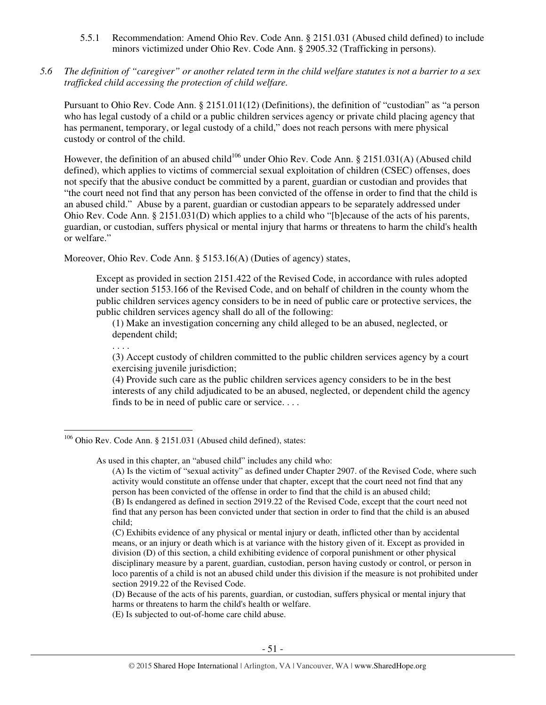- 5.5.1 Recommendation: Amend Ohio Rev. Code Ann. § 2151.031 (Abused child defined) to include minors victimized under Ohio Rev. Code Ann. § 2905.32 (Trafficking in persons).
- *5.6 The definition of "caregiver" or another related term in the child welfare statutes is not a barrier to a sex trafficked child accessing the protection of child welfare.*

Pursuant to Ohio Rev. Code Ann. § 2151.011(12) (Definitions), the definition of "custodian" as "a person who has legal custody of a child or a public children services agency or private child placing agency that has permanent, temporary, or legal custody of a child," does not reach persons with mere physical custody or control of the child.

However, the definition of an abused child<sup>106</sup> under Ohio Rev. Code Ann. § 2151.031(A) (Abused child defined), which applies to victims of commercial sexual exploitation of children (CSEC) offenses, does not specify that the abusive conduct be committed by a parent, guardian or custodian and provides that "the court need not find that any person has been convicted of the offense in order to find that the child is an abused child." Abuse by a parent, guardian or custodian appears to be separately addressed under Ohio Rev. Code Ann. § 2151.031(D) which applies to a child who "[b]ecause of the acts of his parents, guardian, or custodian, suffers physical or mental injury that harms or threatens to harm the child's health or welfare."

Moreover, Ohio Rev. Code Ann. § 5153.16(A) (Duties of agency) states,

Except as provided in section 2151.422 of the Revised Code, in accordance with rules adopted under section 5153.166 of the Revised Code, and on behalf of children in the county whom the public children services agency considers to be in need of public care or protective services, the public children services agency shall do all of the following:

(1) Make an investigation concerning any child alleged to be an abused, neglected, or dependent child;

. . . .

 $\overline{a}$ 

(3) Accept custody of children committed to the public children services agency by a court exercising juvenile jurisdiction;

(4) Provide such care as the public children services agency considers to be in the best interests of any child adjudicated to be an abused, neglected, or dependent child the agency finds to be in need of public care or service. . . .

As used in this chapter, an "abused child" includes any child who:

(E) Is subjected to out-of-home care child abuse.

<sup>106</sup> Ohio Rev. Code Ann. § 2151.031 (Abused child defined), states:

<sup>(</sup>A) Is the victim of "sexual activity" as defined under Chapter 2907. of the Revised Code, where such activity would constitute an offense under that chapter, except that the court need not find that any person has been convicted of the offense in order to find that the child is an abused child; (B) Is endangered as defined in section 2919.22 of the Revised Code, except that the court need not find that any person has been convicted under that section in order to find that the child is an abused child;

<sup>(</sup>C) Exhibits evidence of any physical or mental injury or death, inflicted other than by accidental means, or an injury or death which is at variance with the history given of it. Except as provided in division (D) of this section, a child exhibiting evidence of corporal punishment or other physical disciplinary measure by a parent, guardian, custodian, person having custody or control, or person in loco parentis of a child is not an abused child under this division if the measure is not prohibited under section 2919.22 of the Revised Code.

<sup>(</sup>D) Because of the acts of his parents, guardian, or custodian, suffers physical or mental injury that harms or threatens to harm the child's health or welfare.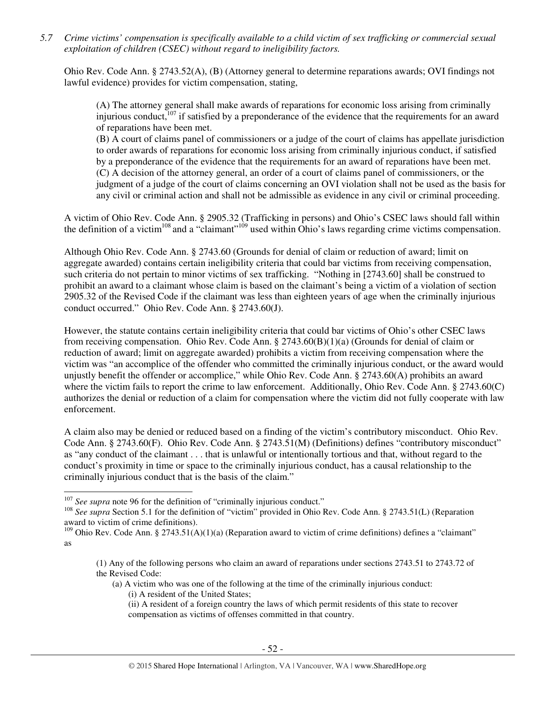*5.7 Crime victims' compensation is specifically available to a child victim of sex trafficking or commercial sexual exploitation of children (CSEC) without regard to ineligibility factors.* 

Ohio Rev. Code Ann. § 2743.52(A), (B) (Attorney general to determine reparations awards; OVI findings not lawful evidence) provides for victim compensation, stating,

(A) The attorney general shall make awards of reparations for economic loss arising from criminally injurious conduct, $107$  if satisfied by a preponderance of the evidence that the requirements for an award of reparations have been met.

(B) A court of claims panel of commissioners or a judge of the court of claims has appellate jurisdiction to order awards of reparations for economic loss arising from criminally injurious conduct, if satisfied by a preponderance of the evidence that the requirements for an award of reparations have been met. (C) A decision of the attorney general, an order of a court of claims panel of commissioners, or the judgment of a judge of the court of claims concerning an OVI violation shall not be used as the basis for any civil or criminal action and shall not be admissible as evidence in any civil or criminal proceeding.

A victim of Ohio Rev. Code Ann. § 2905.32 (Trafficking in persons) and Ohio's CSEC laws should fall within the definition of a victim<sup>108</sup> and a "claimant"<sup>109</sup> used within Ohio's laws regarding crime victims compensation.

Although Ohio Rev. Code Ann. § 2743.60 (Grounds for denial of claim or reduction of award; limit on aggregate awarded) contains certain ineligibility criteria that could bar victims from receiving compensation, such criteria do not pertain to minor victims of sex trafficking. "Nothing in [2743.60] shall be construed to prohibit an award to a claimant whose claim is based on the claimant's being a victim of a violation of section 2905.32 of the Revised Code if the claimant was less than eighteen years of age when the criminally injurious conduct occurred." Ohio Rev. Code Ann. § 2743.60(J).

However, the statute contains certain ineligibility criteria that could bar victims of Ohio's other CSEC laws from receiving compensation. Ohio Rev. Code Ann. § 2743.60(B)(1)(a) (Grounds for denial of claim or reduction of award; limit on aggregate awarded) prohibits a victim from receiving compensation where the victim was "an accomplice of the offender who committed the criminally injurious conduct, or the award would unjustly benefit the offender or accomplice," while Ohio Rev. Code Ann. § 2743.60(A) prohibits an award where the victim fails to report the crime to law enforcement. Additionally, Ohio Rev. Code Ann. § 2743.60(C) authorizes the denial or reduction of a claim for compensation where the victim did not fully cooperate with law enforcement.

A claim also may be denied or reduced based on a finding of the victim's contributory misconduct. Ohio Rev. Code Ann. § 2743.60(F). Ohio Rev. Code Ann. § 2743.51(M) (Definitions) defines "contributory misconduct" as "any conduct of the claimant . . . that is unlawful or intentionally tortious and that, without regard to the conduct's proximity in time or space to the criminally injurious conduct, has a causal relationship to the criminally injurious conduct that is the basis of the claim."

 $\overline{a}$ 

(1) Any of the following persons who claim an award of reparations under sections 2743.51 to 2743.72 of the Revised Code:

- (a) A victim who was one of the following at the time of the criminally injurious conduct: (i) A resident of the United States;
	- (ii) A resident of a foreign country the laws of which permit residents of this state to recover compensation as victims of offenses committed in that country.

<sup>&</sup>lt;sup>107</sup> See supra note 96 for the definition of "criminally injurious conduct."

<sup>&</sup>lt;sup>108</sup> *See supra* Section 5.1 for the definition of "victim" provided in Ohio Rev. Code Ann. § 2743.51(L) (Reparation award to victim of crime definitions).

<sup>&</sup>lt;sup>109</sup> Ohio Rev. Code Ann. § 2743.51(A)(1)(a) (Reparation award to victim of crime definitions) defines a "claimant" as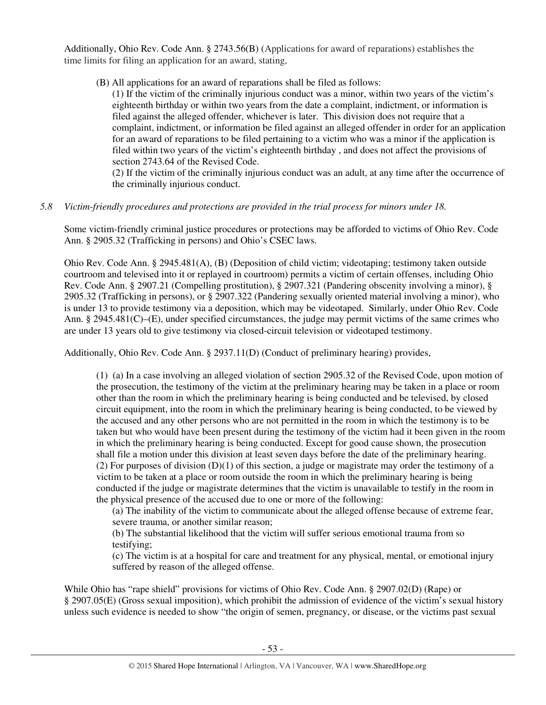Additionally, Ohio Rev. Code Ann. § 2743.56(B) (Applications for award of reparations) establishes the time limits for filing an application for an award, stating,

(B) All applications for an award of reparations shall be filed as follows:

(1) If the victim of the criminally injurious conduct was a minor, within two years of the victim's eighteenth birthday or within two years from the date a complaint, indictment, or information is filed against the alleged offender, whichever is later. This division does not require that a complaint, indictment, or information be filed against an alleged offender in order for an application for an award of reparations to be filed pertaining to a victim who was a minor if the application is filed within two years of the victim's eighteenth birthday , and does not affect the provisions of section 2743.64 of the Revised Code.

(2) If the victim of the criminally injurious conduct was an adult, at any time after the occurrence of the criminally injurious conduct.

*5.8 Victim-friendly procedures and protections are provided in the trial process for minors under 18.* 

Some victim-friendly criminal justice procedures or protections may be afforded to victims of Ohio Rev. Code Ann. § 2905.32 (Trafficking in persons) and Ohio's CSEC laws.

Ohio Rev. Code Ann. § 2945.481(A), (B) (Deposition of child victim; videotaping; testimony taken outside courtroom and televised into it or replayed in courtroom) permits a victim of certain offenses, including Ohio Rev. Code Ann. § 2907.21 (Compelling prostitution), § 2907.321 (Pandering obscenity involving a minor), § 2905.32 (Trafficking in persons), or § 2907.322 (Pandering sexually oriented material involving a minor), who is under 13 to provide testimony via a deposition, which may be videotaped. Similarly, under Ohio Rev. Code Ann. § 2945.481(C)–(E), under specified circumstances, the judge may permit victims of the same crimes who are under 13 years old to give testimony via closed-circuit television or videotaped testimony.

Additionally, Ohio Rev. Code Ann. § 2937.11(D) (Conduct of preliminary hearing) provides,

(1) (a) In a case involving an alleged violation of section 2905.32 of the Revised Code, upon motion of the prosecution, the testimony of the victim at the preliminary hearing may be taken in a place or room other than the room in which the preliminary hearing is being conducted and be televised, by closed circuit equipment, into the room in which the preliminary hearing is being conducted, to be viewed by the accused and any other persons who are not permitted in the room in which the testimony is to be taken but who would have been present during the testimony of the victim had it been given in the room in which the preliminary hearing is being conducted. Except for good cause shown, the prosecution shall file a motion under this division at least seven days before the date of the preliminary hearing. (2) For purposes of division (D)(1) of this section, a judge or magistrate may order the testimony of a victim to be taken at a place or room outside the room in which the preliminary hearing is being conducted if the judge or magistrate determines that the victim is unavailable to testify in the room in the physical presence of the accused due to one or more of the following:

(a) The inability of the victim to communicate about the alleged offense because of extreme fear, severe trauma, or another similar reason;

(b) The substantial likelihood that the victim will suffer serious emotional trauma from so testifying;

(c) The victim is at a hospital for care and treatment for any physical, mental, or emotional injury suffered by reason of the alleged offense.

While Ohio has "rape shield" provisions for victims of Ohio Rev. Code Ann. § 2907.02(D) (Rape) or § 2907.05(E) (Gross sexual imposition), which prohibit the admission of evidence of the victim's sexual history unless such evidence is needed to show "the origin of semen, pregnancy, or disease, or the victims past sexual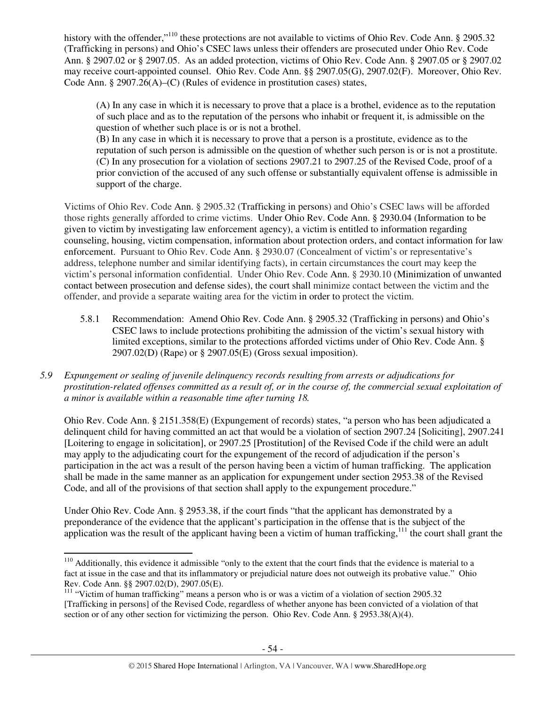history with the offender,<sup>"110</sup> these protections are not available to victims of Ohio Rev. Code Ann. § 2905.32 (Trafficking in persons) and Ohio's CSEC laws unless their offenders are prosecuted under Ohio Rev. Code Ann. § 2907.02 or § 2907.05. As an added protection, victims of Ohio Rev. Code Ann. § 2907.05 or § 2907.02 may receive court-appointed counsel. Ohio Rev. Code Ann. §§ 2907.05(G), 2907.02(F). Moreover, Ohio Rev. Code Ann. § 2907.26(A)–(C) (Rules of evidence in prostitution cases) states,

(A) In any case in which it is necessary to prove that a place is a brothel, evidence as to the reputation of such place and as to the reputation of the persons who inhabit or frequent it, is admissible on the question of whether such place is or is not a brothel.

(B) In any case in which it is necessary to prove that a person is a prostitute, evidence as to the reputation of such person is admissible on the question of whether such person is or is not a prostitute. (C) In any prosecution for a violation of sections 2907.21 to 2907.25 of the Revised Code, proof of a prior conviction of the accused of any such offense or substantially equivalent offense is admissible in support of the charge.

Victims of Ohio Rev. Code Ann. § 2905.32 (Trafficking in persons) and Ohio's CSEC laws will be afforded those rights generally afforded to crime victims. Under Ohio Rev. Code Ann. § 2930.04 (Information to be given to victim by investigating law enforcement agency), a victim is entitled to information regarding counseling, housing, victim compensation, information about protection orders, and contact information for law enforcement. Pursuant to Ohio Rev. Code Ann. § 2930.07 (Concealment of victim's or representative's address, telephone number and similar identifying facts), in certain circumstances the court may keep the victim's personal information confidential. Under Ohio Rev. Code Ann. § 2930.10 (Minimization of unwanted contact between prosecution and defense sides), the court shall minimize contact between the victim and the offender, and provide a separate waiting area for the victim in order to protect the victim.

- 5.8.1 Recommendation: Amend Ohio Rev. Code Ann. § 2905.32 (Trafficking in persons) and Ohio's CSEC laws to include protections prohibiting the admission of the victim's sexual history with limited exceptions, similar to the protections afforded victims under of Ohio Rev. Code Ann. § 2907.02(D) (Rape) or § 2907.05(E) (Gross sexual imposition).
- *5.9 Expungement or sealing of juvenile delinquency records resulting from arrests or adjudications for prostitution-related offenses committed as a result of, or in the course of, the commercial sexual exploitation of a minor is available within a reasonable time after turning 18.*

Ohio Rev. Code Ann. § 2151.358(E) (Expungement of records) states, "a person who has been adjudicated a delinquent child for having committed an act that would be a violation of section 2907.24 [Soliciting], 2907.241 [Loitering to engage in solicitation], or 2907.25 [Prostitution] of the Revised Code if the child were an adult may apply to the adjudicating court for the expungement of the record of adjudication if the person's participation in the act was a result of the person having been a victim of human trafficking. The application shall be made in the same manner as an application for expungement under section 2953.38 of the Revised Code, and all of the provisions of that section shall apply to the expungement procedure."

Under Ohio Rev. Code Ann. § 2953.38, if the court finds "that the applicant has demonstrated by a preponderance of the evidence that the applicant's participation in the offense that is the subject of the application was the result of the applicant having been a victim of human trafficking,<sup>111</sup> the court shall grant the

<sup>&</sup>lt;sup>110</sup> Additionally, this evidence it admissible "only to the extent that the court finds that the evidence is material to a fact at issue in the case and that its inflammatory or prejudicial nature does not outweigh its probative value." Ohio Rev. Code Ann. §§ 2907.02(D), 2907.05(E).

<sup>&</sup>lt;sup>111</sup> "Victim of human trafficking" means a person who is or was a victim of a violation of section 2905.32 [Trafficking in persons] of the Revised Code, regardless of whether anyone has been convicted of a violation of that section or of any other section for victimizing the person. Ohio Rev. Code Ann. § 2953.38(A)(4).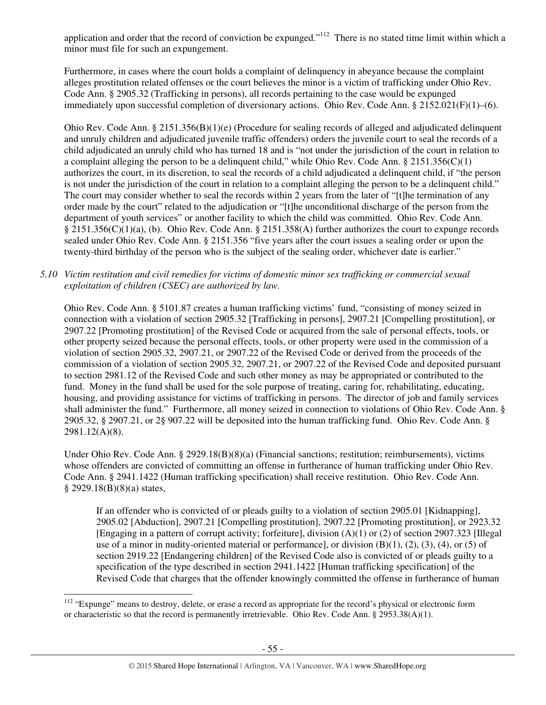application and order that the record of conviction be expunged."<sup>112</sup> There is no stated time limit within which a minor must file for such an expungement.

Furthermore, in cases where the court holds a complaint of delinquency in abeyance because the complaint alleges prostitution related offenses or the court believes the minor is a victim of trafficking under Ohio Rev. Code Ann. § 2905.32 (Trafficking in persons), all records pertaining to the case would be expunged immediately upon successful completion of diversionary actions. Ohio Rev. Code Ann. § 2152.021(F)(1)–(6).

Ohio Rev. Code Ann. § 2151.356(B)(1)(e) (Procedure for sealing records of alleged and adjudicated delinquent and unruly children and adjudicated juvenile traffic offenders) orders the juvenile court to seal the records of a child adjudicated an unruly child who has turned 18 and is "not under the jurisdiction of the court in relation to a complaint alleging the person to be a delinquent child," while Ohio Rev. Code Ann. § 2151.356(C)(1) authorizes the court, in its discretion, to seal the records of a child adjudicated a delinquent child, if "the person is not under the jurisdiction of the court in relation to a complaint alleging the person to be a delinquent child." The court may consider whether to seal the records within 2 years from the later of "[t]he termination of any order made by the court" related to the adjudication or "[t]he unconditional discharge of the person from the department of youth services" or another facility to which the child was committed. Ohio Rev. Code Ann. § 2151.356(C)(1)(a), (b). Ohio Rev. Code Ann. § 2151.358(A) further authorizes the court to expunge records sealed under Ohio Rev. Code Ann. § 2151.356 "five years after the court issues a sealing order or upon the twenty-third birthday of the person who is the subject of the sealing order, whichever date is earlier."

## *5.10 Victim restitution and civil remedies for victims of domestic minor sex trafficking or commercial sexual exploitation of children (CSEC) are authorized by law.*

Ohio Rev. Code Ann. § 5101.87 creates a human trafficking victims' fund, "consisting of money seized in connection with a violation of section 2905.32 [Trafficking in persons], 2907.21 [Compelling prostitution], or 2907.22 [Promoting prostitution] of the Revised Code or acquired from the sale of personal effects, tools, or other property seized because the personal effects, tools, or other property were used in the commission of a violation of section 2905.32, 2907.21, or 2907.22 of the Revised Code or derived from the proceeds of the commission of a violation of section 2905.32, 2907.21, or 2907.22 of the Revised Code and deposited pursuant to section 2981.12 of the Revised Code and such other money as may be appropriated or contributed to the fund. Money in the fund shall be used for the sole purpose of treating, caring for, rehabilitating, educating, housing, and providing assistance for victims of trafficking in persons. The director of job and family services shall administer the fund." Furthermore, all money seized in connection to violations of Ohio Rev. Code Ann. § 2905.32, § 2907.21, or 2§ 907.22 will be deposited into the human trafficking fund. Ohio Rev. Code Ann. § 2981.12(A)(8).

Under Ohio Rev. Code Ann. § 2929.18(B)(8)(a) (Financial sanctions; restitution; reimbursements), victims whose offenders are convicted of committing an offense in furtherance of human trafficking under Ohio Rev. Code Ann. § 2941.1422 (Human trafficking specification) shall receive restitution. Ohio Rev. Code Ann. § 2929.18(B)(8)(a) states,

If an offender who is convicted of or pleads guilty to a violation of section 2905.01 [Kidnapping], 2905.02 [Abduction], 2907.21 [Compelling prostitution], 2907.22 [Promoting prostitution], or 2923.32 [Engaging in a pattern of corrupt activity; forfeiture], division (A)(1) or (2) of section 2907.323 [Illegal use of a minor in nudity-oriented material or performance], or division  $(B)(1)$ ,  $(2)$ ,  $(3)$ ,  $(4)$ , or  $(5)$  of section 2919.22 [Endangering children] of the Revised Code also is convicted of or pleads guilty to a specification of the type described in section 2941.1422 [Human trafficking specification] of the Revised Code that charges that the offender knowingly committed the offense in furtherance of human

<sup>&</sup>lt;sup>112</sup> "Expunge" means to destroy, delete, or erase a record as appropriate for the record's physical or electronic form or characteristic so that the record is permanently irretrievable. Ohio Rev. Code Ann. § 2953.38(A)(1).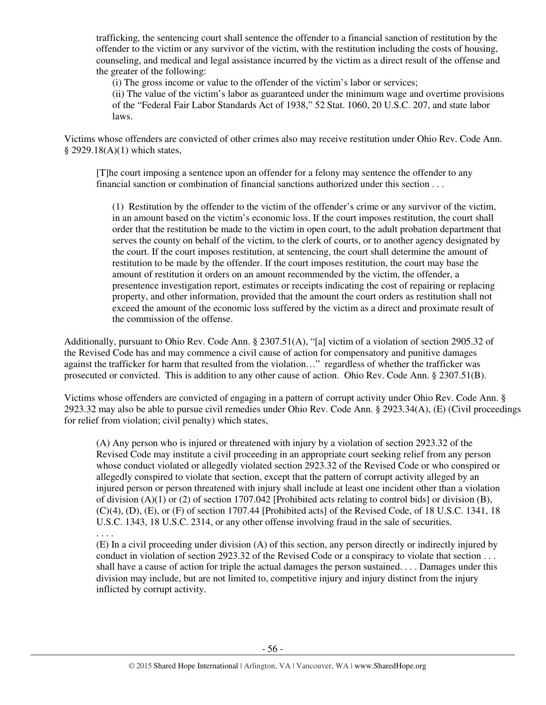trafficking, the sentencing court shall sentence the offender to a financial sanction of restitution by the offender to the victim or any survivor of the victim, with the restitution including the costs of housing, counseling, and medical and legal assistance incurred by the victim as a direct result of the offense and the greater of the following:

(i) The gross income or value to the offender of the victim's labor or services;

(ii) The value of the victim's labor as guaranteed under the minimum wage and overtime provisions of the "Federal Fair Labor Standards Act of 1938," 52 Stat. 1060, 20 U.S.C. 207, and state labor laws.

Victims whose offenders are convicted of other crimes also may receive restitution under Ohio Rev. Code Ann.  $§$  2929.18(A)(1) which states,

[T]he court imposing a sentence upon an offender for a felony may sentence the offender to any financial sanction or combination of financial sanctions authorized under this section . . .

(1) Restitution by the offender to the victim of the offender's crime or any survivor of the victim, in an amount based on the victim's economic loss. If the court imposes restitution, the court shall order that the restitution be made to the victim in open court, to the adult probation department that serves the county on behalf of the victim, to the clerk of courts, or to another agency designated by the court. If the court imposes restitution, at sentencing, the court shall determine the amount of restitution to be made by the offender. If the court imposes restitution, the court may base the amount of restitution it orders on an amount recommended by the victim, the offender, a presentence investigation report, estimates or receipts indicating the cost of repairing or replacing property, and other information, provided that the amount the court orders as restitution shall not exceed the amount of the economic loss suffered by the victim as a direct and proximate result of the commission of the offense.

Additionally, pursuant to Ohio Rev. Code Ann. § 2307.51(A), "[a] victim of a violation of section 2905.32 of the Revised Code has and may commence a civil cause of action for compensatory and punitive damages against the trafficker for harm that resulted from the violation…" regardless of whether the trafficker was prosecuted or convicted. This is addition to any other cause of action. Ohio Rev. Code Ann. § 2307.51(B).

Victims whose offenders are convicted of engaging in a pattern of corrupt activity under Ohio Rev. Code Ann. § 2923.32 may also be able to pursue civil remedies under Ohio Rev. Code Ann. § 2923.34(A), (E) (Civil proceedings for relief from violation; civil penalty) which states,

(A) Any person who is injured or threatened with injury by a violation of section 2923.32 of the Revised Code may institute a civil proceeding in an appropriate court seeking relief from any person whose conduct violated or allegedly violated section 2923.32 of the Revised Code or who conspired or allegedly conspired to violate that section, except that the pattern of corrupt activity alleged by an injured person or person threatened with injury shall include at least one incident other than a violation of division  $(A)(1)$  or (2) of section 1707.042 [Prohibited acts relating to control bids] or division  $(B)$ ,  $(C)(4)$ ,  $(D)$ ,  $(E)$ , or  $(F)$  of section 1707.44 [Prohibited acts] of the Revised Code, of 18 U.S.C. 1341, 18 U.S.C. 1343, 18 U.S.C. 2314, or any other offense involving fraud in the sale of securities. . . . .

(E) In a civil proceeding under division (A) of this section, any person directly or indirectly injured by conduct in violation of section 2923.32 of the Revised Code or a conspiracy to violate that section . . . shall have a cause of action for triple the actual damages the person sustained. . . . Damages under this division may include, but are not limited to, competitive injury and injury distinct from the injury inflicted by corrupt activity.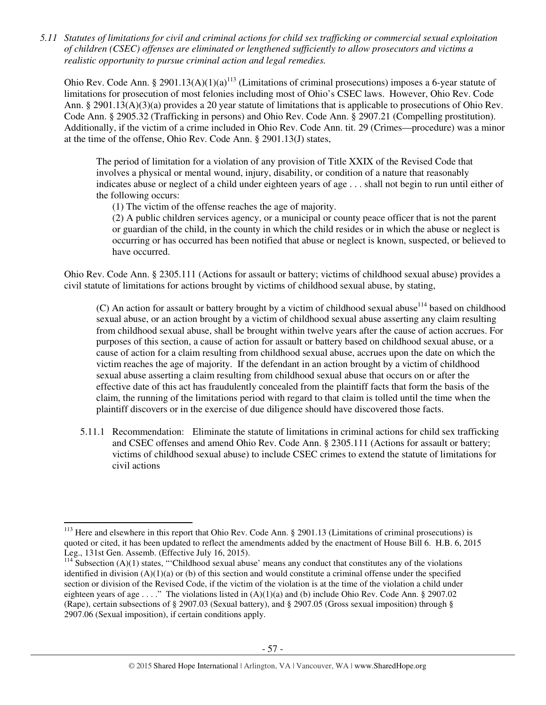*5.11 Statutes of limitations for civil and criminal actions for child sex trafficking or commercial sexual exploitation of children (CSEC) offenses are eliminated or lengthened sufficiently to allow prosecutors and victims a realistic opportunity to pursue criminal action and legal remedies.* 

Ohio Rev. Code Ann. § 2901.13(A)(1)(a)<sup>113</sup> (Limitations of criminal prosecutions) imposes a 6-year statute of limitations for prosecution of most felonies including most of Ohio's CSEC laws. However, Ohio Rev. Code Ann. § 2901.13(A)(3)(a) provides a 20 year statute of limitations that is applicable to prosecutions of Ohio Rev. Code Ann. § 2905.32 (Trafficking in persons) and Ohio Rev. Code Ann. § 2907.21 (Compelling prostitution). Additionally, if the victim of a crime included in Ohio Rev. Code Ann. tit. 29 (Crimes—procedure) was a minor at the time of the offense, Ohio Rev. Code Ann. § 2901.13(J) states,

The period of limitation for a violation of any provision of Title XXIX of the Revised Code that involves a physical or mental wound, injury, disability, or condition of a nature that reasonably indicates abuse or neglect of a child under eighteen years of age . . . shall not begin to run until either of the following occurs:

(1) The victim of the offense reaches the age of majority.

(2) A public children services agency, or a municipal or county peace officer that is not the parent or guardian of the child, in the county in which the child resides or in which the abuse or neglect is occurring or has occurred has been notified that abuse or neglect is known, suspected, or believed to have occurred.

Ohio Rev. Code Ann. § 2305.111 (Actions for assault or battery; victims of childhood sexual abuse) provides a civil statute of limitations for actions brought by victims of childhood sexual abuse, by stating,

(C) An action for assault or battery brought by a victim of childhood sexual abuse<sup>114</sup> based on childhood sexual abuse, or an action brought by a victim of childhood sexual abuse asserting any claim resulting from childhood sexual abuse, shall be brought within twelve years after the cause of action accrues. For purposes of this section, a cause of action for assault or battery based on childhood sexual abuse, or a cause of action for a claim resulting from childhood sexual abuse, accrues upon the date on which the victim reaches the age of majority. If the defendant in an action brought by a victim of childhood sexual abuse asserting a claim resulting from childhood sexual abuse that occurs on or after the effective date of this act has fraudulently concealed from the plaintiff facts that form the basis of the claim, the running of the limitations period with regard to that claim is tolled until the time when the plaintiff discovers or in the exercise of due diligence should have discovered those facts.

5.11.1 Recommendation: Eliminate the statute of limitations in criminal actions for child sex trafficking and CSEC offenses and amend Ohio Rev. Code Ann. § 2305.111 (Actions for assault or battery; victims of childhood sexual abuse) to include CSEC crimes to extend the statute of limitations for civil actions

<sup>&</sup>lt;sup>113</sup> Here and elsewhere in this report that Ohio Rev. Code Ann. § 2901.13 (Limitations of criminal prosecutions) is quoted or cited, it has been updated to reflect the amendments added by the enactment of House Bill 6. H.B. 6, 2015 Leg., 131st Gen. Assemb. (Effective July 16, 2015).

 $114$  Subsection (A)(1) states, "'Childhood sexual abuse' means any conduct that constitutes any of the violations identified in division  $(A)(1)(a)$  or (b) of this section and would constitute a criminal offense under the specified section or division of the Revised Code, if the victim of the violation is at the time of the violation a child under eighteen years of age . . . ." The violations listed in  $(A)(1)(a)$  and (b) include Ohio Rev. Code Ann. § 2907.02 (Rape), certain subsections of § 2907.03 (Sexual battery), and § 2907.05 (Gross sexual imposition) through § 2907.06 (Sexual imposition), if certain conditions apply.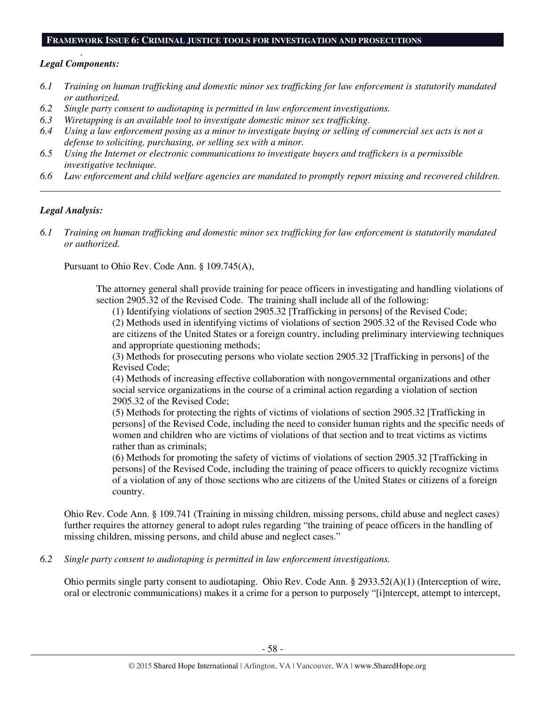#### **FRAMEWORK ISSUE 6: CRIMINAL JUSTICE TOOLS FOR INVESTIGATION AND PROSECUTIONS**

#### . *Legal Components:*

- *6.1 Training on human trafficking and domestic minor sex trafficking for law enforcement is statutorily mandated or authorized.*
- *6.2 Single party consent to audiotaping is permitted in law enforcement investigations.*
- *6.3 Wiretapping is an available tool to investigate domestic minor sex trafficking.*
- *6.4 Using a law enforcement posing as a minor to investigate buying or selling of commercial sex acts is not a defense to soliciting, purchasing, or selling sex with a minor.*
- *6.5 Using the Internet or electronic communications to investigate buyers and traffickers is a permissible investigative technique.*
- *6.6 Law enforcement and child welfare agencies are mandated to promptly report missing and recovered children. \_\_\_\_\_\_\_\_\_\_\_\_\_\_\_\_\_\_\_\_\_\_\_\_\_\_\_\_\_\_\_\_\_\_\_\_\_\_\_\_\_\_\_\_\_\_\_\_\_\_\_\_\_\_\_\_\_\_\_\_\_\_\_\_\_\_\_\_\_\_\_\_\_\_\_\_\_\_\_\_\_\_\_\_\_\_\_\_\_\_\_\_\_\_*

## *Legal Analysis:*

*6.1 Training on human trafficking and domestic minor sex trafficking for law enforcement is statutorily mandated or authorized.* 

Pursuant to Ohio Rev. Code Ann. § 109.745(A),

The attorney general shall provide training for peace officers in investigating and handling violations of section 2905.32 of the Revised Code. The training shall include all of the following:

(1) Identifying violations of section 2905.32 [Trafficking in persons] of the Revised Code;

(2) Methods used in identifying victims of violations of section 2905.32 of the Revised Code who are citizens of the United States or a foreign country, including preliminary interviewing techniques and appropriate questioning methods;

(3) Methods for prosecuting persons who violate section 2905.32 [Trafficking in persons] of the Revised Code;

(4) Methods of increasing effective collaboration with nongovernmental organizations and other social service organizations in the course of a criminal action regarding a violation of section 2905.32 of the Revised Code;

(5) Methods for protecting the rights of victims of violations of section 2905.32 [Trafficking in persons] of the Revised Code, including the need to consider human rights and the specific needs of women and children who are victims of violations of that section and to treat victims as victims rather than as criminals;

(6) Methods for promoting the safety of victims of violations of section 2905.32 [Trafficking in persons] of the Revised Code, including the training of peace officers to quickly recognize victims of a violation of any of those sections who are citizens of the United States or citizens of a foreign country.

Ohio Rev. Code Ann. § 109.741 (Training in missing children, missing persons, child abuse and neglect cases) further requires the attorney general to adopt rules regarding "the training of peace officers in the handling of missing children, missing persons, and child abuse and neglect cases."

*6.2 Single party consent to audiotaping is permitted in law enforcement investigations.* 

Ohio permits single party consent to audiotaping. Ohio Rev. Code Ann. § 2933.52(A)(1) (Interception of wire, oral or electronic communications) makes it a crime for a person to purposely "[i]ntercept, attempt to intercept,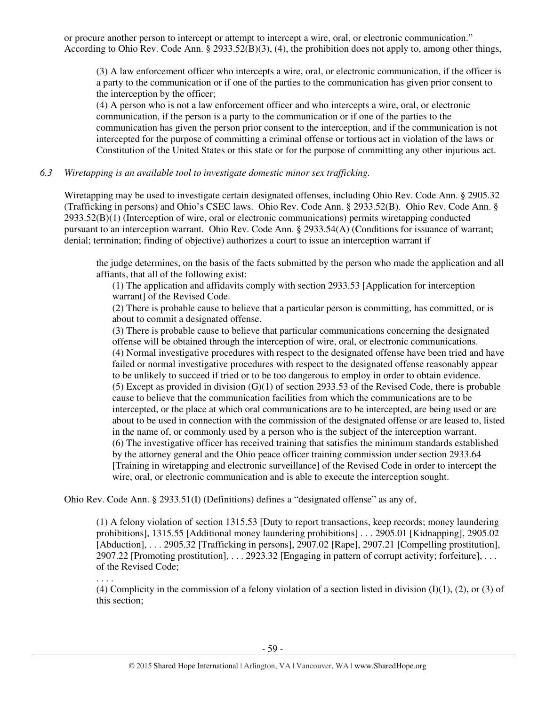or procure another person to intercept or attempt to intercept a wire, oral, or electronic communication." According to Ohio Rev. Code Ann. § 2933.52(B)(3), (4), the prohibition does not apply to, among other things,

(3) A law enforcement officer who intercepts a wire, oral, or electronic communication, if the officer is a party to the communication or if one of the parties to the communication has given prior consent to the interception by the officer;

(4) A person who is not a law enforcement officer and who intercepts a wire, oral, or electronic communication, if the person is a party to the communication or if one of the parties to the communication has given the person prior consent to the interception, and if the communication is not intercepted for the purpose of committing a criminal offense or tortious act in violation of the laws or Constitution of the United States or this state or for the purpose of committing any other injurious act.

## *6.3 Wiretapping is an available tool to investigate domestic minor sex trafficking.*

Wiretapping may be used to investigate certain designated offenses, including Ohio Rev. Code Ann. § 2905.32 (Trafficking in persons) and Ohio's CSEC laws. Ohio Rev. Code Ann. § 2933.52(B). Ohio Rev. Code Ann. § 2933.52(B)(1) (Interception of wire, oral or electronic communications) permits wiretapping conducted pursuant to an interception warrant. Ohio Rev. Code Ann. § 2933.54(A) (Conditions for issuance of warrant; denial; termination; finding of objective) authorizes a court to issue an interception warrant if

the judge determines, on the basis of the facts submitted by the person who made the application and all affiants, that all of the following exist:

(1) The application and affidavits comply with section 2933.53 [Application for interception warrant] of the Revised Code.

(2) There is probable cause to believe that a particular person is committing, has committed, or is about to commit a designated offense.

(3) There is probable cause to believe that particular communications concerning the designated offense will be obtained through the interception of wire, oral, or electronic communications. (4) Normal investigative procedures with respect to the designated offense have been tried and have failed or normal investigative procedures with respect to the designated offense reasonably appear to be unlikely to succeed if tried or to be too dangerous to employ in order to obtain evidence.  $(5)$  Except as provided in division  $(G)(1)$  of section 2933.53 of the Revised Code, there is probable cause to believe that the communication facilities from which the communications are to be intercepted, or the place at which oral communications are to be intercepted, are being used or are about to be used in connection with the commission of the designated offense or are leased to, listed in the name of, or commonly used by a person who is the subject of the interception warrant. (6) The investigative officer has received training that satisfies the minimum standards established by the attorney general and the Ohio peace officer training commission under section 2933.64 [Training in wiretapping and electronic surveillance] of the Revised Code in order to intercept the wire, oral, or electronic communication and is able to execute the interception sought.

Ohio Rev. Code Ann. § 2933.51(I) (Definitions) defines a "designated offense" as any of,

(1) A felony violation of section 1315.53 [Duty to report transactions, keep records; money laundering prohibitions], 1315.55 [Additional money laundering prohibitions] . . . 2905.01 [Kidnapping], 2905.02 [Abduction], . . . 2905.32 [Trafficking in persons], 2907.02 [Rape], 2907.21 [Compelling prostitution], 2907.22 [Promoting prostitution], . . . 2923.32 [Engaging in pattern of corrupt activity; forfeiture], . . . of the Revised Code;

. . . .

(4) Complicity in the commission of a felony violation of a section listed in division  $(I)(1)$ ,  $(2)$ , or  $(3)$  of this section;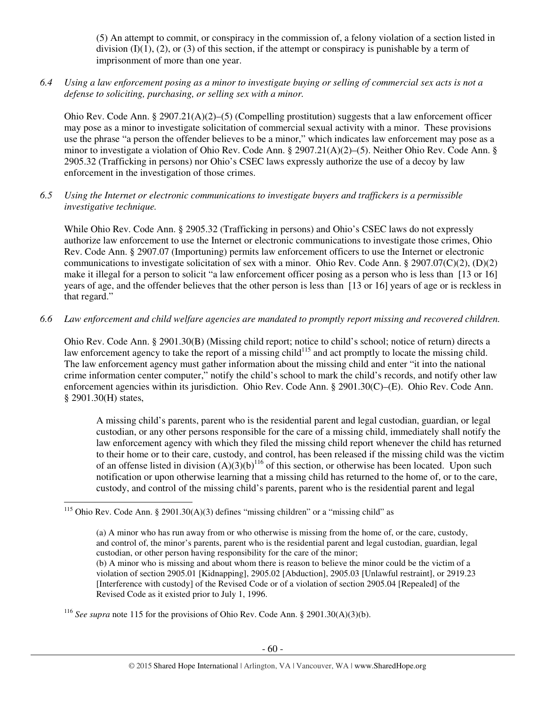(5) An attempt to commit, or conspiracy in the commission of, a felony violation of a section listed in division  $(I)(1)$ ,  $(2)$ , or  $(3)$  of this section, if the attempt or conspiracy is punishable by a term of imprisonment of more than one year.

*6.4 Using a law enforcement posing as a minor to investigate buying or selling of commercial sex acts is not a defense to soliciting, purchasing, or selling sex with a minor.* 

Ohio Rev. Code Ann. § 2907.21(A)(2)–(5) (Compelling prostitution) suggests that a law enforcement officer may pose as a minor to investigate solicitation of commercial sexual activity with a minor. These provisions use the phrase "a person the offender believes to be a minor," which indicates law enforcement may pose as a minor to investigate a violation of Ohio Rev. Code Ann. § 2907.21(A)(2)–(5). Neither Ohio Rev. Code Ann. § 2905.32 (Trafficking in persons) nor Ohio's CSEC laws expressly authorize the use of a decoy by law enforcement in the investigation of those crimes.

### *6.5 Using the Internet or electronic communications to investigate buyers and traffickers is a permissible investigative technique.*

While Ohio Rev. Code Ann. § 2905.32 (Trafficking in persons) and Ohio's CSEC laws do not expressly authorize law enforcement to use the Internet or electronic communications to investigate those crimes, Ohio Rev. Code Ann. § 2907.07 (Importuning) permits law enforcement officers to use the Internet or electronic communications to investigate solicitation of sex with a minor. Ohio Rev. Code Ann. § 2907.07(C)(2), (D)(2) make it illegal for a person to solicit "a law enforcement officer posing as a person who is less than [13 or 16] years of age, and the offender believes that the other person is less than [13 or 16] years of age or is reckless in that regard."

*6.6 Law enforcement and child welfare agencies are mandated to promptly report missing and recovered children.* 

Ohio Rev. Code Ann. § 2901.30(B) (Missing child report; notice to child's school; notice of return) directs a law enforcement agency to take the report of a missing child<sup>115</sup> and act promptly to locate the missing child. The law enforcement agency must gather information about the missing child and enter "it into the national crime information center computer," notify the child's school to mark the child's records, and notify other law enforcement agencies within its jurisdiction. Ohio Rev. Code Ann. § 2901.30(C)–(E). Ohio Rev. Code Ann. § 2901.30(H) states,

A missing child's parents, parent who is the residential parent and legal custodian, guardian, or legal custodian, or any other persons responsible for the care of a missing child, immediately shall notify the law enforcement agency with which they filed the missing child report whenever the child has returned to their home or to their care, custody, and control, has been released if the missing child was the victim of an offense listed in division  $(A)(3)(b)^{116}$  of this section, or otherwise has been located. Upon such notification or upon otherwise learning that a missing child has returned to the home of, or to the care, custody, and control of the missing child's parents, parent who is the residential parent and legal

l

<sup>116</sup> *See supra* note 115 for the provisions of Ohio Rev. Code Ann. § 2901.30(A)(3)(b).

<sup>&</sup>lt;sup>115</sup> Ohio Rev. Code Ann. § 2901.30(A)(3) defines "missing children" or a "missing child" as

<sup>(</sup>a) A minor who has run away from or who otherwise is missing from the home of, or the care, custody, and control of, the minor's parents, parent who is the residential parent and legal custodian, guardian, legal custodian, or other person having responsibility for the care of the minor;

<sup>(</sup>b) A minor who is missing and about whom there is reason to believe the minor could be the victim of a violation of section 2905.01 [Kidnapping], 2905.02 [Abduction], 2905.03 [Unlawful restraint], or 2919.23 [Interference with custody] of the Revised Code or of a violation of section 2905.04 [Repealed] of the Revised Code as it existed prior to July 1, 1996.